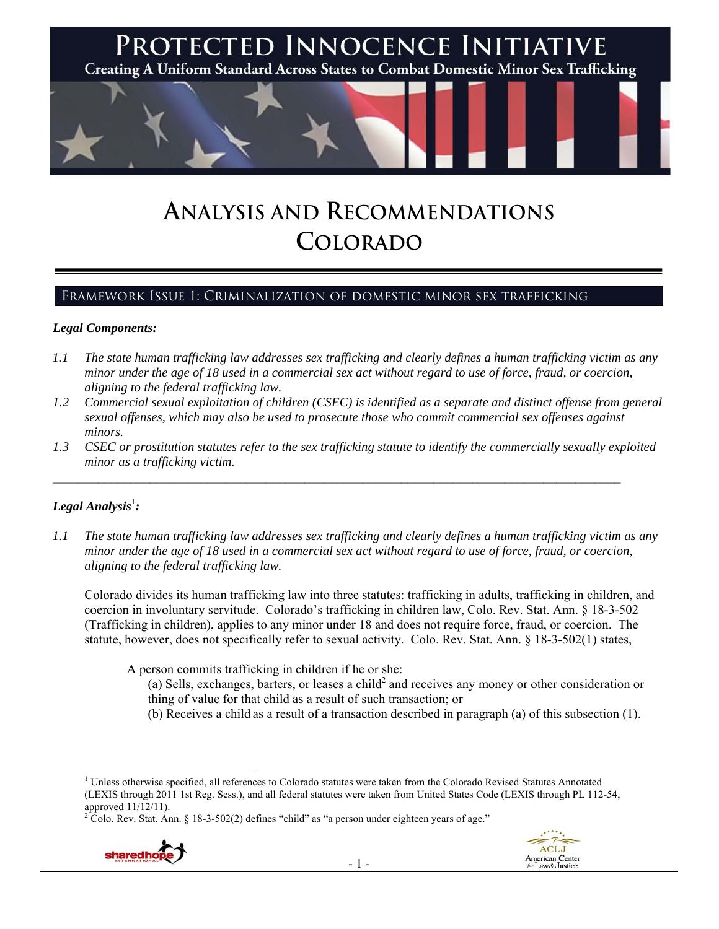

# **ANALYSIS AND RECOMMENDATIONS COLORADO**

## Framework Issue 1: Criminalization of domestic minor sex trafficking

#### *Legal Components:*

- *1.1 The state human trafficking law addresses sex trafficking and clearly defines a human trafficking victim as any minor under the age of 18 used in a commercial sex act without regard to use of force, fraud, or coercion, aligning to the federal trafficking law.*
- *1.2 Commercial sexual exploitation of children (CSEC) is identified as a separate and distinct offense from general sexual offenses, which may also be used to prosecute those who commit commercial sex offenses against minors.*
- *1.3 CSEC or prostitution statutes refer to the sex trafficking statute to identify the commercially sexually exploited minor as a trafficking victim.*

 $\mathcal{L}_\mathcal{L} = \{ \mathcal{L}_\mathcal{L} = \{ \mathcal{L}_\mathcal{L} = \{ \mathcal{L}_\mathcal{L} = \{ \mathcal{L}_\mathcal{L} = \{ \mathcal{L}_\mathcal{L} = \{ \mathcal{L}_\mathcal{L} = \{ \mathcal{L}_\mathcal{L} = \{ \mathcal{L}_\mathcal{L} = \{ \mathcal{L}_\mathcal{L} = \{ \mathcal{L}_\mathcal{L} = \{ \mathcal{L}_\mathcal{L} = \{ \mathcal{L}_\mathcal{L} = \{ \mathcal{L}_\mathcal{L} = \{ \mathcal{L}_\mathcal{$ 

# ${\it Legal Analysis^!}$  :

*1.1 The state human trafficking law addresses sex trafficking and clearly defines a human trafficking victim as any minor under the age of 18 used in a commercial sex act without regard to use of force, fraud, or coercion, aligning to the federal trafficking law.* 

Colorado divides its human trafficking law into three statutes: trafficking in adults, trafficking in children, and coercion in involuntary servitude. Colorado's trafficking in children law, Colo. Rev. Stat. Ann. § 18-3-502 (Trafficking in children), applies to any minor under 18 and does not require force, fraud, or coercion. The statute, however, does not specifically refer to sexual activity. Colo. Rev. Stat. Ann. § 18-3-502(1) states,

A person commits trafficking in children if he or she:

- (a) Sells, exchanges, barters, or leases a child<sup>2</sup> and receives any money or other consideration or thing of value for that child as a result of such transaction; or
- (b) Receives a child as a result of a transaction described in paragraph (a) of this subsection (1).

Colo. Rev. Stat. Ann. § 18-3-502(2) defines "child" as "a person under eighteen years of age."





<sup>&</sup>lt;sup>1</sup> Unless otherwise specified, all references to Colorado statutes were taken from the Colorado Revised Statutes Annotated (LEXIS through 2011 1st Reg. Sess.), and all federal statutes were taken from United States Code (LEXIS through PL 112-54, approved  $11/12/11$ ).<br>  $^{2}$  Colo, Boy, Stat, An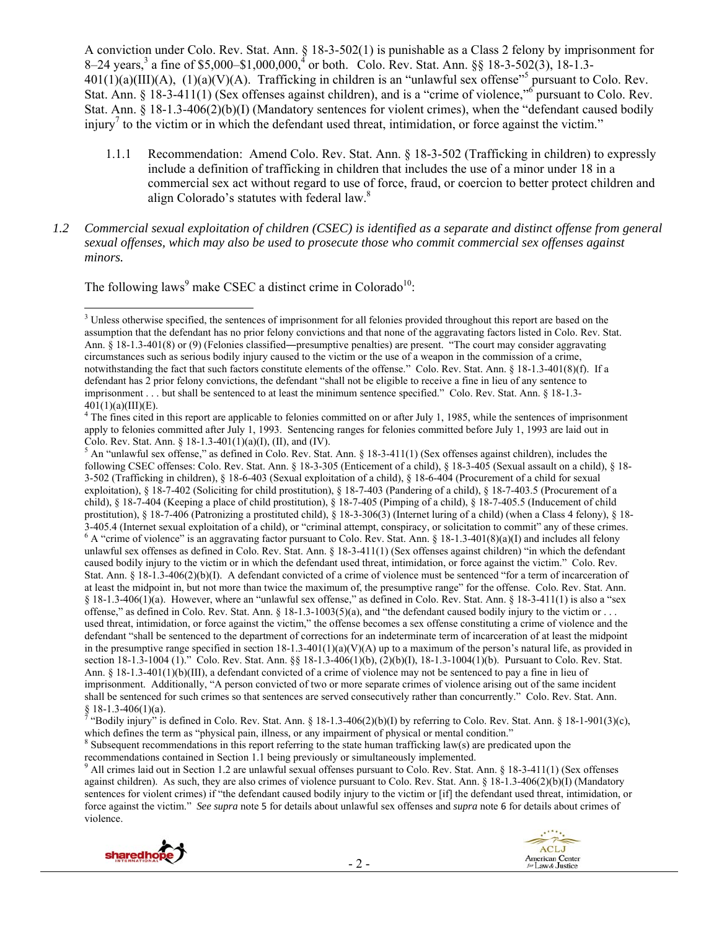A conviction under Colo. Rev. Stat. Ann. § 18-3-502(1) is punishable as a Class 2 felony by imprisonment for 8–24 years,<sup>3</sup> a fine of \$5,000–\$1,000,000,<sup>4</sup> or both. Colo. Rev. Stat. Ann. §§ 18-3-502(3), 18-1.3- $401(1)(a)(III)(A)$ ,  $(1)(a)(V)(A)$ . Trafficking in children is an "unlawful sex offense"<sup>5</sup> pursuant to Colo. Rev. Stat. Ann. § 18-3-411(1) (Sex offenses against children), and is a "crime of violence," pursuant to Colo. Rev. Stat. Ann. § 18-1.3-406(2)(b)(I) (Mandatory sentences for violent crimes), when the "defendant caused bodily injury<sup>7</sup> to the victim or in which the defendant used threat, intimidation, or force against the victim."

- 1.1.1 Recommendation: Amend Colo. Rev. Stat. Ann. § 18-3-502 (Trafficking in children) to expressly include a definition of trafficking in children that includes the use of a minor under 18 in a commercial sex act without regard to use of force, fraud, or coercion to better protect children and align Colorado's statutes with federal law.<sup>8</sup>
- *1.2 Commercial sexual exploitation of children (CSEC) is identified as a separate and distinct offense from general sexual offenses, which may also be used to prosecute those who commit commercial sex offenses against minors.*

The following laws<sup>9</sup> make CSEC a distinct crime in Colorado<sup>10</sup>:

 $5$  An "unlawful sex offense," as defined in Colo. Rev. Stat. Ann. § 18-3-411(1) (Sex offenses against children), includes the following CSEC offenses: Colo. Rev. Stat. Ann. § 18-3-305 (Enticement of a child), § 18-3-405 (Sexual assault on a child), § 18- 3-502 (Trafficking in children), § 18-6-403 (Sexual exploitation of a child), § 18-6-404 (Procurement of a child for sexual exploitation), § 18-7-402 (Soliciting for child prostitution), § 18-7-403 (Pandering of a child), § 18-7-403.5 (Procurement of a child), § 18-7-404 (Keeping a place of child prostitution), § 18-7-405 (Pimping of a child), § 18-7-405.5 (Inducement of child prostitution), § 18-7-406 (Patronizing a prostituted child), § 18-3-306(3) (Internet luring of a child) (when a Class 4 felony), § 18- 3-405.4 (Internet sexual exploitation of a child), or "criminal attempt, conspiracy, or solicitation to commit" any of these crimes.<br><sup>6</sup> A "crime of violence" is an aggravating factor pursuant to Colo. Rev. Stat. Ann. § 1 unlawful sex offenses as defined in Colo. Rev. Stat. Ann. § 18-3-411(1) (Sex offenses against children) "in which the defendant caused bodily injury to the victim or in which the defendant used threat, intimidation, or force against the victim." Colo. Rev. Stat. Ann. § 18-1.3-406(2)(b)(I). A defendant convicted of a crime of violence must be sentenced "for a term of incarceration of at least the midpoint in, but not more than twice the maximum of, the presumptive range" for the offense. Colo. Rev. Stat. Ann. § 18-1.3-406(1)(a). However, where an "unlawful sex offense," as defined in Colo. Rev. Stat. Ann. § 18-3-411(1) is also a "sex offense," as defined in Colo. Rev. Stat. Ann. § 18-1.3-1003(5)(a), and "the defendant caused bodily injury to the victim or . . . used threat, intimidation, or force against the victim," the offense becomes a sex offense constituting a crime of violence and the defendant "shall be sentenced to the department of corrections for an indeterminate term of incarceration of at least the midpoint in the presumptive range specified in section 18-1.3-401(1)(a)(V)(A) up to a maximum of the person's natural life, as provided in section 18-1.3-1004 (1)." Colo. Rev. Stat. Ann. §§ 18-1.3-406(1)(b), (2)(b)(I), 18-1.3-1004(1)(b). Pursuant to Colo. Rev. Stat. Ann. § 18-1.3-401(1)(b)(III), a defendant convicted of a crime of violence may not be sentenced to pay a fine in lieu of imprisonment. Additionally, "A person convicted of two or more separate crimes of violence arising out of the same incident shall be sentenced for such crimes so that sentences are served consecutively rather than concurrently." Colo. Rev. Stat. Ann.  $\S$  18-1.3-406(1)(a).

All crimes laid out in Section 1.2 are unlawful sexual offenses pursuant to Colo. Rev. Stat. Ann. § 18-3-411(1) (Sex offenses against children). As such, they are also crimes of violence pursuant to Colo. Rev. Stat. Ann. § 18-1.3-406(2)(b)(I) (Mandatory sentences for violent crimes) if "the defendant caused bodily injury to the victim or [if] the defendant used threat, intimidation, or force against the victim." *See supra* note 5 for details about unlawful sex offenses and *supra* note 6 for details about crimes of violence.





  $3$  Unless otherwise specified, the sentences of imprisonment for all felonies provided throughout this report are based on the assumption that the defendant has no prior felony convictions and that none of the aggravating factors listed in Colo. Rev. Stat. Ann. § 18-1.3-401(8) or (9) (Felonies classified—presumptive penalties) are present. "The court may consider aggravating circumstances such as serious bodily injury caused to the victim or the use of a weapon in the commission of a crime, notwithstanding the fact that such factors constitute elements of the offense." Colo. Rev. Stat. Ann. § 18-1.3-401(8)(f). If a defendant has 2 prior felony convictions, the defendant "shall not be eligible to receive a fine in lieu of any sentence to imprisonment . . . but shall be sentenced to at least the minimum sentence specified." Colo. Rev. Stat. Ann. § 18-1.3-  $401(1)(a)(III)(E)$ .

 $4$ <sup>4</sup> The fines cited in this report are applicable to felonies committed on or after July 1, 1985, while the sentences of imprisonment apply to felonies committed after July 1, 1993. Sentencing ranges for felonies committed before July 1, 1993 are laid out in Colo. Rev. Stat. Ann. § 18-1.3-401(1)(a)(I), (II), and (IV).

<sup>&</sup>quot;Bodily injury" is defined in Colo. Rev. Stat. Ann.  $\S$  18-1.3-406(2)(b)(I) by referring to Colo. Rev. Stat. Ann.  $\S$  18-1-901(3)(c), which defines the term as "physical pain, illness, or any impairment of physical or mental condition."

 $\delta$  Subsequent recommendations in this report referring to the state human trafficking law(s) are predicated upon the recommendations contained in Section 1.1 being previously or simultaneously implemented.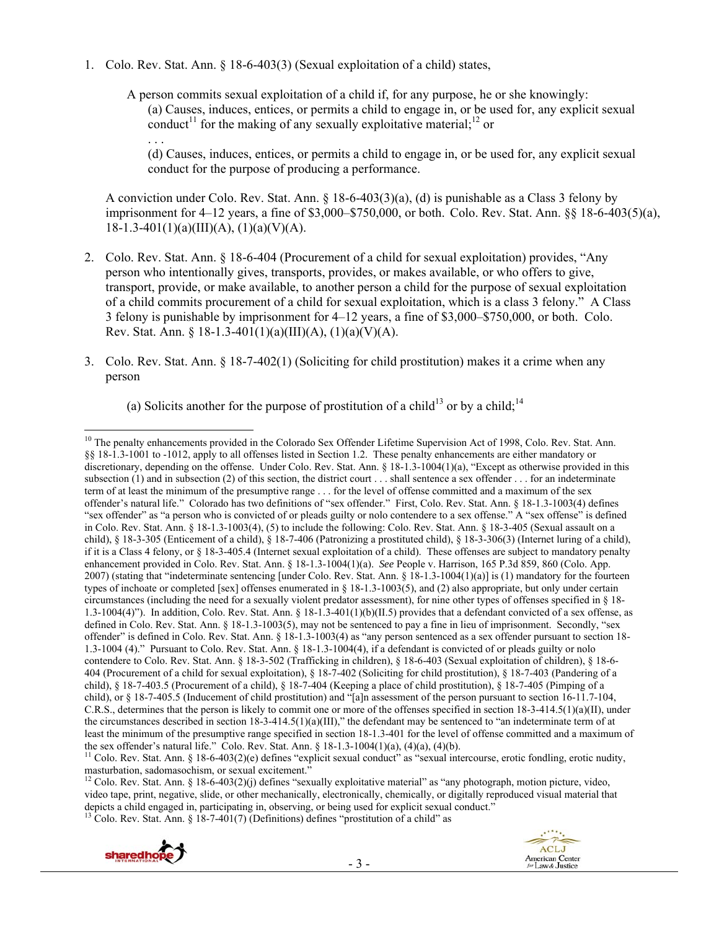1. Colo. Rev. Stat. Ann. § 18-6-403(3) (Sexual exploitation of a child) states,

. . .

A person commits sexual exploitation of a child if, for any purpose, he or she knowingly: (a) Causes, induces, entices, or permits a child to engage in, or be used for, any explicit sexual conduct<sup>11</sup> for the making of any sexually exploitative material;<sup>12</sup> or

(d) Causes, induces, entices, or permits a child to engage in, or be used for, any explicit sexual conduct for the purpose of producing a performance.

A conviction under Colo. Rev. Stat. Ann. § 18-6-403(3)(a), (d) is punishable as a Class 3 felony by imprisonment for 4–12 years, a fine of \$3,000–\$750,000, or both. Colo. Rev. Stat. Ann. §§ 18-6-403(5)(a),  $18-1.3-401(1)(a)(III)(A), (1)(a)(V)(A).$ 

- 2. Colo. Rev. Stat. Ann. § 18-6-404 (Procurement of a child for sexual exploitation) provides, "Any person who intentionally gives, transports, provides, or makes available, or who offers to give, transport, provide, or make available, to another person a child for the purpose of sexual exploitation of a child commits procurement of a child for sexual exploitation, which is a class 3 felony." A Class 3 felony is punishable by imprisonment for 4–12 years, a fine of \$3,000–\$750,000, or both. Colo. Rev. Stat. Ann. § 18-1.3-401(1)(a)(III)(A), (1)(a)(V)(A).
- 3. Colo. Rev. Stat. Ann. § 18-7-402(1) (Soliciting for child prostitution) makes it a crime when any person

(a) Solicits another for the purpose of prostitution of a child<sup>13</sup> or by a child:<sup>14</sup>

 $^{13}$  Colo. Rev. Stat. Ann. § 18-7-401(7) (Definitions) defines "prostitution of a child" as



<sup>&</sup>lt;sup>10</sup> The penalty enhancements provided in the Colorado Sex Offender Lifetime Supervision Act of 1998, Colo. Rev. Stat. Ann. §§ 18-1.3-1001 to -1012, apply to all offenses listed in Section 1.2. These penalty enhancements are either mandatory or discretionary, depending on the offense. Under Colo. Rev. Stat. Ann. § 18-1.3-1004(1)(a), "Except as otherwise provided in this subsection (1) and in subsection (2) of this section, the district court . . . shall sentence a sex offender . . . for an indeterminate term of at least the minimum of the presumptive range . . . for the level of offense committed and a maximum of the sex offender's natural life." Colorado has two definitions of "sex offender." First, Colo. Rev. Stat. Ann. § 18-1.3-1003(4) defines "sex offender" as "a person who is convicted of or pleads guilty or nolo contendere to a sex offense." A "sex offense" is defined in Colo. Rev. Stat. Ann. § 18-1.3-1003(4), (5) to include the following: Colo. Rev. Stat. Ann. § 18-3-405 (Sexual assault on a child), § 18-3-305 (Enticement of a child), § 18-7-406 (Patronizing a prostituted child), § 18-3-306(3) (Internet luring of a child), if it is a Class 4 felony, or § 18-3-405.4 (Internet sexual exploitation of a child). These offenses are subject to mandatory penalty enhancement provided in Colo. Rev. Stat. Ann. § 18-1.3-1004(1)(a). *See* People v. Harrison, 165 P.3d 859, 860 (Colo. App. 2007) (stating that "indeterminate sentencing [under Colo. Rev. Stat. Ann. § 18-1.3-1004(1)(a)] is (1) mandatory for the fourteen types of inchoate or completed [sex] offenses enumerated in § 18-1.3-1003(5), and (2) also appropriate, but only under certain circumstances (including the need for a sexually violent predator assessment), for nine other types of offenses specified in § 18- 1.3-1004(4)"). In addition, Colo. Rev. Stat. Ann. § 18-1.3-401(1)(b)(II.5) provides that a defendant convicted of a sex offense, as defined in Colo. Rev. Stat. Ann. § 18-1.3-1003(5), may not be sentenced to pay a fine in lieu of imprisonment. Secondly, "sex offender" is defined in Colo. Rev. Stat. Ann. § 18-1.3-1003(4) as "any person sentenced as a sex offender pursuant to section 18- 1.3-1004 (4)." Pursuant to Colo. Rev. Stat. Ann. § 18-1.3-1004(4), if a defendant is convicted of or pleads guilty or nolo contendere to Colo. Rev. Stat. Ann. § 18-3-502 (Trafficking in children), § 18-6-403 (Sexual exploitation of children), § 18-6- 404 (Procurement of a child for sexual exploitation), § 18-7-402 (Soliciting for child prostitution), § 18-7-403 (Pandering of a child), § 18-7-403.5 (Procurement of a child), § 18-7-404 (Keeping a place of child prostitution), § 18-7-405 (Pimping of a child), or § 18-7-405.5 (Inducement of child prostitution) and "[a]n assessment of the person pursuant to section 16-11.7-104, C.R.S., determines that the person is likely to commit one or more of the offenses specified in section  $18-3-414.5(1)(a)(II)$ , under the circumstances described in section 18-3-414.5(1)(a)(III)," the defendant may be sentenced to "an indeterminate term of at least the minimum of the presumptive range specified in section 18-1.3-401 for the level of offense committed and a maximum of

the sex offender's natural life." Colo. Rev. Stat. Ann. § 18-1.3-1004(1)(a), (4)(a), (4)(b).<br><sup>11</sup> Colo. Rev. Stat. Ann. § 18-6-403(2)(e) defines "explicit sexual conduct" as "sexual intercourse, erotic fondling, erotic nu

<sup>&</sup>lt;sup>12</sup> Colo. Rev. Stat. Ann. § 18-6-403(2)(j) defines "sexually exploitative material" as "any photograph, motion picture, video, video tape, print, negative, slide, or other mechanically, electronically, chemically, or digitally reproduced visual material that depicts a child engaged in, participating in, observing, or being used for explicit sexual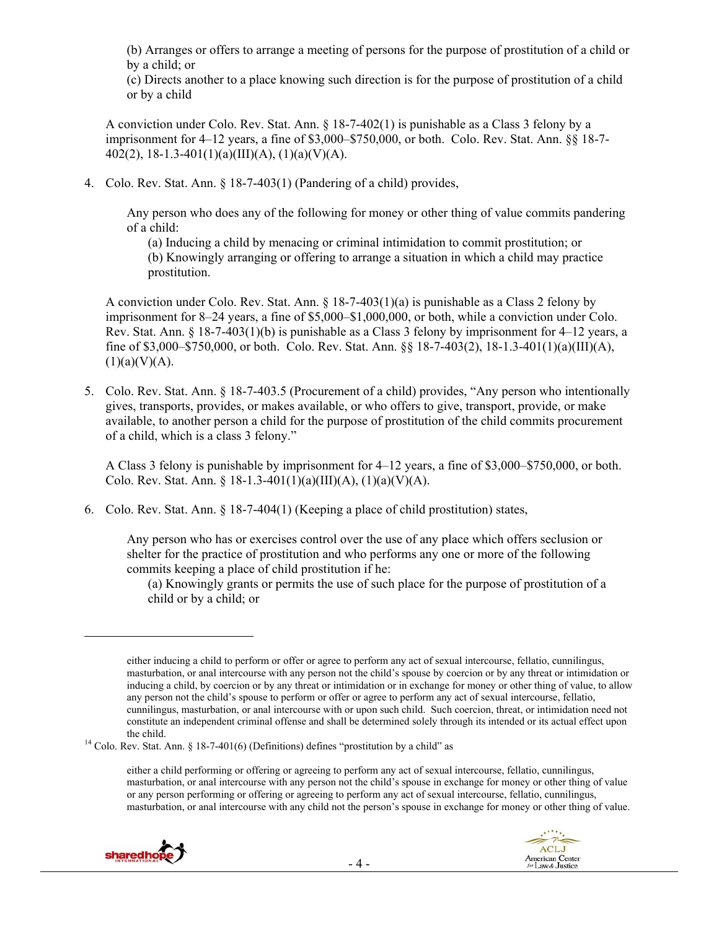(b) Arranges or offers to arrange a meeting of persons for the purpose of prostitution of a child or by a child; or

(c) Directs another to a place knowing such direction is for the purpose of prostitution of a child or by a child

A conviction under Colo. Rev. Stat. Ann. § 18-7-402(1) is punishable as a Class 3 felony by a imprisonment for 4–12 years, a fine of \$3,000–\$750,000, or both. Colo. Rev. Stat. Ann. §§ 18-7- 402(2), 18-1.3-401(1)(a)(III)(A), (1)(a)(V)(A).

4. Colo. Rev. Stat. Ann. § 18-7-403(1) (Pandering of a child) provides,

Any person who does any of the following for money or other thing of value commits pandering of a child:

(a) Inducing a child by menacing or criminal intimidation to commit prostitution; or (b) Knowingly arranging or offering to arrange a situation in which a child may practice prostitution.

A conviction under Colo. Rev. Stat. Ann. § 18-7-403(1)(a) is punishable as a Class 2 felony by imprisonment for 8–24 years, a fine of \$5,000–\$1,000,000, or both, while a conviction under Colo. Rev. Stat. Ann. § 18-7-403(1)(b) is punishable as a Class 3 felony by imprisonment for 4–12 years, a fine of \$3,000–\$750,000, or both. Colo. Rev. Stat. Ann. §§ 18-7-403(2), 18-1.3-401(1)(a)(III)(A),  $(1)(a)(V)(A)$ .

5. Colo. Rev. Stat. Ann. § 18-7-403.5 (Procurement of a child) provides, "Any person who intentionally gives, transports, provides, or makes available, or who offers to give, transport, provide, or make available, to another person a child for the purpose of prostitution of the child commits procurement of a child, which is a class 3 felony."

A Class 3 felony is punishable by imprisonment for 4–12 years, a fine of \$3,000–\$750,000, or both. Colo. Rev. Stat. Ann. § 18-1.3-401(1)(a)(III)(A), (1)(a)(V)(A).

6. Colo. Rev. Stat. Ann. § 18-7-404(1) (Keeping a place of child prostitution) states,

Any person who has or exercises control over the use of any place which offers seclusion or shelter for the practice of prostitution and who performs any one or more of the following commits keeping a place of child prostitution if he:

(a) Knowingly grants or permits the use of such place for the purpose of prostitution of a child or by a child; or

either a child performing or offering or agreeing to perform any act of sexual intercourse, fellatio, cunnilingus, masturbation, or anal intercourse with any person not the child's spouse in exchange for money or other thing of value or any person performing or offering or agreeing to perform any act of sexual intercourse, fellatio, cunnilingus, masturbation, or anal intercourse with any child not the person's spouse in exchange for money or other thing of value.



either inducing a child to perform or offer or agree to perform any act of sexual intercourse, fellatio, cunnilingus, masturbation, or anal intercourse with any person not the child's spouse by coercion or by any threat or intimidation or inducing a child, by coercion or by any threat or intimidation or in exchange for money or other thing of value, to allow any person not the child's spouse to perform or offer or agree to perform any act of sexual intercourse, fellatio, cunnilingus, masturbation, or anal intercourse with or upon such child. Such coercion, threat, or intimidation need not constitute an independent criminal offense and shall be determined solely through its intended or its actual effect upon

the child.<br><sup>14</sup> Colo. Rev. Stat. Ann. § 18-7-401(6) (Definitions) defines "prostitution by a child" as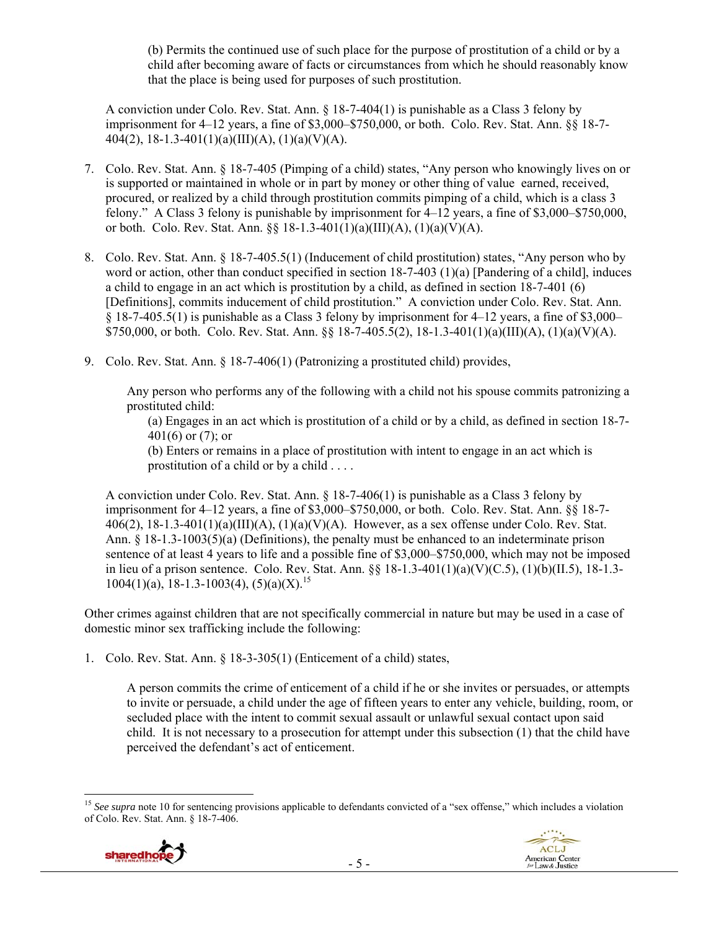(b) Permits the continued use of such place for the purpose of prostitution of a child or by a child after becoming aware of facts or circumstances from which he should reasonably know that the place is being used for purposes of such prostitution.

A conviction under Colo. Rev. Stat. Ann. § 18-7-404(1) is punishable as a Class 3 felony by imprisonment for 4–12 years, a fine of \$3,000–\$750,000, or both. Colo. Rev. Stat. Ann. §§ 18-7- 404(2), 18-1.3-401(1)(a)(III)(A), (1)(a)(V)(A).

- 7. Colo. Rev. Stat. Ann. § 18-7-405 (Pimping of a child) states, "Any person who knowingly lives on or is supported or maintained in whole or in part by money or other thing of value earned, received, procured, or realized by a child through prostitution commits pimping of a child, which is a class 3 felony." A Class 3 felony is punishable by imprisonment for 4–12 years, a fine of \$3,000–\$750,000, or both. Colo. Rev. Stat. Ann.  $\S$  18-1.3-401(1)(a)(III)(A), (1)(a)(V)(A).
- 8. Colo. Rev. Stat. Ann. § 18-7-405.5(1) (Inducement of child prostitution) states, "Any person who by word or action, other than conduct specified in section 18-7-403 (1)(a) [Pandering of a child], induces a child to engage in an act which is prostitution by a child, as defined in section 18-7-401 (6) [Definitions], commits inducement of child prostitution." A conviction under Colo. Rev. Stat. Ann. § 18-7-405.5(1) is punishable as a Class 3 felony by imprisonment for 4–12 years, a fine of \$3,000– \$750,000, or both. Colo. Rev. Stat. Ann.  $\S$  18-7-405.5(2), 18-1.3-401(1)(a)(III)(A), (1)(a)(V)(A).
- 9. Colo. Rev. Stat. Ann. § 18-7-406(1) (Patronizing a prostituted child) provides,

Any person who performs any of the following with a child not his spouse commits patronizing a prostituted child:

(a) Engages in an act which is prostitution of a child or by a child, as defined in section 18-7- 401(6) or (7); or

(b) Enters or remains in a place of prostitution with intent to engage in an act which is prostitution of a child or by a child . . . .

A conviction under Colo. Rev. Stat. Ann. § 18-7-406(1) is punishable as a Class 3 felony by imprisonment for 4–12 years, a fine of \$3,000–\$750,000, or both. Colo. Rev. Stat. Ann. §§ 18-7-  $406(2)$ ,  $18-1.3-401(1)(a)(III)(A)$ ,  $(1)(a)(V)(A)$ . However, as a sex offense under Colo. Rev. Stat. Ann. § 18-1.3-1003(5)(a) (Definitions), the penalty must be enhanced to an indeterminate prison sentence of at least 4 years to life and a possible fine of \$3,000–\$750,000, which may not be imposed in lieu of a prison sentence. Colo. Rev. Stat. Ann. §§ 18-1.3-401(1)(a)(V)(C.5), (1)(b)(II.5), 18-1.3-  $1004(1)(a)$ , 18-1.3-1003(4), (5)(a)(X).<sup>15</sup>

Other crimes against children that are not specifically commercial in nature but may be used in a case of domestic minor sex trafficking include the following:

1. Colo. Rev. Stat. Ann. § 18-3-305(1) (Enticement of a child) states,

A person commits the crime of enticement of a child if he or she invites or persuades, or attempts to invite or persuade, a child under the age of fifteen years to enter any vehicle, building, room, or secluded place with the intent to commit sexual assault or unlawful sexual contact upon said child. It is not necessary to a prosecution for attempt under this subsection (1) that the child have perceived the defendant's act of enticement.

 <sup>15</sup> See supra note 10 for sentencing provisions applicable to defendants convicted of a "sex offense," which includes a violation of Colo. Rev. Stat. Ann. § 18-7-406.



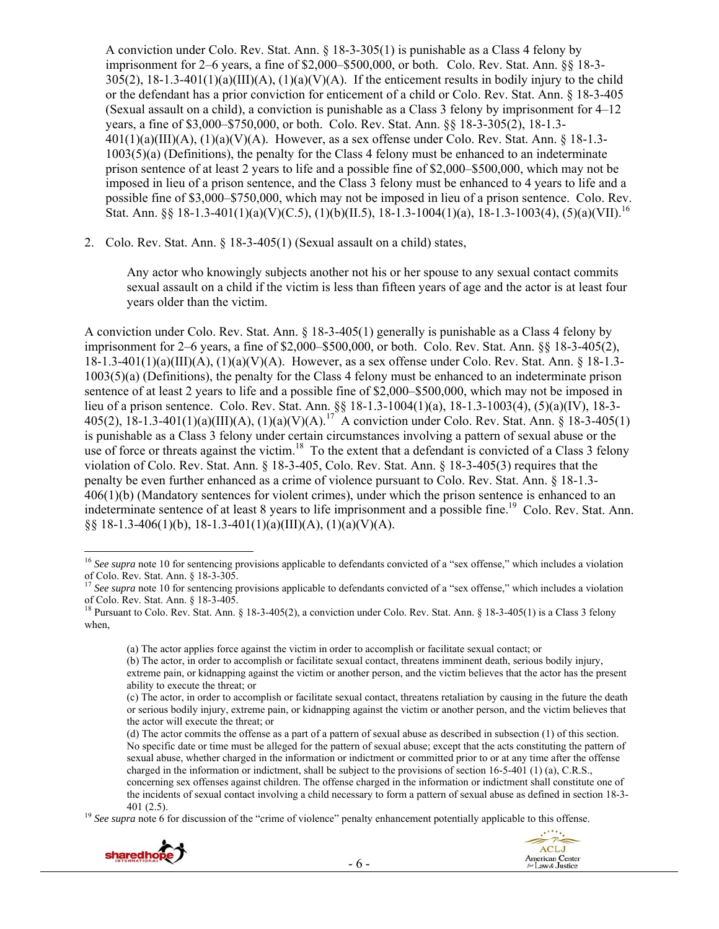A conviction under Colo. Rev. Stat. Ann. § 18-3-305(1) is punishable as a Class 4 felony by imprisonment for 2–6 years, a fine of \$2,000–\$500,000, or both. Colo. Rev. Stat. Ann. §§ 18-3-  $305(2)$ ,  $18-1.3-401(1)(a)(III)(A)$ ,  $(1)(a)(V)(A)$ . If the enticement results in bodily injury to the child or the defendant has a prior conviction for enticement of a child or Colo. Rev. Stat. Ann. § 18-3-405 (Sexual assault on a child), a conviction is punishable as a Class 3 felony by imprisonment for 4–12 years, a fine of \$3,000–\$750,000, or both. Colo. Rev. Stat. Ann. §§ 18-3-305(2), 18-1.3-  $401(1)(a)(III)(A)$ ,  $(1)(a)(V)(A)$ . However, as a sex offense under Colo. Rev. Stat. Ann. § 18-1.3- $1003(5)(a)$  (Definitions), the penalty for the Class 4 felony must be enhanced to an indeterminate prison sentence of at least 2 years to life and a possible fine of \$2,000–\$500,000, which may not be imposed in lieu of a prison sentence, and the Class 3 felony must be enhanced to 4 years to life and a possible fine of \$3,000–\$750,000, which may not be imposed in lieu of a prison sentence. Colo. Rev. Stat. Ann. §§ 18-1.3-401(1)(a)(V)(C.5), (1)(b)(II.5), 18-1.3-1004(1)(a), 18-1.3-1003(4), (5)(a)(VII).<sup>16</sup>

2. Colo. Rev. Stat. Ann. § 18-3-405(1) (Sexual assault on a child) states,

Any actor who knowingly subjects another not his or her spouse to any sexual contact commits sexual assault on a child if the victim is less than fifteen years of age and the actor is at least four years older than the victim.

A conviction under Colo. Rev. Stat. Ann. § 18-3-405(1) generally is punishable as a Class 4 felony by imprisonment for 2–6 years, a fine of \$2,000–\$500,000, or both. Colo. Rev. Stat. Ann. §§ 18-3-405(2), 18-1.3-401(1)(a)(III)(A), (1)(a)(V)(A). However, as a sex offense under Colo. Rev. Stat. Ann. § 18-1.3- 1003(5)(a) (Definitions), the penalty for the Class 4 felony must be enhanced to an indeterminate prison sentence of at least 2 years to life and a possible fine of \$2,000–\$500,000, which may not be imposed in lieu of a prison sentence. Colo. Rev. Stat. Ann. §§ 18-1.3-1004(1)(a), 18-1.3-1003(4), (5)(a)(IV), 18-3- 405(2), 18-1.3-401(1)(a)(III)(A), (1)(a)(V)(A).17 A conviction under Colo. Rev. Stat. Ann. § 18-3-405(1) is punishable as a Class 3 felony under certain circumstances involving a pattern of sexual abuse or the use of force or threats against the victim.<sup>18</sup> To the extent that a defendant is convicted of a Class 3 felony violation of Colo. Rev. Stat. Ann. § 18-3-405, Colo. Rev. Stat. Ann. § 18-3-405(3) requires that the penalty be even further enhanced as a crime of violence pursuant to Colo. Rev. Stat. Ann. § 18-1.3- 406(1)(b) (Mandatory sentences for violent crimes), under which the prison sentence is enhanced to an indeterminate sentence of at least 8 years to life imprisonment and a possible fine.<sup>19</sup> Colo. Rev. Stat. Ann. §§ 18-1.3-406(1)(b), 18-1.3-401(1)(a)(III)(A), (1)(a)(V)(A).

<sup>401 (2.5). 19</sup> *See supra* note 6 for discussion of the "crime of violence" penalty enhancement potentially applicable to this offense.





<sup>&</sup>lt;sup>16</sup> See supra note 10 for sentencing provisions applicable to defendants convicted of a "sex offense," which includes a violation of Colo. Rev. Stat. Ann. § 18-3-305.

<sup>&</sup>lt;sup>17</sup> See supra note 10 for sentencing provisions applicable to defendants convicted of a "sex offense," which includes a violation of Colo. Rev. Stat. Ann. § 18-3-405.

<sup>&</sup>lt;sup>18</sup> Pursuant to Colo. Rev. Stat. Ann. § 18-3-405(2), a conviction under Colo. Rev. Stat. Ann. § 18-3-405(1) is a Class 3 felony when,

<sup>(</sup>a) The actor applies force against the victim in order to accomplish or facilitate sexual contact; or

<sup>(</sup>b) The actor, in order to accomplish or facilitate sexual contact, threatens imminent death, serious bodily injury, extreme pain, or kidnapping against the victim or another person, and the victim believes that the actor has the present ability to execute the threat; or

<sup>(</sup>c) The actor, in order to accomplish or facilitate sexual contact, threatens retaliation by causing in the future the death or serious bodily injury, extreme pain, or kidnapping against the victim or another person, and the victim believes that the actor will execute the threat; or

<sup>(</sup>d) The actor commits the offense as a part of a pattern of sexual abuse as described in subsection (1) of this section. No specific date or time must be alleged for the pattern of sexual abuse; except that the acts constituting the pattern of sexual abuse, whether charged in the information or indictment or committed prior to or at any time after the offense charged in the information or indictment, shall be subject to the provisions of section 16-5-401 (1) (a), C.R.S., concerning sex offenses against children. The offense charged in the information or indictment shall constitute one of the incidents of sexual contact involving a child necessary to form a pattern of sexual abuse as defined in section 18-3-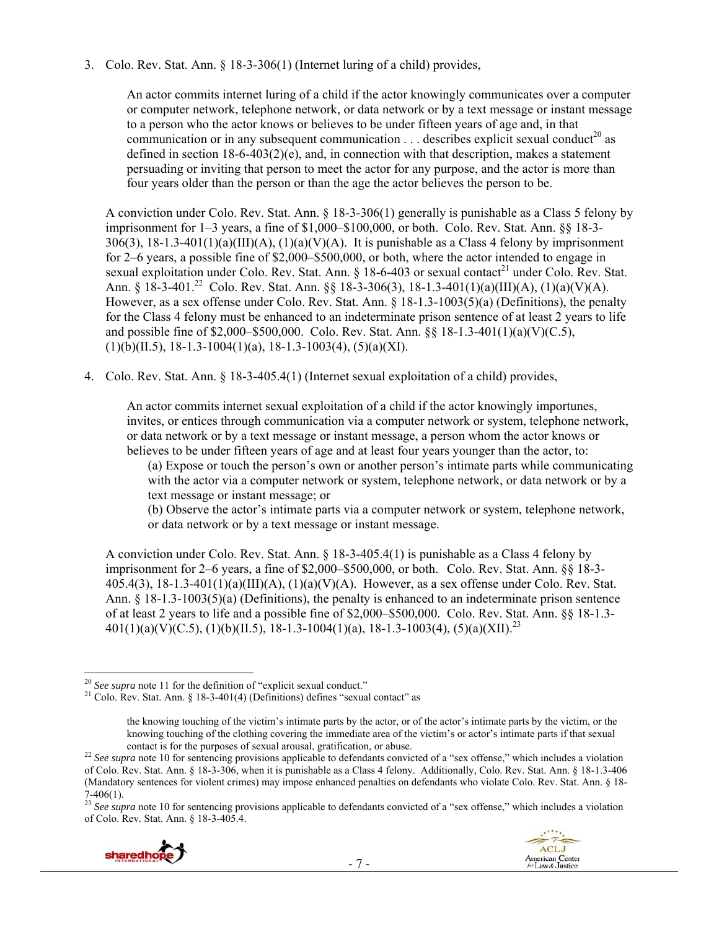3. Colo. Rev. Stat. Ann. § 18-3-306(1) (Internet luring of a child) provides,

An actor commits internet luring of a child if the actor knowingly communicates over a computer or computer network, telephone network, or data network or by a text message or instant message to a person who the actor knows or believes to be under fifteen years of age and, in that communication or in any subsequent communication  $\dots$  describes explicit sexual conduct<sup>20</sup> as defined in section  $18-6-403(2)(e)$ , and, in connection with that description, makes a statement persuading or inviting that person to meet the actor for any purpose, and the actor is more than four years older than the person or than the age the actor believes the person to be.

A conviction under Colo. Rev. Stat. Ann. § 18-3-306(1) generally is punishable as a Class 5 felony by imprisonment for 1–3 years, a fine of \$1,000–\$100,000, or both. Colo. Rev. Stat. Ann. §§ 18-3- 306(3), 18-1.3-401(1)(a)(III)(A), (1)(a)(V)(A). It is punishable as a Class 4 felony by imprisonment for 2–6 years, a possible fine of \$2,000–\$500,000, or both, where the actor intended to engage in sexual exploitation under Colo. Rev. Stat. Ann. § 18-6-403 or sexual contact<sup>21</sup> under Colo. Rev. Stat. Ann. §  $18-3-401^{22}$  Colo. Rev. Stat. Ann. §§ 18-3-306(3), 18-1.3-401(1)(a)(III)(A), (1)(a)(V)(A). However, as a sex offense under Colo. Rev. Stat. Ann. § 18-1.3-1003(5)(a) (Definitions), the penalty for the Class 4 felony must be enhanced to an indeterminate prison sentence of at least 2 years to life and possible fine of \$2,000–\$500,000. Colo. Rev. Stat. Ann. §§ 18-1.3-401(1)(a)(V)(C.5),  $(1)(b)(II.5)$ , 18-1.3-1004 $(1)(a)$ , 18-1.3-1003 $(4)$ ,  $(5)(a)(XI)$ .

4. Colo. Rev. Stat. Ann. § 18-3-405.4(1) (Internet sexual exploitation of a child) provides,

An actor commits internet sexual exploitation of a child if the actor knowingly importunes, invites, or entices through communication via a computer network or system, telephone network, or data network or by a text message or instant message, a person whom the actor knows or believes to be under fifteen years of age and at least four years younger than the actor, to:

(a) Expose or touch the person's own or another person's intimate parts while communicating with the actor via a computer network or system, telephone network, or data network or by a text message or instant message; or

(b) Observe the actor's intimate parts via a computer network or system, telephone network, or data network or by a text message or instant message.

A conviction under Colo. Rev. Stat. Ann. § 18-3-405.4(1) is punishable as a Class 4 felony by imprisonment for 2–6 years, a fine of \$2,000–\$500,000, or both. Colo. Rev. Stat. Ann. §§ 18-3-  $405.4(3)$ ,  $18-1.3-401(1)(a)(III)(A)$ ,  $(1)(a)(V)(A)$ . However, as a sex offense under Colo. Rev. Stat. Ann. § 18-1.3-1003(5)(a) (Definitions), the penalty is enhanced to an indeterminate prison sentence of at least 2 years to life and a possible fine of \$2,000–\$500,000. Colo. Rev. Stat. Ann. §§ 18-1.3-  $401(1)(a)(V)(C.5), (1)(b)(II.5), 18-1.3-1004(1)(a), 18-1.3-1003(4), (5)(a)(XII).^{23}$ 

<sup>&</sup>lt;sup>23</sup> See supra note 10 for sentencing provisions applicable to defendants convicted of a "sex offense," which includes a violation of Colo. Rev. Stat. Ann. § 18-3-405.4.



<sup>&</sup>lt;sup>20</sup> See supra note 11 for the definition of "explicit sexual conduct."

<sup>&</sup>lt;sup>21</sup> Colo. Rev. Stat. Ann. § 18-3-401(4) (Definitions) defines "sexual contact" as

the knowing touching of the victim's intimate parts by the actor, or of the actor's intimate parts by the victim, or the knowing touching of the clothing covering the immediate area of the victim's or actor's intimate parts if that sexual

contact is for the purposes of sexual arousal, gratification, or abuse. 22 *See supra* note 10 for sentencing provisions applicable to defendants convicted of a "sex offense," which includes a violation of Colo. Rev. Stat. Ann. § 18-3-306, when it is punishable as a Class 4 felony. Additionally, Colo. Rev. Stat. Ann. § 18-1.3-406 (Mandatory sentences for violent crimes) may impose enhanced penalties on defendants who violate Colo. Rev. Stat. Ann. § 18- 7-406(1).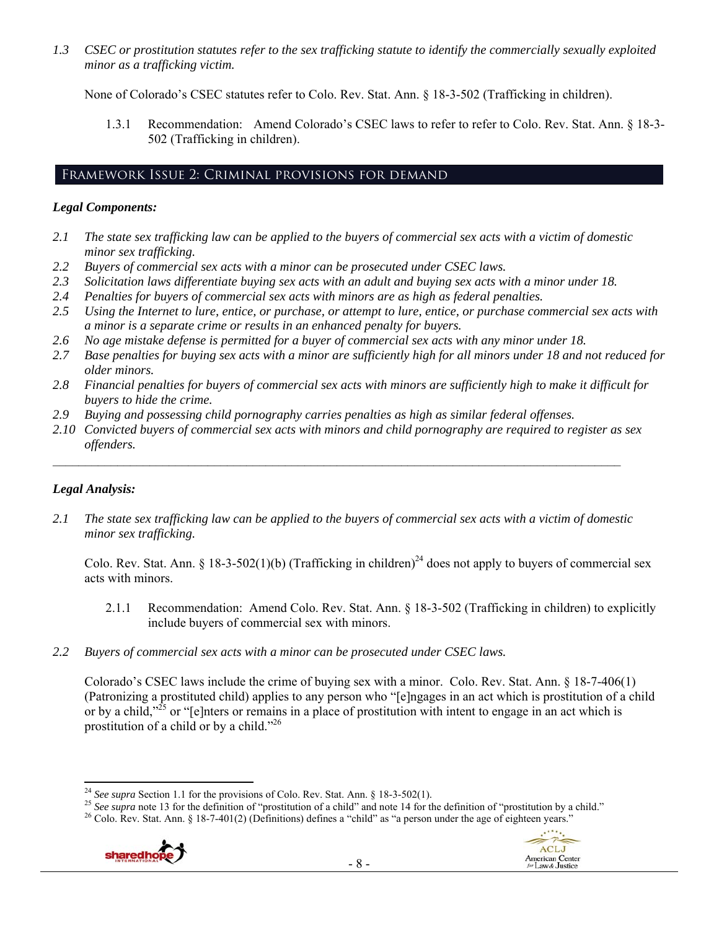*1.3 CSEC or prostitution statutes refer to the sex trafficking statute to identify the commercially sexually exploited minor as a trafficking victim.* 

None of Colorado's CSEC statutes refer to Colo. Rev. Stat. Ann. § 18-3-502 (Trafficking in children).

1.3.1 Recommendation: Amend Colorado's CSEC laws to refer to refer to Colo. Rev. Stat. Ann. § 18-3- 502 (Trafficking in children).

# Framework Issue 2: Criminal provisions for demand

# *Legal Components:*

- *2.1 The state sex trafficking law can be applied to the buyers of commercial sex acts with a victim of domestic minor sex trafficking.*
- *2.2 Buyers of commercial sex acts with a minor can be prosecuted under CSEC laws.*
- *2.3 Solicitation laws differentiate buying sex acts with an adult and buying sex acts with a minor under 18.*
- *2.4 Penalties for buyers of commercial sex acts with minors are as high as federal penalties.*
- *2.5 Using the Internet to lure, entice, or purchase, or attempt to lure, entice, or purchase commercial sex acts with a minor is a separate crime or results in an enhanced penalty for buyers.*
- *2.6 No age mistake defense is permitted for a buyer of commercial sex acts with any minor under 18.*
- *2.7 Base penalties for buying sex acts with a minor are sufficiently high for all minors under 18 and not reduced for older minors.*
- *2.8 Financial penalties for buyers of commercial sex acts with minors are sufficiently high to make it difficult for buyers to hide the crime.*
- *2.9 Buying and possessing child pornography carries penalties as high as similar federal offenses.*
- *2.10 Convicted buyers of commercial sex acts with minors and child pornography are required to register as sex offenders.*

 $\mathcal{L}_\mathcal{L} = \{ \mathcal{L}_\mathcal{L} = \{ \mathcal{L}_\mathcal{L} = \{ \mathcal{L}_\mathcal{L} = \{ \mathcal{L}_\mathcal{L} = \{ \mathcal{L}_\mathcal{L} = \{ \mathcal{L}_\mathcal{L} = \{ \mathcal{L}_\mathcal{L} = \{ \mathcal{L}_\mathcal{L} = \{ \mathcal{L}_\mathcal{L} = \{ \mathcal{L}_\mathcal{L} = \{ \mathcal{L}_\mathcal{L} = \{ \mathcal{L}_\mathcal{L} = \{ \mathcal{L}_\mathcal{L} = \{ \mathcal{L}_\mathcal{$ 

# *Legal Analysis:*

*2.1 The state sex trafficking law can be applied to the buyers of commercial sex acts with a victim of domestic minor sex trafficking.* 

Colo. Rev. Stat. Ann. § 18-3-502(1)(b) (Trafficking in children)<sup>24</sup> does not apply to buyers of commercial sex acts with minors.

- 2.1.1 Recommendation: Amend Colo. Rev. Stat. Ann. § 18-3-502 (Trafficking in children) to explicitly include buyers of commercial sex with minors.
- *2.2 Buyers of commercial sex acts with a minor can be prosecuted under CSEC laws.*

Colorado's CSEC laws include the crime of buying sex with a minor. Colo. Rev. Stat. Ann. § 18-7-406(1) (Patronizing a prostituted child) applies to any person who "[e]ngages in an act which is prostitution of a child or by a child,"<sup>25</sup> or "[e]nters or remains in a place of prostitution with intent to engage in an act which is prostitution of a child or by a child."26





<sup>&</sup>lt;sup>24</sup> See supra Section 1.1 for the provisions of Colo. Rev. Stat. Ann. § 18-3-502(1).

<sup>&</sup>lt;sup>25</sup> See supra note 13 for the definition of "prostitution of a child" and note 14 for the definition of "prostitution by a child."<br><sup>26</sup> Colo. Rev. Stat. Ann. § 18-7-401(2) (Definitions) defines a "child" as "a person und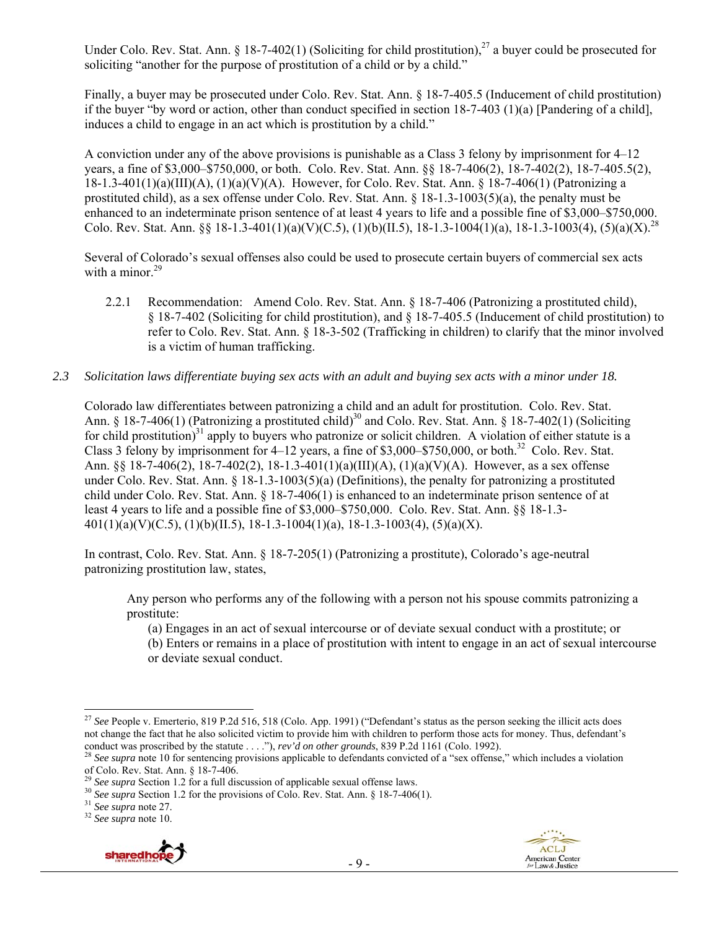Under Colo. Rev. Stat. Ann. § 18-7-402(1) (Soliciting for child prostitution),<sup>27</sup> a buyer could be prosecuted for soliciting "another for the purpose of prostitution of a child or by a child."

Finally, a buyer may be prosecuted under Colo. Rev. Stat. Ann. § 18-7-405.5 (Inducement of child prostitution) if the buyer "by word or action, other than conduct specified in section  $18-7-403$  (1)(a) [Pandering of a child], induces a child to engage in an act which is prostitution by a child."

A conviction under any of the above provisions is punishable as a Class 3 felony by imprisonment for 4–12 years, a fine of \$3,000–\$750,000, or both. Colo. Rev. Stat. Ann. §§ 18-7-406(2), 18-7-402(2), 18-7-405.5(2),  $18-1.3-401(1)(a)(III)(A)$ ,  $(1)(a)(V)(A)$ . However, for Colo. Rev. Stat. Ann. § 18-7-406(1) (Patronizing a prostituted child), as a sex offense under Colo. Rev. Stat. Ann. § 18-1.3-1003(5)(a), the penalty must be enhanced to an indeterminate prison sentence of at least 4 years to life and a possible fine of \$3,000–\$750,000. Colo. Rev. Stat. Ann. §§ 18-1.3-401(1)(a)(V)(C.5), (1)(b)(II.5), 18-1.3-1004(1)(a), 18-1.3-1003(4), (5)(a)(X).<sup>28</sup>

Several of Colorado's sexual offenses also could be used to prosecute certain buyers of commercial sex acts with a minor.<sup>29</sup>

- 2.2.1 Recommendation: Amend Colo. Rev. Stat. Ann. § 18-7-406 (Patronizing a prostituted child), § 18-7-402 (Soliciting for child prostitution), and § 18-7-405.5 (Inducement of child prostitution) to refer to Colo. Rev. Stat. Ann. § 18-3-502 (Trafficking in children) to clarify that the minor involved is a victim of human trafficking.
- *2.3 Solicitation laws differentiate buying sex acts with an adult and buying sex acts with a minor under 18.*

Colorado law differentiates between patronizing a child and an adult for prostitution. Colo. Rev. Stat. Ann. § 18-7-406(1) (Patronizing a prostituted child)<sup>30</sup> and Colo. Rev. Stat. Ann. § 18-7-402(1) (Soliciting for child prostitution)<sup>31</sup> apply to buyers who patronize or solicit children. A violation of either statute is a Class 3 felony by imprisonment for  $4-12$  years, a fine of \$3,000–\$750,000, or both.<sup>32</sup> Colo. Rev. Stat. Ann. §§ 18-7-406(2), 18-7-402(2), 18-1.3-401(1)(a)(III)(A), (1)(a)(V)(A). However, as a sex offense under Colo. Rev. Stat. Ann. § 18-1.3-1003(5)(a) (Definitions), the penalty for patronizing a prostituted child under Colo. Rev. Stat. Ann. § 18-7-406(1) is enhanced to an indeterminate prison sentence of at least 4 years to life and a possible fine of \$3,000–\$750,000. Colo. Rev. Stat. Ann. §§ 18-1.3-  $401(1)(a)(V)(C.5), (1)(b)(II.5), 18-1.3-1004(1)(a), 18-1.3-1003(4), (5)(a)(X).$ 

In contrast, Colo. Rev. Stat. Ann. § 18-7-205(1) (Patronizing a prostitute), Colorado's age-neutral patronizing prostitution law, states,

Any person who performs any of the following with a person not his spouse commits patronizing a prostitute:

(a) Engages in an act of sexual intercourse or of deviate sexual conduct with a prostitute; or

(b) Enters or remains in a place of prostitution with intent to engage in an act of sexual intercourse or deviate sexual conduct.



 <sup>27</sup> See People v. Emerterio, 819 P.2d 516, 518 (Colo. App. 1991) ("Defendant's status as the person seeking the illicit acts does not change the fact that he also solicited victim to provide him with children to perform those acts for money. Thus, defendant's conduct was proscribed by the statute ...."), rev'd on other grounds, 839 P.2d 1161 (Colo. 1992).<br><sup>28</sup> See supra note 10 for sentencing provisions applicable to defendants convicted of a "sex offense," which includes a vi

of Colo. Rev. Stat. Ann.  $\S$  18-7-406.<br>
<sup>29</sup> See supra Section 1.2 for a full discussion of applicable sexual offense laws.

<sup>&</sup>lt;sup>30</sup> See supra Section 1.2 for the provisions of Colo. Rev. Stat. Ann. § 18-7-406(1).<br><sup>31</sup> See supra note 27.<br><sup>32</sup> See supra note 10.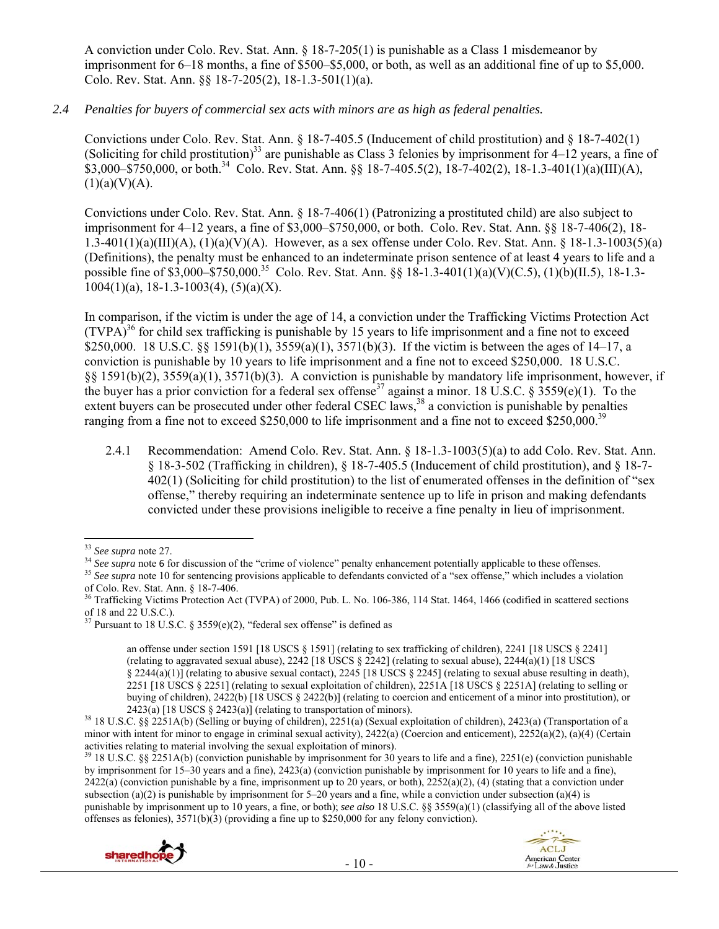A conviction under Colo. Rev. Stat. Ann. § 18-7-205(1) is punishable as a Class 1 misdemeanor by imprisonment for 6–18 months, a fine of \$500–\$5,000, or both, as well as an additional fine of up to \$5,000. Colo. Rev. Stat. Ann. §§ 18-7-205(2), 18-1.3-501(1)(a).

#### *2.4 Penalties for buyers of commercial sex acts with minors are as high as federal penalties.*

Convictions under Colo. Rev. Stat. Ann. § 18-7-405.5 (Inducement of child prostitution) and § 18-7-402(1) (Soliciting for child prostitution)<sup>33</sup> are punishable as Class 3 felonies by imprisonment for  $4-12$  years, a fine of  $$3,000-\$750,000$ , or both.<sup>34</sup> Colo. Rev. Stat. Ann. §§ 18-7-405.5(2), 18-7-402(2), 18-1.3-401(1)(a)(III)(A),  $(1)(a)(V)(A)$ .

Convictions under Colo. Rev. Stat. Ann. § 18-7-406(1) (Patronizing a prostituted child) are also subject to imprisonment for 4–12 years, a fine of \$3,000–\$750,000, or both. Colo. Rev. Stat. Ann. §§ 18-7-406(2), 18- 1.3-401(1)(a)(III)(A), (1)(a)(V)(A). However, as a sex offense under Colo. Rev. Stat. Ann. § 18-1.3-1003(5)(a) (Definitions), the penalty must be enhanced to an indeterminate prison sentence of at least 4 years to life and a possible fine of \$3,000–\$750,000.<sup>35</sup> Colo. Rev. Stat. Ann. §§ 18-1.3-401(1)(a)(V)(C.5), (1)(b)(II.5), 18-1.3- $1004(1)(a)$ , 18-1.3-1003(4), (5)(a)(X).

In comparison, if the victim is under the age of 14, a conviction under the Trafficking Victims Protection Act  $(TVPA)<sup>36</sup>$  for child sex trafficking is punishable by 15 years to life imprisonment and a fine not to exceed \$250,000. 18 U.S.C. §§ 1591(b)(1), 3559(a)(1), 3571(b)(3). If the victim is between the ages of 14–17, a conviction is punishable by 10 years to life imprisonment and a fine not to exceed \$250,000. 18 U.S.C. §§ 1591(b)(2), 3559(a)(1), 3571(b)(3). A conviction is punishable by mandatory life imprisonment, however, if the buyer has a prior conviction for a federal sex offense<sup>37</sup> against a minor. 18 U.S.C. § 3559(e)(1). To the extent buyers can be prosecuted under other federal CSEC laws,  $^{38}$  a conviction is punishable by penalties ranging from a fine not to exceed \$250,000 to life imprisonment and a fine not to exceed \$250,000.<sup>39</sup>

2.4.1 Recommendation: Amend Colo. Rev. Stat. Ann. § 18-1.3-1003(5)(a) to add Colo. Rev. Stat. Ann. § 18-3-502 (Trafficking in children), § 18-7-405.5 (Inducement of child prostitution), and § 18-7- 402(1) (Soliciting for child prostitution) to the list of enumerated offenses in the definition of "sex offense," thereby requiring an indeterminate sentence up to life in prison and making defendants convicted under these provisions ineligible to receive a fine penalty in lieu of imprisonment.

 $39$  18 U.S.C. §§ 2251A(b) (conviction punishable by imprisonment for 30 years to life and a fine), 2251(e) (conviction punishable by imprisonment for 15–30 years and a fine), 2423(a) (conviction punishable by imprisonment for 10 years to life and a fine),  $2422(a)$  (conviction punishable by a fine, imprisonment up to 20 years, or both),  $2252(a)(2)$ , (4) (stating that a conviction under subsection (a)(2) is punishable by imprisonment for 5–20 years and a fine, while a conviction under subsection (a)(4) is punishable by imprisonment up to 10 years, a fine, or both); *see also* 18 U.S.C. §§ 3559(a)(1) (classifying all of the above listed offenses as felonies),  $3571(b)(3)$  (providing a fine up to \$250,000 for any felony conviction).



<sup>&</sup>lt;sup>33</sup> See supra note 27.<br><sup>34</sup> See supra note 6 for discussion of the "crime of violence" penalty enhancement potentially applicable to these offenses.<br><sup>35</sup> See supra note 10 for sentencing provisions applicable to defendan of Colo. Rev. Stat. Ann. § 18-7-406.

 $36$  Trafficking Victims Protection Act (TVPA) of 2000, Pub. L. No. 106-386, 114 Stat. 1464, 1466 (codified in scattered sections of 18 and 22 U.S.C.).

 $37$  Pursuant to 18 U.S.C. § 3559(e)(2), "federal sex offense" is defined as

an offense under section 1591 [18 USCS § 1591] (relating to sex trafficking of children), 2241 [18 USCS § 2241] (relating to aggravated sexual abuse),  $2242$  [18 USCS §  $2242$ ] (relating to sexual abuse),  $2244(a)(1)$  [18 USCS  $\S 2244(a)(1)$  (relating to abusive sexual contact),  $2245$  [18 USCS  $\S 2245$ ] (relating to sexual abuse resulting in death), 2251 [18 USCS § 2251] (relating to sexual exploitation of children), 2251A [18 USCS § 2251A] (relating to selling or buying of children),  $2422(b)$  [18 USCS §  $2422(b)$ ] (relating to coercion and enticement of a minor into prostitution), or  $2423(a)$  [18 USCS §  $2423(a)$ ] (relating to transportation of minors).

<sup>&</sup>lt;sup>38</sup> 18 U.S.C. §§ 2251A(b) (Selling or buying of children), 2251(a) (Sexual exploitation of children), 2423(a) (Transportation of a minor with intent for minor to engage in criminal sexual activity),  $2422(a)$  (Coercion and enticement),  $2252(a)(2)$ ,  $(a)(4)$  (Certain activities relating to material involving the sexual exploitation of minors).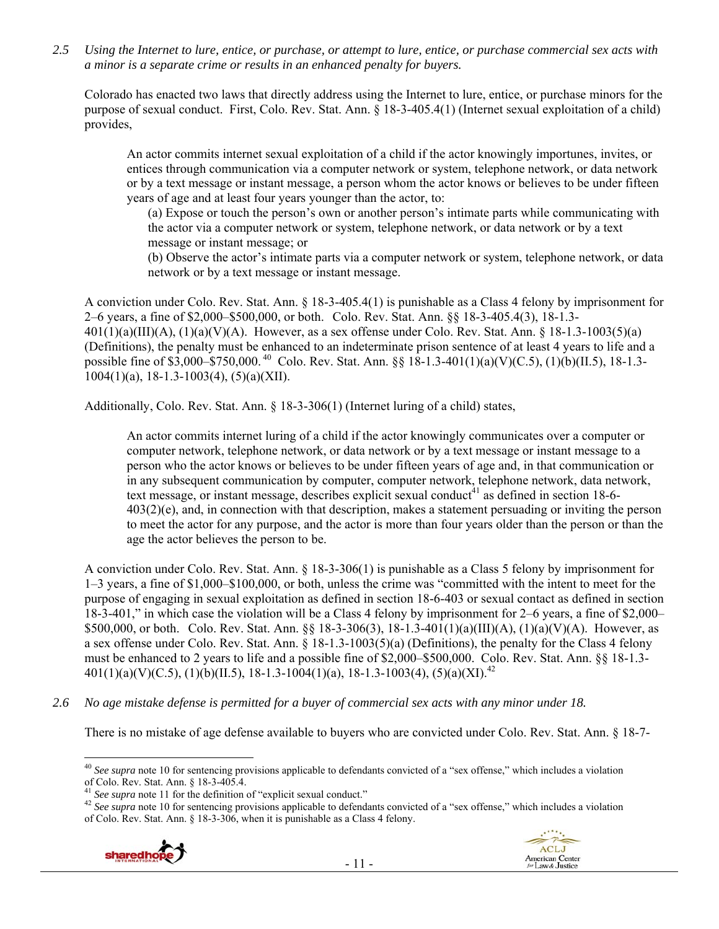*2.5 Using the Internet to lure, entice, or purchase, or attempt to lure, entice, or purchase commercial sex acts with a minor is a separate crime or results in an enhanced penalty for buyers.* 

Colorado has enacted two laws that directly address using the Internet to lure, entice, or purchase minors for the purpose of sexual conduct. First, Colo. Rev. Stat. Ann. § 18-3-405.4(1) (Internet sexual exploitation of a child) provides,

An actor commits internet sexual exploitation of a child if the actor knowingly importunes, invites, or entices through communication via a computer network or system, telephone network, or data network or by a text message or instant message, a person whom the actor knows or believes to be under fifteen years of age and at least four years younger than the actor, to:

(a) Expose or touch the person's own or another person's intimate parts while communicating with the actor via a computer network or system, telephone network, or data network or by a text message or instant message; or

(b) Observe the actor's intimate parts via a computer network or system, telephone network, or data network or by a text message or instant message.

A conviction under Colo. Rev. Stat. Ann. § 18-3-405.4(1) is punishable as a Class 4 felony by imprisonment for 2–6 years, a fine of \$2,000–\$500,000, or both. Colo. Rev. Stat. Ann. §§ 18-3-405.4(3), 18-1.3- 401(1)(a)(III)(A), (1)(a)(V)(A). However, as a sex offense under Colo. Rev. Stat. Ann. § 18-1.3-1003(5)(a) (Definitions), the penalty must be enhanced to an indeterminate prison sentence of at least 4 years to life and a possible fine of \$3,000–\$750,000. 40 Colo. Rev. Stat. Ann. §§ 18-1.3-401(1)(a)(V)(C.5), (1)(b)(II.5), 18-1.3-  $1004(1)(a)$ , 18-1.3-1003(4), (5)(a)(XII).

Additionally, Colo. Rev. Stat. Ann. § 18-3-306(1) (Internet luring of a child) states,

An actor commits internet luring of a child if the actor knowingly communicates over a computer or computer network, telephone network, or data network or by a text message or instant message to a person who the actor knows or believes to be under fifteen years of age and, in that communication or in any subsequent communication by computer, computer network, telephone network, data network, text message, or instant message, describes explicit sexual conduct<sup>41</sup> as defined in section 18-6-403(2)(e), and, in connection with that description, makes a statement persuading or inviting the person to meet the actor for any purpose, and the actor is more than four years older than the person or than the age the actor believes the person to be.

A conviction under Colo. Rev. Stat. Ann. § 18-3-306(1) is punishable as a Class 5 felony by imprisonment for 1–3 years, a fine of \$1,000–\$100,000, or both, unless the crime was "committed with the intent to meet for the purpose of engaging in sexual exploitation as defined in section 18-6-403 or sexual contact as defined in section 18-3-401," in which case the violation will be a Class 4 felony by imprisonment for 2–6 years, a fine of \$2,000– \$500,000, or both. Colo. Rev. Stat. Ann. §§ 18-3-306(3), 18-1.3-401(1)(a)(III)(A), (1)(a)(V)(A). However, as a sex offense under Colo. Rev. Stat. Ann.  $\S$  18-1.3-1003(5)(a) (Definitions), the penalty for the Class 4 felony must be enhanced to 2 years to life and a possible fine of \$2,000–\$500,000. Colo. Rev. Stat. Ann. §§ 18-1.3-  $401(1)(a)(V)(C.5), (1)(b)(II.5), 18-1.3-1004(1)(a), 18-1.3-1003(4), (5)(a)(XI).$ <sup>42</sup>

*2.6 No age mistake defense is permitted for a buyer of commercial sex acts with any minor under 18.* 

There is no mistake of age defense available to buyers who are convicted under Colo. Rev. Stat. Ann. § 18-7-

- 11 -





 <sup>40</sup> See supra note 10 for sentencing provisions applicable to defendants convicted of a "sex offense," which includes a violation of Colo. Rev. Stat. Ann. § 18-3-405.4.<br><sup>41</sup> See supra note 11 for the definition of "explicit sexual conduct."

<sup>&</sup>lt;sup>42</sup> See supra note 10 for sentencing provisions applicable to defendants convicted of a "sex offense," which includes a violation of Colo. Rev. Stat. Ann. § 18-3-306, when it is punishable as a Class 4 felony.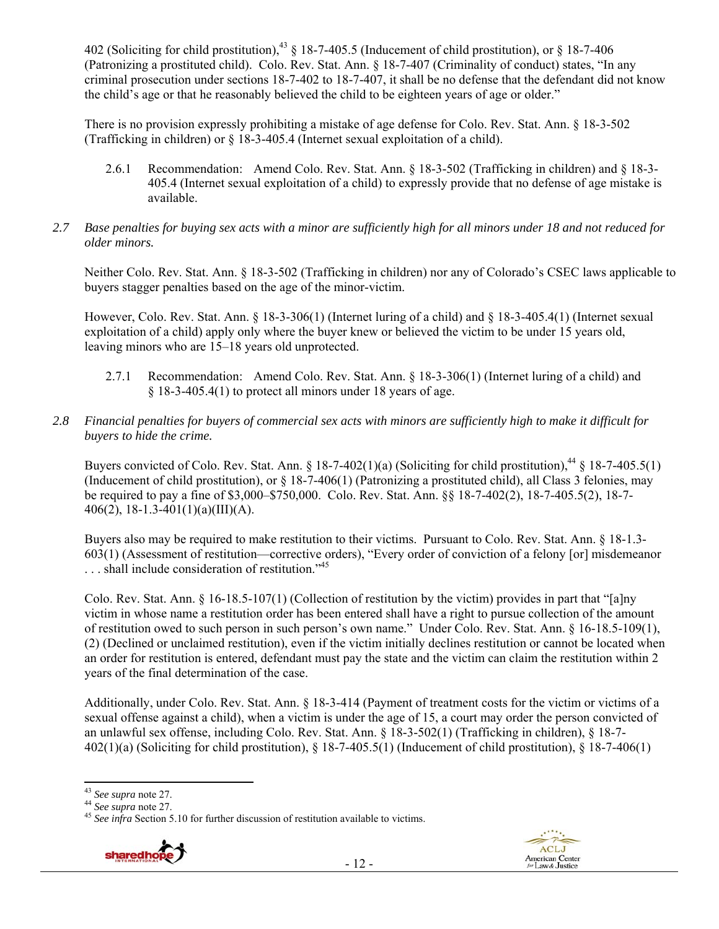402 (Soliciting for child prostitution),<sup>43</sup> § 18-7-405.5 (Inducement of child prostitution), or § 18-7-406 (Patronizing a prostituted child). Colo. Rev. Stat. Ann. § 18-7-407 (Criminality of conduct) states, "In any criminal prosecution under sections 18-7-402 to 18-7-407, it shall be no defense that the defendant did not know the child's age or that he reasonably believed the child to be eighteen years of age or older."

There is no provision expressly prohibiting a mistake of age defense for Colo. Rev. Stat. Ann. § 18-3-502 (Trafficking in children) or § 18-3-405.4 (Internet sexual exploitation of a child).

- 2.6.1 Recommendation: Amend Colo. Rev. Stat. Ann. § 18-3-502 (Trafficking in children) and § 18-3- 405.4 (Internet sexual exploitation of a child) to expressly provide that no defense of age mistake is available.
- *2.7 Base penalties for buying sex acts with a minor are sufficiently high for all minors under 18 and not reduced for older minors.*

Neither Colo. Rev. Stat. Ann. § 18-3-502 (Trafficking in children) nor any of Colorado's CSEC laws applicable to buyers stagger penalties based on the age of the minor-victim.

However, Colo. Rev. Stat. Ann. § 18-3-306(1) (Internet luring of a child) and § 18-3-405.4(1) (Internet sexual exploitation of a child) apply only where the buyer knew or believed the victim to be under 15 years old, leaving minors who are 15–18 years old unprotected.

- 2.7.1 Recommendation: Amend Colo. Rev. Stat. Ann. § 18-3-306(1) (Internet luring of a child) and § 18-3-405.4(1) to protect all minors under 18 years of age.
- *2.8 Financial penalties for buyers of commercial sex acts with minors are sufficiently high to make it difficult for buyers to hide the crime.*

Buyers convicted of Colo. Rev. Stat. Ann. § 18-7-402(1)(a) (Soliciting for child prostitution),<sup>44</sup> § 18-7-405.5(1) (Inducement of child prostitution), or § 18-7-406(1) (Patronizing a prostituted child), all Class 3 felonies, may be required to pay a fine of \$3,000–\$750,000. Colo. Rev. Stat. Ann. §§ 18-7-402(2), 18-7-405.5(2), 18-7- 406(2), 18-1.3-401(1)(a)(III)(A).

Buyers also may be required to make restitution to their victims. Pursuant to Colo. Rev. Stat. Ann. § 18-1.3- 603(1) (Assessment of restitution—corrective orders), "Every order of conviction of a felony [or] misdemeanor  $\ldots$  shall include consideration of restitution.<sup> $345$ </sup>

Colo. Rev. Stat. Ann. § 16-18.5-107(1) (Collection of restitution by the victim) provides in part that "[a]ny victim in whose name a restitution order has been entered shall have a right to pursue collection of the amount of restitution owed to such person in such person's own name." Under Colo. Rev. Stat. Ann. § 16-18.5-109(1), (2) (Declined or unclaimed restitution), even if the victim initially declines restitution or cannot be located when an order for restitution is entered, defendant must pay the state and the victim can claim the restitution within 2 years of the final determination of the case.

Additionally, under Colo. Rev. Stat. Ann. § 18-3-414 (Payment of treatment costs for the victim or victims of a sexual offense against a child), when a victim is under the age of 15, a court may order the person convicted of an unlawful sex offense, including Colo. Rev. Stat. Ann. § 18-3-502(1) (Trafficking in children), § 18-7-  $402(1)(a)$  (Soliciting for child prostitution), § 18-7-405.5(1) (Inducement of child prostitution), § 18-7-406(1)

<sup>43</sup> *See supra* note 27. 44 *See supra* note 27. 45 *See infra* Section 5.10 for further discussion of restitution available to victims.





<sup>&</sup>lt;sup>43</sup> See supra note 27.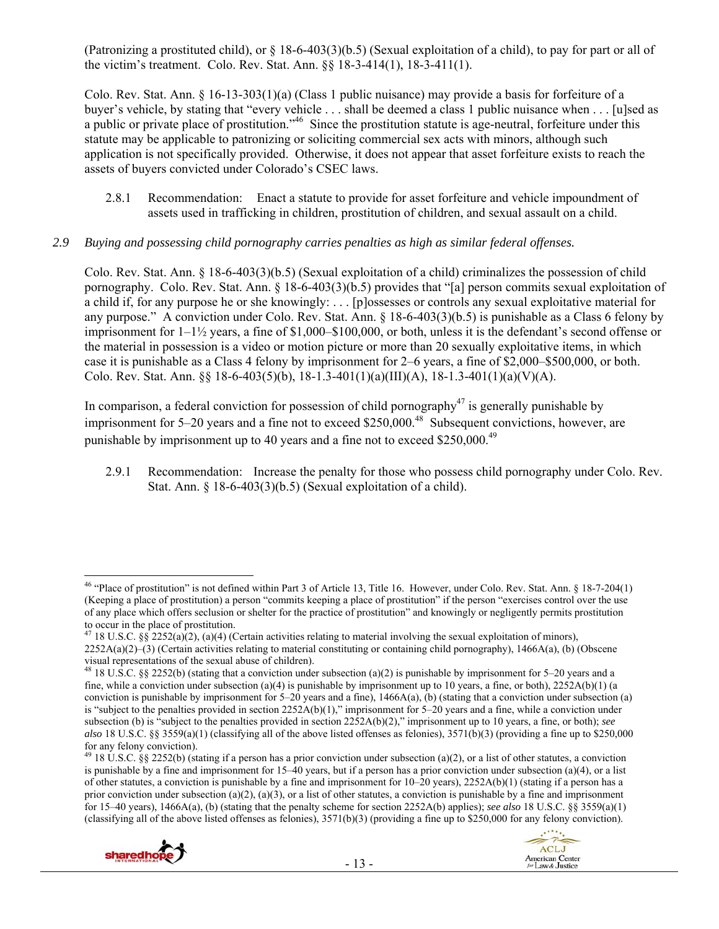(Patronizing a prostituted child), or  $\S$  18-6-403(3)(b.5) (Sexual exploitation of a child), to pay for part or all of the victim's treatment. Colo. Rev. Stat. Ann. §§ 18-3-414(1), 18-3-411(1).

Colo. Rev. Stat. Ann. § 16-13-303(1)(a) (Class 1 public nuisance) may provide a basis for forfeiture of a buyer's vehicle, by stating that "every vehicle . . . shall be deemed a class 1 public nuisance when . . . [u]sed as a public or private place of prostitution."46 Since the prostitution statute is age-neutral, forfeiture under this statute may be applicable to patronizing or soliciting commercial sex acts with minors, although such application is not specifically provided. Otherwise, it does not appear that asset forfeiture exists to reach the assets of buyers convicted under Colorado's CSEC laws.

2.8.1 Recommendation: Enact a statute to provide for asset forfeiture and vehicle impoundment of assets used in trafficking in children, prostitution of children, and sexual assault on a child.

## *2.9 Buying and possessing child pornography carries penalties as high as similar federal offenses.*

Colo. Rev. Stat. Ann. § 18-6-403(3)(b.5) (Sexual exploitation of a child) criminalizes the possession of child pornography. Colo. Rev. Stat. Ann. § 18-6-403(3)(b.5) provides that "[a] person commits sexual exploitation of a child if, for any purpose he or she knowingly: . . . [p]ossesses or controls any sexual exploitative material for any purpose." A conviction under Colo. Rev. Stat. Ann. § 18-6-403(3)(b.5) is punishable as a Class 6 felony by imprisonment for  $1-1\frac{1}{2}$  years, a fine of \$1,000–\$100,000, or both, unless it is the defendant's second offense or the material in possession is a video or motion picture or more than 20 sexually exploitative items, in which case it is punishable as a Class 4 felony by imprisonment for 2–6 years, a fine of \$2,000–\$500,000, or both. Colo. Rev. Stat. Ann. §§ 18-6-403(5)(b), 18-1.3-401(1)(a)(III)(A), 18-1.3-401(1)(a)(V)(A).

In comparison, a federal conviction for possession of child pornography<sup>47</sup> is generally punishable by imprisonment for 5–20 years and a fine not to exceed \$250,000.<sup>48</sup> Subsequent convictions, however, are punishable by imprisonment up to 40 years and a fine not to exceed \$250,000.<sup>49</sup>

2.9.1 Recommendation: Increase the penalty for those who possess child pornography under Colo. Rev. Stat. Ann. § 18-6-403(3)(b.5) (Sexual exploitation of a child).

<sup>&</sup>lt;sup>49</sup> 18 U.S.C. §§ 2252(b) (stating if a person has a prior conviction under subsection (a)(2), or a list of other statutes, a conviction is punishable by a fine and imprisonment for 15–40 years, but if a person has a prior conviction under subsection (a)(4), or a list of other statutes, a conviction is punishable by a fine and imprisonment for  $10-20$  years),  $2252A(b)(1)$  (stating if a person has a prior conviction under subsection (a)(2), (a)(3), or a list of other statutes, a conviction is punishable by a fine and imprisonment for 15–40 years), 1466A(a), (b) (stating that the penalty scheme for section 2252A(b) applies); *see also* 18 U.S.C. §§ 3559(a)(1) (classifying all of the above listed offenses as felonies), 3571(b)(3) (providing a fine up to \$250,000 for any felony conviction).





 $^{46}$  "Place of prostitution" is not defined within Part 3 of Article 13, Title 16. However, under Colo. Rev. Stat. Ann. § 18-7-204(1) (Keeping a place of prostitution) a person "commits keeping a place of prostitution" if the person "exercises control over the use of any place which offers seclusion or shelter for the practice of prostitution" and knowingly or negligently permits prostitution to occur in the place of prostitution.

<sup>&</sup>lt;sup>47</sup> 18 U.S.C. §§ 2252(a)(2), (a)(4) (Certain activities relating to material involving the sexual exploitation of minors),  $2252A(a)(2)$ –(3) (Certain activities relating to material constituting or containing child pornography), 1466A(a), (b) (Obscene visual representations of the sexual abuse of children).

<sup>&</sup>lt;sup>48</sup> 18 U.S.C. §§ 2252(b) (stating that a conviction under subsection (a)(2) is punishable by imprisonment for 5–20 years and a fine, while a conviction under subsection (a)(4) is punishable by imprisonment up to 10 years, a fine, or both),  $2252A(b)(1)$  (a conviction is punishable by imprisonment for  $5-20$  years and a fine),  $1466A(a)$ , (b) (stating that a conviction under subsection (a) is "subject to the penalties provided in section  $2252A(b)(1)$ ," imprisonment for 5–20 years and a fine, while a conviction under subsection (b) is "subject to the penalties provided in section 2252A(b)(2)," imprisonment up to 10 years, a fine, or both); *see also* 18 U.S.C. §§ 3559(a)(1) (classifying all of the above listed offenses as felonies), 3571(b)(3) (providing a fine up to \$250,000 for any felony conviction).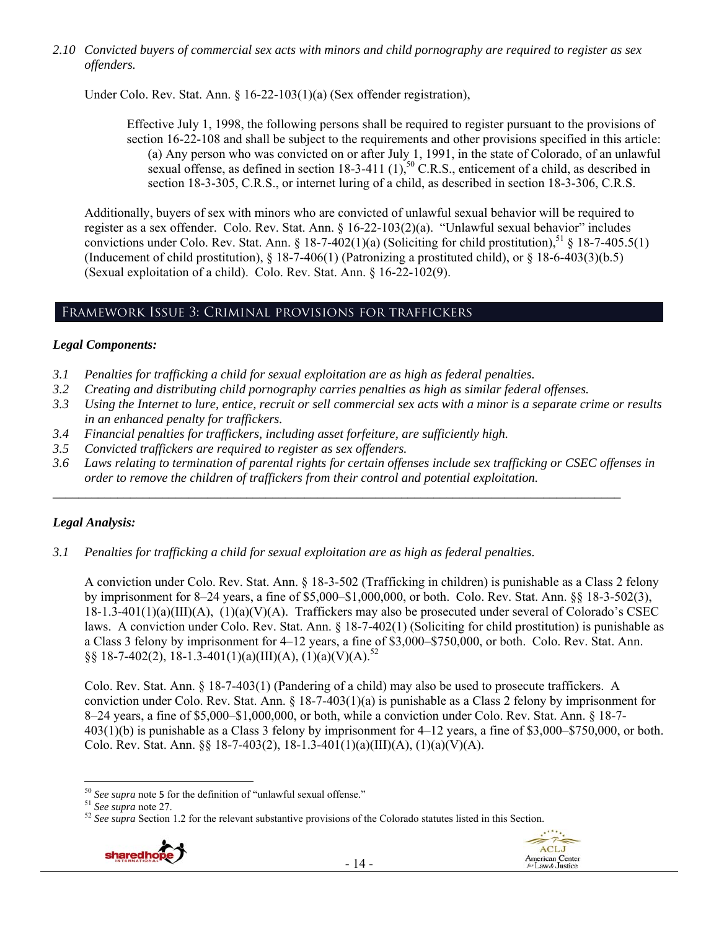*2.10 Convicted buyers of commercial sex acts with minors and child pornography are required to register as sex offenders.* 

Under Colo. Rev. Stat. Ann. § 16-22-103(1)(a) (Sex offender registration),

Effective July 1, 1998, the following persons shall be required to register pursuant to the provisions of section 16-22-108 and shall be subject to the requirements and other provisions specified in this article: (a) Any person who was convicted on or after July 1, 1991, in the state of Colorado, of an unlawful sexual offense, as defined in section  $18-3-411$   $(1)$ ,  $^{50}$  C.R.S., enticement of a child, as described in section 18-3-305, C.R.S., or internet luring of a child, as described in section 18-3-306, C.R.S.

Additionally, buyers of sex with minors who are convicted of unlawful sexual behavior will be required to register as a sex offender. Colo. Rev. Stat. Ann. § 16-22-103(2)(a). "Unlawful sexual behavior" includes convictions under Colo. Rev. Stat. Ann. § 18-7-402(1)(a) (Soliciting for child prostitution),<sup>51</sup> § 18-7-405.5(1) (Inducement of child prostitution),  $\S 18-7-406(1)$  (Patronizing a prostituted child), or  $\S 18-6-403(3)(b.5)$ (Sexual exploitation of a child). Colo. Rev. Stat. Ann. § 16-22-102(9).

## Framework Issue 3: Criminal provisions for traffickers

## *Legal Components:*

- *3.1 Penalties for trafficking a child for sexual exploitation are as high as federal penalties.*
- *3.2 Creating and distributing child pornography carries penalties as high as similar federal offenses.*
- *3.3 Using the Internet to lure, entice, recruit or sell commercial sex acts with a minor is a separate crime or results in an enhanced penalty for traffickers.*
- *3.4 Financial penalties for traffickers, including asset forfeiture, are sufficiently high.*
- *3.5 Convicted traffickers are required to register as sex offenders.*
- *3.6 Laws relating to termination of parental rights for certain offenses include sex trafficking or CSEC offenses in order to remove the children of traffickers from their control and potential exploitation.*

*\_\_\_\_\_\_\_\_\_\_\_\_\_\_\_\_\_\_\_\_\_\_\_\_\_\_\_\_\_\_\_\_\_\_\_\_\_\_\_\_\_\_\_\_\_\_\_\_\_\_\_\_\_\_\_\_\_\_\_\_\_\_\_\_\_\_\_\_\_\_\_\_\_\_\_\_\_\_\_\_\_\_\_\_\_\_\_\_* 

# *Legal Analysis:*

*3.1 Penalties for trafficking a child for sexual exploitation are as high as federal penalties.* 

A conviction under Colo. Rev. Stat. Ann. § 18-3-502 (Trafficking in children) is punishable as a Class 2 felony by imprisonment for 8–24 years, a fine of \$5,000–\$1,000,000, or both. Colo. Rev. Stat. Ann. §§ 18-3-502(3), 18-1.3-401(1)(a)(III)(A), (1)(a)(V)(A). Traffickers may also be prosecuted under several of Colorado's CSEC laws. A conviction under Colo. Rev. Stat. Ann. § 18-7-402(1) (Soliciting for child prostitution) is punishable as a Class 3 felony by imprisonment for 4–12 years, a fine of \$3,000–\$750,000, or both. Colo. Rev. Stat. Ann. §§ 18-7-402(2), 18-1.3-401(1)(a)(III)(A), (1)(a)(V)(A).<sup>52</sup>

Colo. Rev. Stat. Ann. § 18-7-403(1) (Pandering of a child) may also be used to prosecute traffickers. A conviction under Colo. Rev. Stat. Ann. § 18-7-403(1)(a) is punishable as a Class 2 felony by imprisonment for 8–24 years, a fine of \$5,000–\$1,000,000, or both, while a conviction under Colo. Rev. Stat. Ann. § 18-7- 403(1)(b) is punishable as a Class 3 felony by imprisonment for 4–12 years, a fine of \$3,000–\$750,000, or both. Colo. Rev. Stat. Ann. §§ 18-7-403(2), 18-1.3-401(1)(a)(III)(A), (1)(a)(V)(A).

<sup>&</sup>lt;sup>51</sup> See supra note 27.<br><sup>52</sup> See supra Section 1.2 for the relevant substantive provisions of the Colorado statutes listed in this Section.





 $50$  See supra note 5 for the definition of "unlawful sexual offense."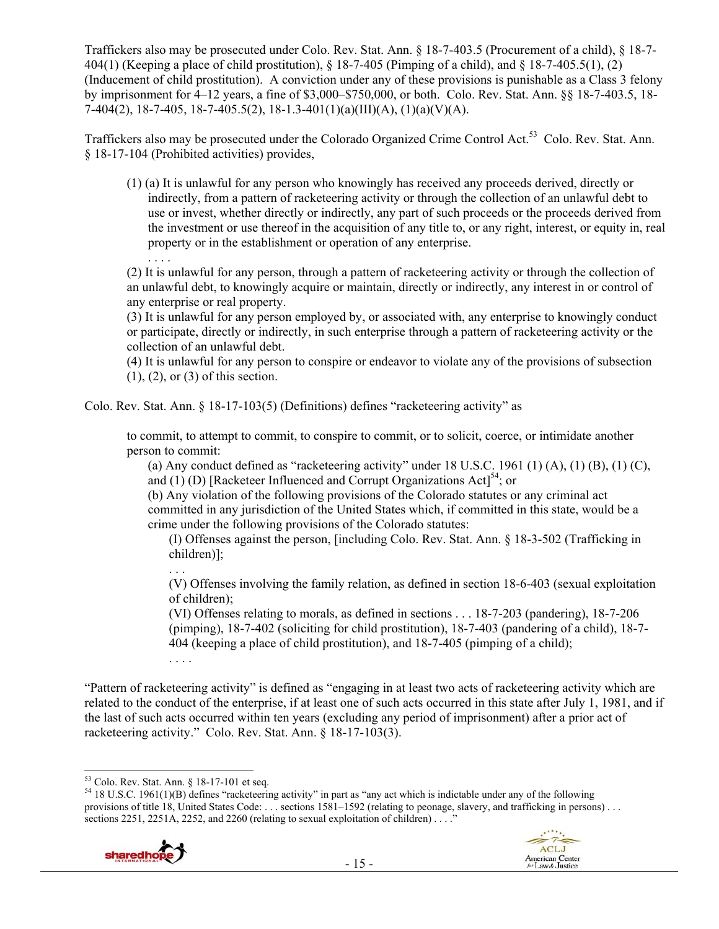Traffickers also may be prosecuted under Colo. Rev. Stat. Ann. § 18-7-403.5 (Procurement of a child), § 18-7- 404(1) (Keeping a place of child prostitution), § 18-7-405 (Pimping of a child), and § 18-7-405.5(1), (2) (Inducement of child prostitution). A conviction under any of these provisions is punishable as a Class 3 felony by imprisonment for 4–12 years, a fine of \$3,000–\$750,000, or both. Colo. Rev. Stat. Ann. §§ 18-7-403.5, 18- 7-404(2), 18-7-405, 18-7-405.5(2), 18-1.3-401(1)(a)(III)(A), (1)(a)(V)(A).

Traffickers also may be prosecuted under the Colorado Organized Crime Control Act.53 Colo. Rev. Stat. Ann. § 18-17-104 (Prohibited activities) provides,

(1) (a) It is unlawful for any person who knowingly has received any proceeds derived, directly or indirectly, from a pattern of racketeering activity or through the collection of an unlawful debt to use or invest, whether directly or indirectly, any part of such proceeds or the proceeds derived from the investment or use thereof in the acquisition of any title to, or any right, interest, or equity in, real property or in the establishment or operation of any enterprise.

. . . . (2) It is unlawful for any person, through a pattern of racketeering activity or through the collection of an unlawful debt, to knowingly acquire or maintain, directly or indirectly, any interest in or control of any enterprise or real property.

(3) It is unlawful for any person employed by, or associated with, any enterprise to knowingly conduct or participate, directly or indirectly, in such enterprise through a pattern of racketeering activity or the collection of an unlawful debt.

(4) It is unlawful for any person to conspire or endeavor to violate any of the provisions of subsection (1), (2), or (3) of this section.

Colo. Rev. Stat. Ann. § 18-17-103(5) (Definitions) defines "racketeering activity" as

to commit, to attempt to commit, to conspire to commit, or to solicit, coerce, or intimidate another person to commit:

(a) Any conduct defined as "racketeering activity" under  $18$  U.S.C.  $1961$  (1) (A), (1) (B), (1) (C), and (1) (D) [Racketeer Influenced and Corrupt Organizations Act]<sup>54</sup>; or

(b) Any violation of the following provisions of the Colorado statutes or any criminal act committed in any jurisdiction of the United States which, if committed in this state, would be a crime under the following provisions of the Colorado statutes:

(I) Offenses against the person, [including Colo. Rev. Stat. Ann. § 18-3-502 (Trafficking in children)];

(V) Offenses involving the family relation, as defined in section 18-6-403 (sexual exploitation of children);

(VI) Offenses relating to morals, as defined in sections . . . 18-7-203 (pandering), 18-7-206 (pimping), 18-7-402 (soliciting for child prostitution), 18-7-403 (pandering of a child), 18-7- 404 (keeping a place of child prostitution), and 18-7-405 (pimping of a child);

"Pattern of racketeering activity" is defined as "engaging in at least two acts of racketeering activity which are related to the conduct of the enterprise, if at least one of such acts occurred in this state after July 1, 1981, and if the last of such acts occurred within ten years (excluding any period of imprisonment) after a prior act of racketeering activity." Colo. Rev. Stat. Ann. § 18-17-103(3).

. . .

. . . .

<sup>&</sup>lt;sup>54</sup> 18 U.S.C. 1961(1)(B) defines "racketeering activity" in part as "any act which is indictable under any of the following provisions of title 18, United States Code: . . . sections 1581–1592 (relating to peonage, slavery, and trafficking in persons) . . . sections 2251, 2251A, 2252, and 2260 (relating to sexual exploitation of children)  $\ldots$ .



 53 Colo. Rev. Stat. Ann. § 18-17-101 et seq.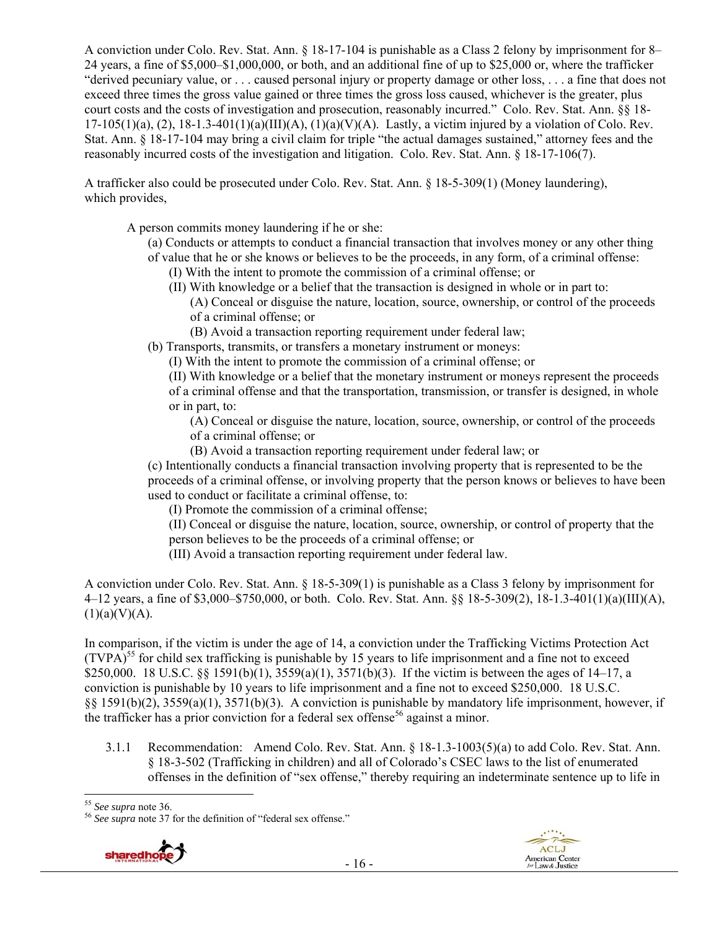A conviction under Colo. Rev. Stat. Ann. § 18-17-104 is punishable as a Class 2 felony by imprisonment for 8– 24 years, a fine of \$5,000–\$1,000,000, or both, and an additional fine of up to \$25,000 or, where the trafficker "derived pecuniary value, or . . . caused personal injury or property damage or other loss, . . . a fine that does not exceed three times the gross value gained or three times the gross loss caused, whichever is the greater, plus court costs and the costs of investigation and prosecution, reasonably incurred." Colo. Rev. Stat. Ann. §§ 18-  $17-105(1)(a)$ ,  $(2)$ ,  $18-1.3-401(1)(a)(III)(A)$ ,  $(1)(a)(V)(A)$ . Lastly, a victim injured by a violation of Colo. Rev. Stat. Ann. § 18-17-104 may bring a civil claim for triple "the actual damages sustained," attorney fees and the reasonably incurred costs of the investigation and litigation. Colo. Rev. Stat. Ann. § 18-17-106(7).

A trafficker also could be prosecuted under Colo. Rev. Stat. Ann. § 18-5-309(1) (Money laundering), which provides,

A person commits money laundering if he or she:

- (a) Conducts or attempts to conduct a financial transaction that involves money or any other thing of value that he or she knows or believes to be the proceeds, in any form, of a criminal offense:
	- (I) With the intent to promote the commission of a criminal offense; or
	- (II) With knowledge or a belief that the transaction is designed in whole or in part to:
		- (A) Conceal or disguise the nature, location, source, ownership, or control of the proceeds of a criminal offense; or
		- (B) Avoid a transaction reporting requirement under federal law;

(b) Transports, transmits, or transfers a monetary instrument or moneys:

(I) With the intent to promote the commission of a criminal offense; or

(II) With knowledge or a belief that the monetary instrument or moneys represent the proceeds of a criminal offense and that the transportation, transmission, or transfer is designed, in whole or in part, to:

(A) Conceal or disguise the nature, location, source, ownership, or control of the proceeds of a criminal offense; or

(B) Avoid a transaction reporting requirement under federal law; or

(c) Intentionally conducts a financial transaction involving property that is represented to be the proceeds of a criminal offense, or involving property that the person knows or believes to have been used to conduct or facilitate a criminal offense, to:

(I) Promote the commission of a criminal offense;

(II) Conceal or disguise the nature, location, source, ownership, or control of property that the person believes to be the proceeds of a criminal offense; or

(III) Avoid a transaction reporting requirement under federal law.

A conviction under Colo. Rev. Stat. Ann. § 18-5-309(1) is punishable as a Class 3 felony by imprisonment for 4–12 years, a fine of \$3,000–\$750,000, or both. Colo. Rev. Stat. Ann. §§ 18-5-309(2), 18-1.3-401(1)(a)(III)(A),  $(1)(a)(V)(A)$ .

In comparison, if the victim is under the age of 14, a conviction under the Trafficking Victims Protection Act  $(TVPA)<sup>55</sup>$  for child sex trafficking is punishable by 15 years to life imprisonment and a fine not to exceed \$250,000. 18 U.S.C. §§ 1591(b)(1), 3559(a)(1), 3571(b)(3). If the victim is between the ages of 14–17, a conviction is punishable by 10 years to life imprisonment and a fine not to exceed \$250,000. 18 U.S.C. §§ 1591(b)(2), 3559(a)(1), 3571(b)(3). A conviction is punishable by mandatory life imprisonment, however, if the trafficker has a prior conviction for a federal sex offense<sup>56</sup> against a minor.

3.1.1 Recommendation: Amend Colo. Rev. Stat. Ann. § 18-1.3-1003(5)(a) to add Colo. Rev. Stat. Ann. § 18-3-502 (Trafficking in children) and all of Colorado's CSEC laws to the list of enumerated offenses in the definition of "sex offense," thereby requiring an indeterminate sentence up to life in

<sup>&</sup>lt;sup>55</sup> See supra note 36.<br><sup>56</sup> See supra note 37 for the definition of "federal sex offense."



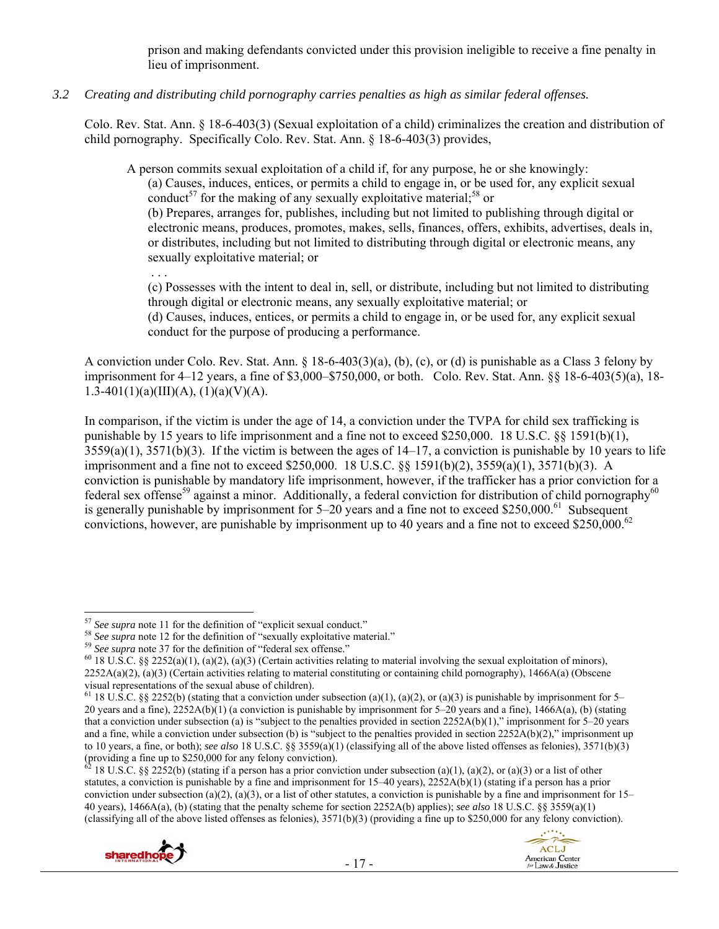prison and making defendants convicted under this provision ineligible to receive a fine penalty in lieu of imprisonment.

*3.2 Creating and distributing child pornography carries penalties as high as similar federal offenses.* 

Colo. Rev. Stat. Ann. § 18-6-403(3) (Sexual exploitation of a child) criminalizes the creation and distribution of child pornography. Specifically Colo. Rev. Stat. Ann. § 18-6-403(3) provides,

A person commits sexual exploitation of a child if, for any purpose, he or she knowingly:

(a) Causes, induces, entices, or permits a child to engage in, or be used for, any explicit sexual conduct<sup>57</sup> for the making of any sexually exploitative material:<sup>58</sup> or

(b) Prepares, arranges for, publishes, including but not limited to publishing through digital or electronic means, produces, promotes, makes, sells, finances, offers, exhibits, advertises, deals in, or distributes, including but not limited to distributing through digital or electronic means, any sexually exploitative material; or

. . .

(c) Possesses with the intent to deal in, sell, or distribute, including but not limited to distributing through digital or electronic means, any sexually exploitative material; or

(d) Causes, induces, entices, or permits a child to engage in, or be used for, any explicit sexual conduct for the purpose of producing a performance.

A conviction under Colo. Rev. Stat. Ann. § 18-6-403(3)(a), (b), (c), or (d) is punishable as a Class 3 felony by imprisonment for 4–12 years, a fine of \$3,000–\$750,000, or both. Colo. Rev. Stat. Ann. §§ 18-6-403(5)(a), 18- 1.3-401(1)(a)(III)(A), (1)(a)(V)(A).

In comparison, if the victim is under the age of 14, a conviction under the TVPA for child sex trafficking is punishable by 15 years to life imprisonment and a fine not to exceed \$250,000. 18 U.S.C. §§ 1591(b)(1),  $3559(a)(1)$ ,  $3571(b)(3)$ . If the victim is between the ages of  $14-17$ , a conviction is punishable by 10 years to life imprisonment and a fine not to exceed \$250,000. 18 U.S.C. §§ 1591(b)(2), 3559(a)(1), 3571(b)(3). A conviction is punishable by mandatory life imprisonment, however, if the trafficker has a prior conviction for a federal sex offense<sup>59</sup> against a minor. Additionally, a federal conviction for distribution of child pornography<sup>60</sup> is generally punishable by imprisonment for  $5-20$  years and a fine not to exceed \$250,000.<sup>61</sup> Subsequent convictions, however, are punishable by imprisonment up to 40 years and a fine not to exceed \$250,000.<sup>62</sup>

<sup>18</sup> U.S.C. §§ 2252(b) (stating if a person has a prior conviction under subsection (a)(1), (a)(2), or (a)(3) or a list of other statutes, a conviction is punishable by a fine and imprisonment for  $15-40$  years),  $2252A(b)(1)$  (stating if a person has a prior conviction under subsection (a)(2), (a)(3), or a list of other statutes, a conviction is punishable by a fine and imprisonment for  $15-$ 40 years), 1466A(a), (b) (stating that the penalty scheme for section 2252A(b) applies); *see also* 18 U.S.C. §§ 3559(a)(1) (classifying all of the above listed offenses as felonies), 3571(b)(3) (providing a fine up to \$250,000 for any felony conviction).





 $57$  See supra note 11 for the definition of "explicit sexual conduct."

<sup>&</sup>lt;sup>58</sup> See supra note 12 for the definition of "sexually exploitative material."<br><sup>59</sup> See supra note 37 for the definition of "federal sex offense."<br><sup>60</sup> 18 U.S.C. §§ 2252(a)(1), (a)(2), (a)(3) (Certain activities relating  $2252A(a)(2)$ ,  $(a)(3)$  (Certain activities relating to material constituting or containing child pornography), 1466A(a) (Obscene visual representations of the sexual abuse of children).

<sup>&</sup>lt;sup>61</sup> 18 U.S.C. §§ 2252(b) (stating that a conviction under subsection (a)(1), (a)(2), or (a)(3) is punishable by imprisonment for 5– 20 years and a fine), 2252A(b)(1) (a conviction is punishable by imprisonment for 5–20 years and a fine), 1466A(a), (b) (stating that a conviction under subsection (a) is "subject to the penalties provided in section  $2252A(b)(1)$ ," imprisonment for 5–20 years and a fine, while a conviction under subsection (b) is "subject to the penalties provided in section  $2252A(b)(2)$ ," imprisonment up to 10 years, a fine, or both); *see also* 18 U.S.C. §§ 3559(a)(1) (classifying all of the above listed offenses as felonies), 3571(b)(3) (providing a fine up to \$250,000 for any felony conviction).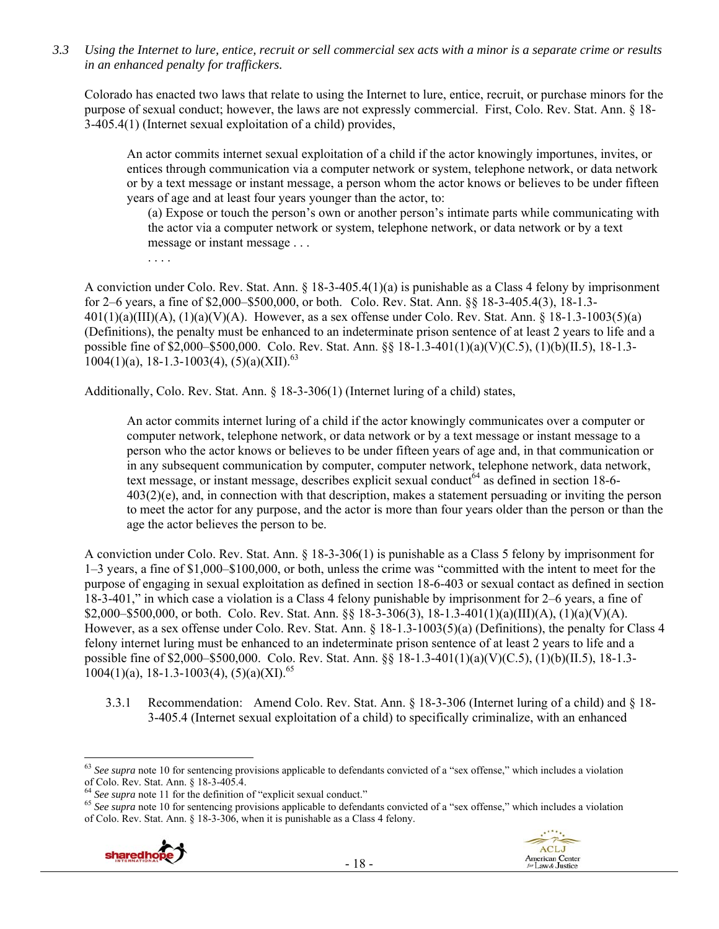*3.3 Using the Internet to lure, entice, recruit or sell commercial sex acts with a minor is a separate crime or results in an enhanced penalty for traffickers.* 

Colorado has enacted two laws that relate to using the Internet to lure, entice, recruit, or purchase minors for the purpose of sexual conduct; however, the laws are not expressly commercial. First, Colo. Rev. Stat. Ann. § 18- 3-405.4(1) (Internet sexual exploitation of a child) provides,

An actor commits internet sexual exploitation of a child if the actor knowingly importunes, invites, or entices through communication via a computer network or system, telephone network, or data network or by a text message or instant message, a person whom the actor knows or believes to be under fifteen years of age and at least four years younger than the actor, to:

(a) Expose or touch the person's own or another person's intimate parts while communicating with the actor via a computer network or system, telephone network, or data network or by a text message or instant message . . .

. . . .

A conviction under Colo. Rev. Stat. Ann. § 18-3-405.4(1)(a) is punishable as a Class 4 felony by imprisonment for 2–6 years, a fine of \$2,000–\$500,000, or both. Colo. Rev. Stat. Ann. §§ 18-3-405.4(3), 18-1.3-  $401(1)(a)(III)(A)$ ,  $(1)(a)(V)(A)$ . However, as a sex offense under Colo. Rev. Stat. Ann. § 18-1.3-1003(5)(a) (Definitions), the penalty must be enhanced to an indeterminate prison sentence of at least 2 years to life and a possible fine of \$2,000–\$500,000. Colo. Rev. Stat. Ann. §§ 18-1.3-401(1)(a)(V)(C.5), (1)(b)(II.5), 18-1.3-  $1004(1)(a)$ , 18-1.3-1003(4), (5)(a)(XII).<sup>63</sup>

Additionally, Colo. Rev. Stat. Ann. § 18-3-306(1) (Internet luring of a child) states,

An actor commits internet luring of a child if the actor knowingly communicates over a computer or computer network, telephone network, or data network or by a text message or instant message to a person who the actor knows or believes to be under fifteen years of age and, in that communication or in any subsequent communication by computer, computer network, telephone network, data network, text message, or instant message, describes explicit sexual conduct<sup>64</sup> as defined in section 18-6-403(2)(e), and, in connection with that description, makes a statement persuading or inviting the person to meet the actor for any purpose, and the actor is more than four years older than the person or than the age the actor believes the person to be.

A conviction under Colo. Rev. Stat. Ann. § 18-3-306(1) is punishable as a Class 5 felony by imprisonment for 1–3 years, a fine of \$1,000–\$100,000, or both, unless the crime was "committed with the intent to meet for the purpose of engaging in sexual exploitation as defined in section 18-6-403 or sexual contact as defined in section 18-3-401," in which case a violation is a Class 4 felony punishable by imprisonment for 2–6 years, a fine of \$2,000–\$500,000, or both. Colo. Rev. Stat. Ann. §§ 18-3-306(3), 18-1.3-401(1)(a)(III)(A), (1)(a)(V)(A). However, as a sex offense under Colo. Rev. Stat. Ann. § 18-1.3-1003(5)(a) (Definitions), the penalty for Class 4 felony internet luring must be enhanced to an indeterminate prison sentence of at least 2 years to life and a possible fine of \$2,000–\$500,000. Colo. Rev. Stat. Ann. §§ 18-1.3-401(1)(a)(V)(C.5), (1)(b)(II.5), 18-1.3-  $1004(1)(a)$ , 18-1.3-1003(4), (5)(a)(XI).<sup>65</sup>

3.3.1 Recommendation: Amend Colo. Rev. Stat. Ann. § 18-3-306 (Internet luring of a child) and § 18- 3-405.4 (Internet sexual exploitation of a child) to specifically criminalize, with an enhanced

<sup>&</sup>lt;sup>65</sup> See supra note 10 for sentencing provisions applicable to defendants convicted of a "sex offense," which includes a violation of Colo. Rev. Stat. Ann. § 18-3-306, when it is punishable as a Class 4 felony.





 <sup>63</sup> See supra note 10 for sentencing provisions applicable to defendants convicted of a "sex offense," which includes a violation of Colo. Rev. Stat. Ann. § 18-3-405.4.<br><sup>64</sup> See supra note 11 for the definition of "explicit sexual conduct."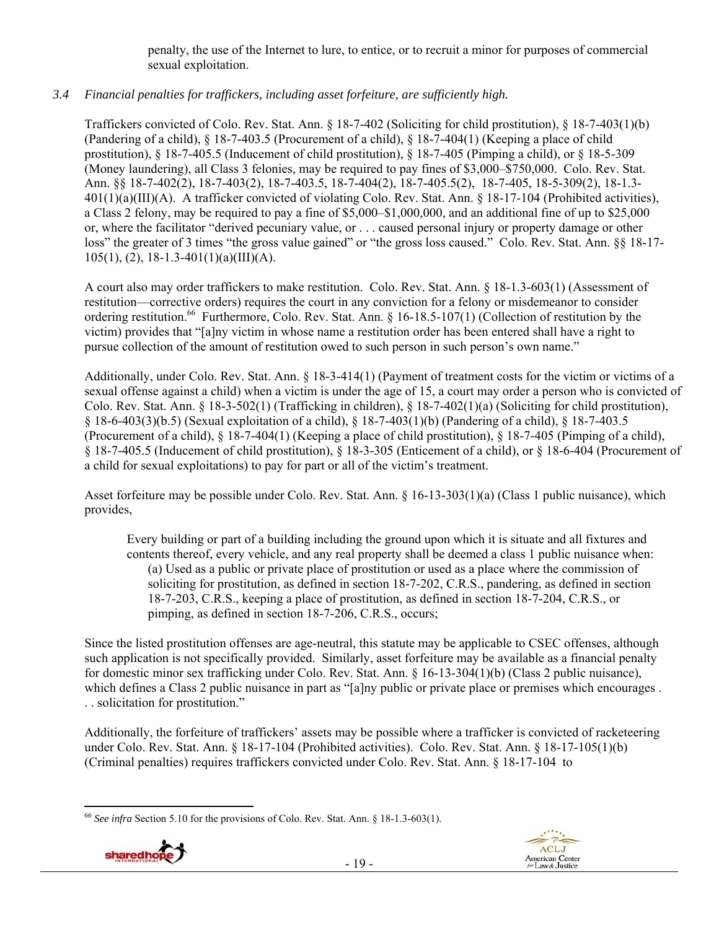penalty, the use of the Internet to lure, to entice, or to recruit a minor for purposes of commercial sexual exploitation.

# *3.4 Financial penalties for traffickers, including asset forfeiture, are sufficiently high.*

Traffickers convicted of Colo. Rev. Stat. Ann. § 18-7-402 (Soliciting for child prostitution), § 18-7-403(1)(b) (Pandering of a child), § 18-7-403.5 (Procurement of a child), § 18-7-404(1) (Keeping a place of child prostitution), § 18-7-405.5 (Inducement of child prostitution), § 18-7-405 (Pimping a child), or § 18-5-309 (Money laundering), all Class 3 felonies, may be required to pay fines of \$3,000–\$750,000. Colo. Rev. Stat. Ann. §§ 18-7-402(2), 18-7-403(2), 18-7-403.5, 18-7-404(2), 18-7-405.5(2), 18-7-405, 18-5-309(2), 18-1.3- 401(1)(a)(III)(A). A trafficker convicted of violating Colo. Rev. Stat. Ann. § 18-17-104 (Prohibited activities), a Class 2 felony, may be required to pay a fine of \$5,000–\$1,000,000, and an additional fine of up to \$25,000 or, where the facilitator "derived pecuniary value, or . . . caused personal injury or property damage or other loss" the greater of 3 times "the gross value gained" or "the gross loss caused." Colo. Rev. Stat. Ann. §§ 18-17- 105(1), (2), 18-1.3-401(1)(a)(III)(A).

A court also may order traffickers to make restitution. Colo. Rev. Stat. Ann. § 18-1.3-603(1) (Assessment of restitution—corrective orders) requires the court in any conviction for a felony or misdemeanor to consider ordering restitution.<sup>66</sup> Furthermore, Colo. Rev. Stat. Ann. § 16-18.5-107(1) (Collection of restitution by the victim) provides that "[a]ny victim in whose name a restitution order has been entered shall have a right to pursue collection of the amount of restitution owed to such person in such person's own name."

Additionally, under Colo. Rev. Stat. Ann. § 18-3-414(1) (Payment of treatment costs for the victim or victims of a sexual offense against a child) when a victim is under the age of 15, a court may order a person who is convicted of Colo. Rev. Stat. Ann. § 18-3-502(1) (Trafficking in children), § 18-7-402(1)(a) (Soliciting for child prostitution), § 18-6-403(3)(b.5) (Sexual exploitation of a child), § 18-7-403(1)(b) (Pandering of a child), § 18-7-403.5 (Procurement of a child), § 18-7-404(1) (Keeping a place of child prostitution), § 18-7-405 (Pimping of a child), § 18-7-405.5 (Inducement of child prostitution), § 18-3-305 (Enticement of a child), or § 18-6-404 (Procurement of a child for sexual exploitations) to pay for part or all of the victim's treatment.

Asset forfeiture may be possible under Colo. Rev. Stat. Ann. § 16-13-303(1)(a) (Class 1 public nuisance), which provides,

Every building or part of a building including the ground upon which it is situate and all fixtures and contents thereof, every vehicle, and any real property shall be deemed a class 1 public nuisance when: (a) Used as a public or private place of prostitution or used as a place where the commission of soliciting for prostitution, as defined in section 18-7-202, C.R.S., pandering, as defined in section 18-7-203, C.R.S., keeping a place of prostitution, as defined in section 18-7-204, C.R.S., or pimping, as defined in section 18-7-206, C.R.S., occurs;

Since the listed prostitution offenses are age-neutral, this statute may be applicable to CSEC offenses, although such application is not specifically provided. Similarly, asset forfeiture may be available as a financial penalty for domestic minor sex trafficking under Colo. Rev. Stat. Ann. § 16-13-304(1)(b) (Class 2 public nuisance), which defines a Class 2 public nuisance in part as "[a]ny public or private place or premises which encourages. . . solicitation for prostitution."

Additionally, the forfeiture of traffickers' assets may be possible where a trafficker is convicted of racketeering under Colo. Rev. Stat. Ann. § 18-17-104 (Prohibited activities). Colo. Rev. Stat. Ann. § 18-17-105(1)(b) (Criminal penalties) requires traffickers convicted under Colo. Rev. Stat. Ann. § 18-17-104 to

 <sup>66</sup> *See infra* Section 5.10 for the provisions of Colo. Rev. Stat. Ann. § 18-1.3-603(1).



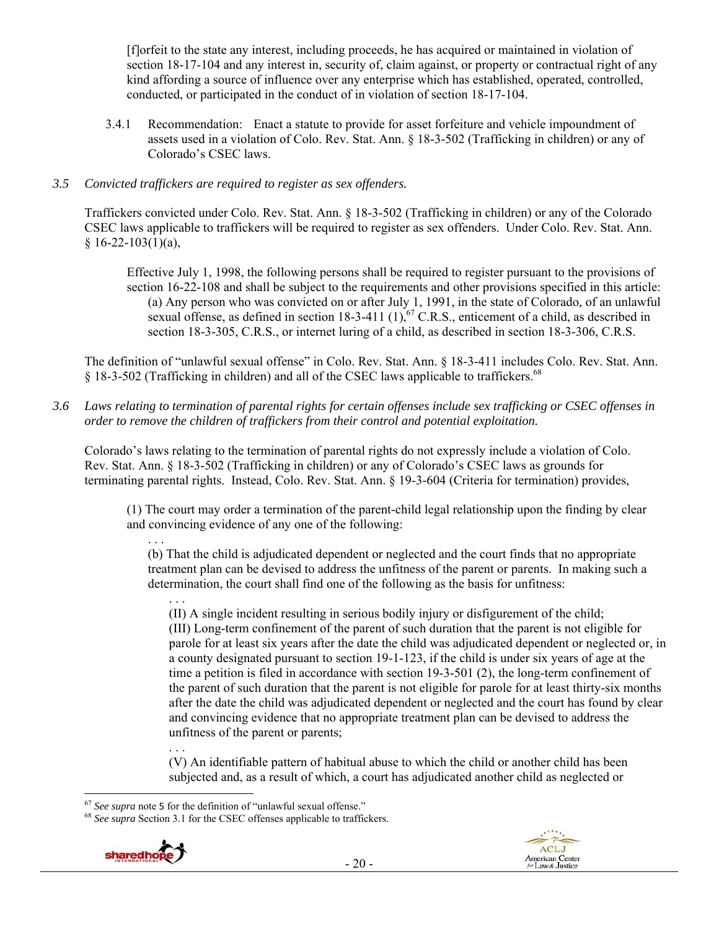[f]orfeit to the state any interest, including proceeds, he has acquired or maintained in violation of section 18-17-104 and any interest in, security of, claim against, or property or contractual right of any kind affording a source of influence over any enterprise which has established, operated, controlled, conducted, or participated in the conduct of in violation of section 18-17-104.

3.4.1 Recommendation: Enact a statute to provide for asset forfeiture and vehicle impoundment of assets used in a violation of Colo. Rev. Stat. Ann. § 18-3-502 (Trafficking in children) or any of Colorado's CSEC laws.

## *3.5 Convicted traffickers are required to register as sex offenders.*

Traffickers convicted under Colo. Rev. Stat. Ann. § 18-3-502 (Trafficking in children) or any of the Colorado CSEC laws applicable to traffickers will be required to register as sex offenders. Under Colo. Rev. Stat. Ann.  $§ 16-22-103(1)(a),$ 

Effective July 1, 1998, the following persons shall be required to register pursuant to the provisions of section 16-22-108 and shall be subject to the requirements and other provisions specified in this article: (a) Any person who was convicted on or after July 1, 1991, in the state of Colorado, of an unlawful sexual offense, as defined in section  $18-3-411$   $(1)$ , <sup>67</sup> C.R.S., enticement of a child, as described in section 18-3-305, C.R.S., or internet luring of a child, as described in section 18-3-306, C.R.S.

The definition of "unlawful sexual offense" in Colo. Rev. Stat. Ann. § 18-3-411 includes Colo. Rev. Stat. Ann. § 18-3-502 (Trafficking in children) and all of the CSEC laws applicable to traffickers.<sup>68</sup>

*3.6 Laws relating to termination of parental rights for certain offenses include sex trafficking or CSEC offenses in order to remove the children of traffickers from their control and potential exploitation.* 

Colorado's laws relating to the termination of parental rights do not expressly include a violation of Colo. Rev. Stat. Ann. § 18-3-502 (Trafficking in children) or any of Colorado's CSEC laws as grounds for terminating parental rights. Instead, Colo. Rev. Stat. Ann. § 19-3-604 (Criteria for termination) provides,

(1) The court may order a termination of the parent-child legal relationship upon the finding by clear and convincing evidence of any one of the following:

. . . (b) That the child is adjudicated dependent or neglected and the court finds that no appropriate treatment plan can be devised to address the unfitness of the parent or parents. In making such a determination, the court shall find one of the following as the basis for unfitness:

. . . (II) A single incident resulting in serious bodily injury or disfigurement of the child; (III) Long-term confinement of the parent of such duration that the parent is not eligible for parole for at least six years after the date the child was adjudicated dependent or neglected or, in a county designated pursuant to section 19-1-123, if the child is under six years of age at the time a petition is filed in accordance with section 19-3-501 (2), the long-term confinement of the parent of such duration that the parent is not eligible for parole for at least thirty-six months after the date the child was adjudicated dependent or neglected and the court has found by clear and convincing evidence that no appropriate treatment plan can be devised to address the unfitness of the parent or parents;

. . . (V) An identifiable pattern of habitual abuse to which the child or another child has been subjected and, as a result of which, a court has adjudicated another child as neglected or

<sup>67</sup> *See supra* note <sup>5</sup> for the definition of "unlawful sexual offense." 68 *See supra* Section 3.1 for the CSEC offenses applicable to traffickers.

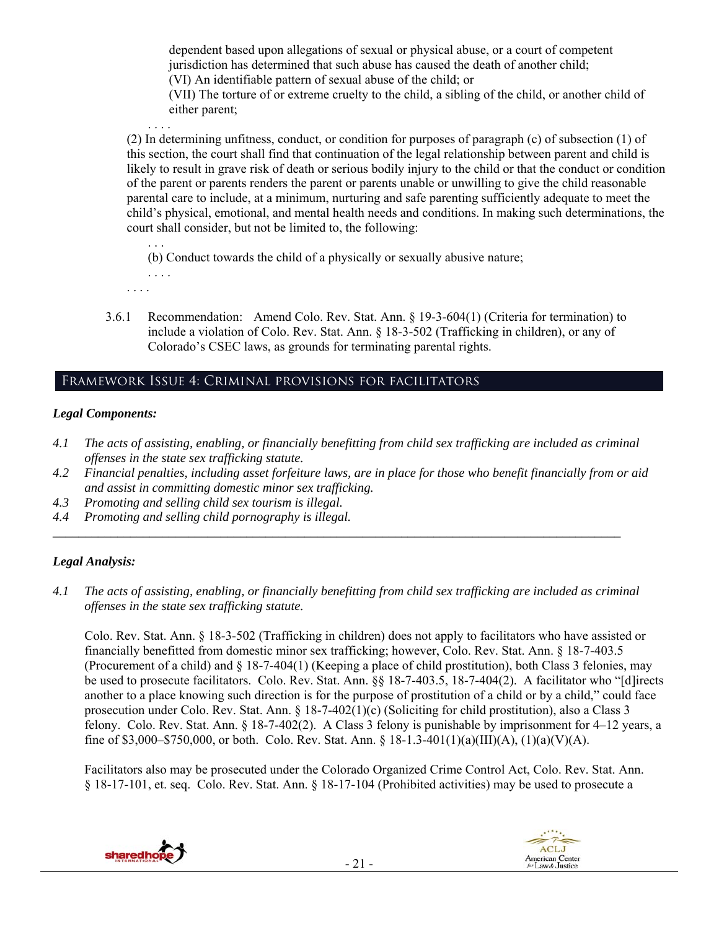dependent based upon allegations of sexual or physical abuse, or a court of competent jurisdiction has determined that such abuse has caused the death of another child; (VI) An identifiable pattern of sexual abuse of the child; or

(VII) The torture of or extreme cruelty to the child, a sibling of the child, or another child of either parent;

(2) In determining unfitness, conduct, or condition for purposes of paragraph (c) of subsection (1) of this section, the court shall find that continuation of the legal relationship between parent and child is likely to result in grave risk of death or serious bodily injury to the child or that the conduct or condition of the parent or parents renders the parent or parents unable or unwilling to give the child reasonable parental care to include, at a minimum, nurturing and safe parenting sufficiently adequate to meet the child's physical, emotional, and mental health needs and conditions. In making such determinations, the court shall consider, but not be limited to, the following:

. . . (b) Conduct towards the child of a physically or sexually abusive nature; . . . .

. . . .

. . . .

3.6.1 Recommendation: Amend Colo. Rev. Stat. Ann. § 19-3-604(1) (Criteria for termination) to include a violation of Colo. Rev. Stat. Ann. § 18-3-502 (Trafficking in children), or any of Colorado's CSEC laws, as grounds for terminating parental rights.

# Framework Issue 4: Criminal provisions for facilitators

## *Legal Components:*

- *4.1 The acts of assisting, enabling, or financially benefitting from child sex trafficking are included as criminal offenses in the state sex trafficking statute.*
- *4.2 Financial penalties, including asset forfeiture laws, are in place for those who benefit financially from or aid and assist in committing domestic minor sex trafficking.*
- *4.3 Promoting and selling child sex tourism is illegal.*
- *4.4 Promoting and selling child pornography is illegal.*

## *Legal Analysis:*

*4.1 The acts of assisting, enabling, or financially benefitting from child sex trafficking are included as criminal offenses in the state sex trafficking statute.* 

*\_\_\_\_\_\_\_\_\_\_\_\_\_\_\_\_\_\_\_\_\_\_\_\_\_\_\_\_\_\_\_\_\_\_\_\_\_\_\_\_\_\_\_\_\_\_\_\_\_\_\_\_\_\_\_\_\_\_\_\_\_\_\_\_\_\_\_\_\_\_\_\_\_\_\_\_\_\_\_\_\_\_\_\_\_\_\_\_* 

Colo. Rev. Stat. Ann. § 18-3-502 (Trafficking in children) does not apply to facilitators who have assisted or financially benefitted from domestic minor sex trafficking; however, Colo. Rev. Stat. Ann. § 18-7-403.5 (Procurement of a child) and § 18-7-404(1) (Keeping a place of child prostitution), both Class 3 felonies, may be used to prosecute facilitators. Colo. Rev. Stat. Ann. §§ 18-7-403.5, 18-7-404(2). A facilitator who "[d]irects another to a place knowing such direction is for the purpose of prostitution of a child or by a child," could face prosecution under Colo. Rev. Stat. Ann. § 18-7-402(1)(c) (Soliciting for child prostitution), also a Class 3 felony. Colo. Rev. Stat. Ann. § 18-7-402(2). A Class 3 felony is punishable by imprisonment for 4–12 years, a fine of \$3,000–\$750,000, or both. Colo. Rev. Stat. Ann. § 18-1.3-401(1)(a)(III)(A), (1)(a)(V)(A).

Facilitators also may be prosecuted under the Colorado Organized Crime Control Act, Colo. Rev. Stat. Ann. § 18-17-101, et. seq. Colo. Rev. Stat. Ann. § 18-17-104 (Prohibited activities) may be used to prosecute a

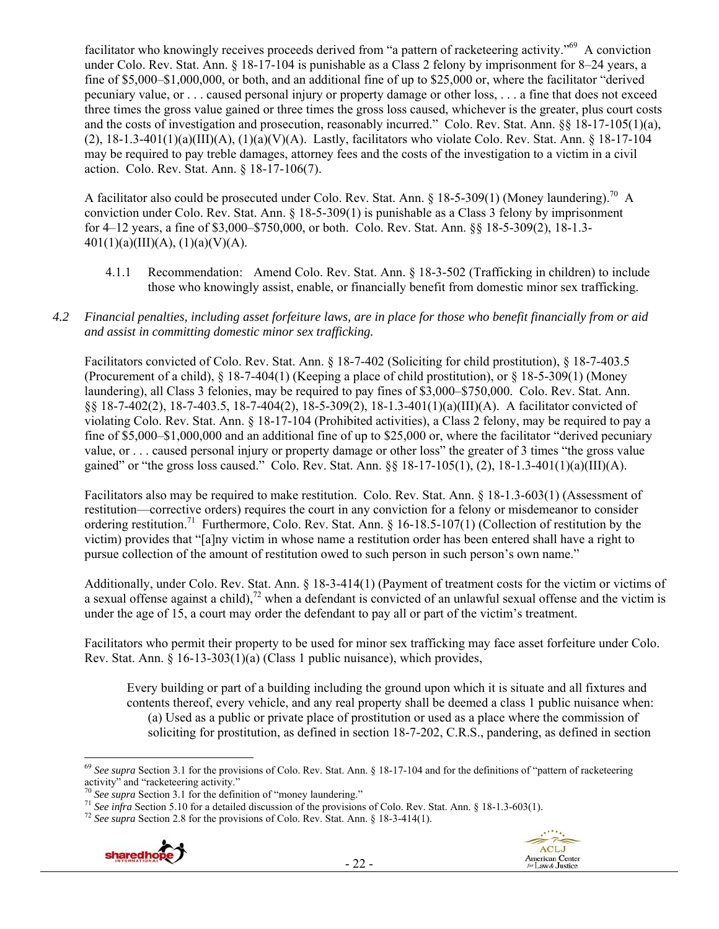facilitator who knowingly receives proceeds derived from "a pattern of racketeering activity."69 A conviction under Colo. Rev. Stat. Ann. § 18-17-104 is punishable as a Class 2 felony by imprisonment for 8–24 years, a fine of \$5,000–\$1,000,000, or both, and an additional fine of up to \$25,000 or, where the facilitator "derived pecuniary value, or . . . caused personal injury or property damage or other loss, . . . a fine that does not exceed three times the gross value gained or three times the gross loss caused, whichever is the greater, plus court costs and the costs of investigation and prosecution, reasonably incurred." Colo. Rev. Stat. Ann. §§ 18-17-105(1)(a),  $(2)$ , 18-1.3-401(1)(a)(III)(A), (1)(a)(V)(A). Lastly, facilitators who violate Colo. Rev. Stat. Ann. § 18-17-104 may be required to pay treble damages, attorney fees and the costs of the investigation to a victim in a civil action. Colo. Rev. Stat. Ann. § 18-17-106(7).

A facilitator also could be prosecuted under Colo. Rev. Stat. Ann. § 18-5-309(1) (Money laundering).<sup>70</sup> A conviction under Colo. Rev. Stat. Ann. § 18-5-309(1) is punishable as a Class 3 felony by imprisonment for 4–12 years, a fine of \$3,000–\$750,000, or both. Colo. Rev. Stat. Ann. §§ 18-5-309(2), 18-1.3-  $401(1)(a)(III)(A), (1)(a)(V)(A).$ 

- 4.1.1 Recommendation: Amend Colo. Rev. Stat. Ann. § 18-3-502 (Trafficking in children) to include those who knowingly assist, enable, or financially benefit from domestic minor sex trafficking.
- *4.2 Financial penalties, including asset forfeiture laws, are in place for those who benefit financially from or aid and assist in committing domestic minor sex trafficking.*

Facilitators convicted of Colo. Rev. Stat. Ann. § 18-7-402 (Soliciting for child prostitution), § 18-7-403.5 (Procurement of a child),  $\S$  18-7-404(1) (Keeping a place of child prostitution), or  $\S$  18-5-309(1) (Money laundering), all Class 3 felonies, may be required to pay fines of \$3,000–\$750,000. Colo. Rev. Stat. Ann. §§ 18-7-402(2), 18-7-403.5, 18-7-404(2), 18-5-309(2), 18-1.3-401(1)(a)(III)(A). A facilitator convicted of violating Colo. Rev. Stat. Ann. § 18-17-104 (Prohibited activities), a Class 2 felony, may be required to pay a fine of \$5,000–\$1,000,000 and an additional fine of up to \$25,000 or, where the facilitator "derived pecuniary value, or . . . caused personal injury or property damage or other loss" the greater of 3 times "the gross value gained" or "the gross loss caused." Colo. Rev. Stat. Ann.  $\S$ § 18-17-105(1), (2), 18-1.3-401(1)(a)(III)(A).

Facilitators also may be required to make restitution. Colo. Rev. Stat. Ann. § 18-1.3-603(1) (Assessment of restitution—corrective orders) requires the court in any conviction for a felony or misdemeanor to consider ordering restitution.71 Furthermore, Colo. Rev. Stat. Ann. § 16-18.5-107(1) (Collection of restitution by the victim) provides that "[a]ny victim in whose name a restitution order has been entered shall have a right to pursue collection of the amount of restitution owed to such person in such person's own name."

Additionally, under Colo. Rev. Stat. Ann. § 18-3-414(1) (Payment of treatment costs for the victim or victims of a sexual offense against a child),<sup>72</sup> when a defendant is convicted of an unlawful sexual offense and the victim is under the age of 15, a court may order the defendant to pay all or part of the victim's treatment.

Facilitators who permit their property to be used for minor sex trafficking may face asset forfeiture under Colo. Rev. Stat. Ann.  $\S$  16-13-303(1)(a) (Class 1 public nuisance), which provides,

Every building or part of a building including the ground upon which it is situate and all fixtures and contents thereof, every vehicle, and any real property shall be deemed a class 1 public nuisance when: (a) Used as a public or private place of prostitution or used as a place where the commission of soliciting for prostitution, as defined in section 18-7-202, C.R.S., pandering, as defined in section





 <sup>69</sup> See supra Section 3.1 for the provisions of Colo. Rev. Stat. Ann. § 18-17-104 and for the definitions of "pattern of racketeering activity" and "racketeering activity."<br> $\frac{70}{2}$  See supra Section 3.1 for the definition of "money laundering."

<sup>&</sup>lt;sup>71</sup> See infra Section 5.10 for a detailed discussion of the provisions of Colo. Rev. Stat. Ann. § 18-1.3-603(1).<br><sup>72</sup> See supra Section 2.8 for the provisions of Colo. Rev. Stat. Ann. § 18-3-414(1).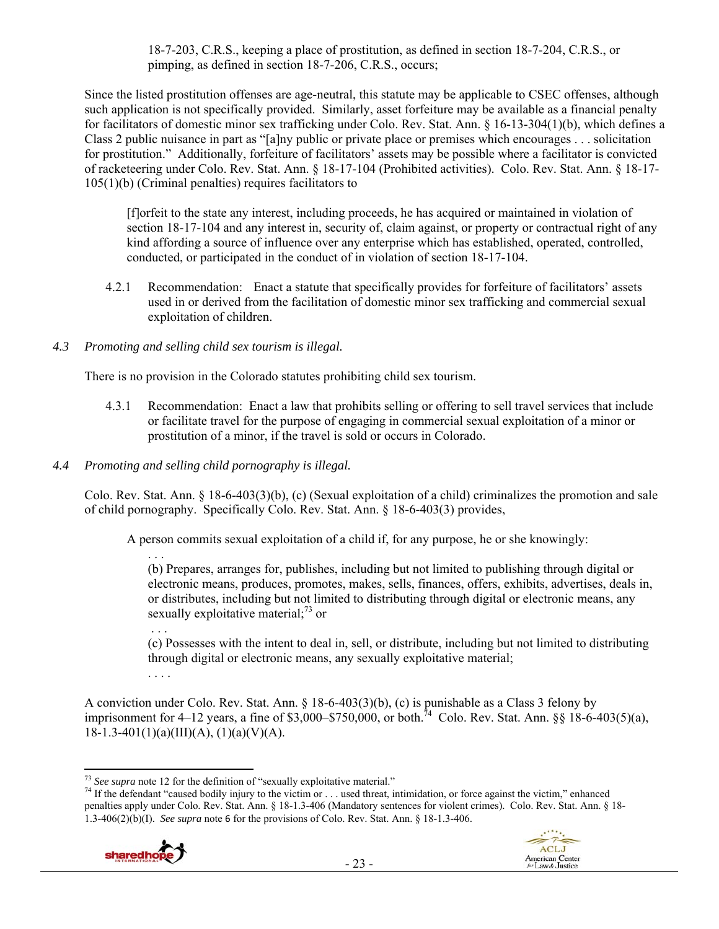18-7-203, C.R.S., keeping a place of prostitution, as defined in section 18-7-204, C.R.S., or pimping, as defined in section 18-7-206, C.R.S., occurs;

Since the listed prostitution offenses are age-neutral, this statute may be applicable to CSEC offenses, although such application is not specifically provided. Similarly, asset forfeiture may be available as a financial penalty for facilitators of domestic minor sex trafficking under Colo. Rev. Stat. Ann. § 16-13-304(1)(b), which defines a Class 2 public nuisance in part as "[a]ny public or private place or premises which encourages . . . solicitation for prostitution." Additionally, forfeiture of facilitators' assets may be possible where a facilitator is convicted of racketeering under Colo. Rev. Stat. Ann. § 18-17-104 (Prohibited activities). Colo. Rev. Stat. Ann. § 18-17- 105(1)(b) (Criminal penalties) requires facilitators to

[f]orfeit to the state any interest, including proceeds, he has acquired or maintained in violation of section 18-17-104 and any interest in, security of, claim against, or property or contractual right of any kind affording a source of influence over any enterprise which has established, operated, controlled, conducted, or participated in the conduct of in violation of section 18-17-104.

4.2.1 Recommendation: Enact a statute that specifically provides for forfeiture of facilitators' assets used in or derived from the facilitation of domestic minor sex trafficking and commercial sexual exploitation of children.

## *4.3 Promoting and selling child sex tourism is illegal.*

There is no provision in the Colorado statutes prohibiting child sex tourism.

- 4.3.1 Recommendation: Enact a law that prohibits selling or offering to sell travel services that include or facilitate travel for the purpose of engaging in commercial sexual exploitation of a minor or prostitution of a minor, if the travel is sold or occurs in Colorado.
- *4.4 Promoting and selling child pornography is illegal.*

Colo. Rev. Stat. Ann. § 18-6-403(3)(b), (c) (Sexual exploitation of a child) criminalizes the promotion and sale of child pornography. Specifically Colo. Rev. Stat. Ann. § 18-6-403(3) provides,

A person commits sexual exploitation of a child if, for any purpose, he or she knowingly:

. . . (b) Prepares, arranges for, publishes, including but not limited to publishing through digital or electronic means, produces, promotes, makes, sells, finances, offers, exhibits, advertises, deals in, or distributes, including but not limited to distributing through digital or electronic means, any sexually exploitative material; $^{73}$  or

 . . . (c) Possesses with the intent to deal in, sell, or distribute, including but not limited to distributing through digital or electronic means, any sexually exploitative material; . . . .

A conviction under Colo. Rev. Stat. Ann. § 18-6-403(3)(b), (c) is punishable as a Class 3 felony by imprisonment for 4–12 years, a fine of \$3,000–\$750,000, or both.<sup>74</sup> Colo. Rev. Stat. Ann. §§ 18-6-403(5)(a),  $18-1.3-401(1)(a)(III)(A), (1)(a)(V)(A).$ 

<sup>&</sup>lt;sup>74</sup> If the defendant "caused bodily injury to the victim or . . . used threat, intimidation, or force against the victim," enhanced penalties apply under Colo. Rev. Stat. Ann. § 18-1.3-406 (Mandatory sentences for violent crimes). Colo. Rev. Stat. Ann. § 18- 1.3-406(2)(b)(I). *See supra* note 6 for the provisions of Colo. Rev. Stat. Ann. § 18-1.3-406.





 $73$  See supra note 12 for the definition of "sexually exploitative material."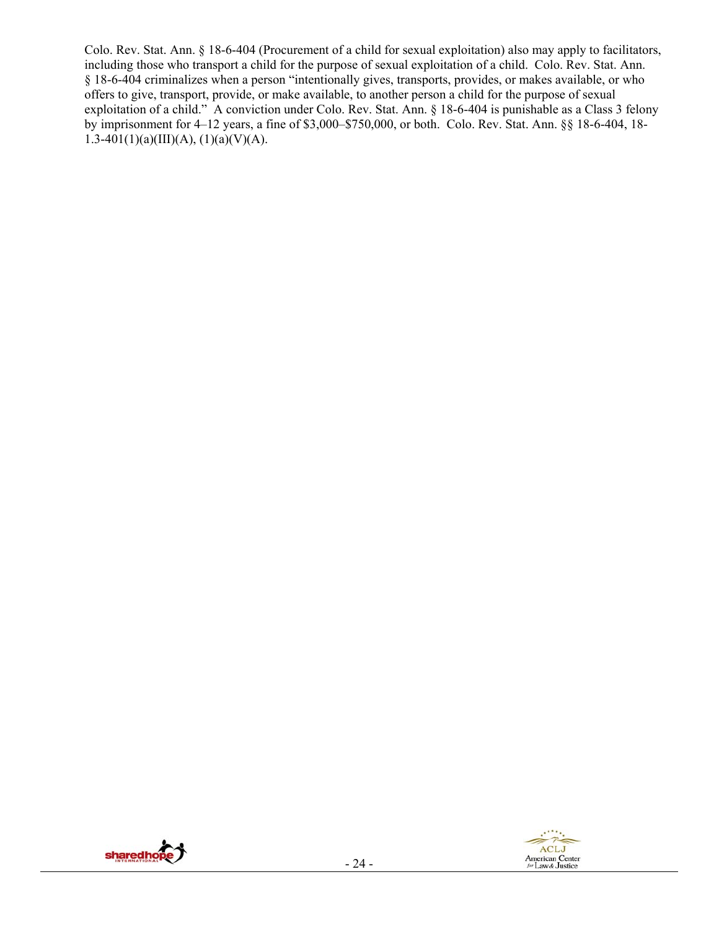Colo. Rev. Stat. Ann. § 18-6-404 (Procurement of a child for sexual exploitation) also may apply to facilitators, including those who transport a child for the purpose of sexual exploitation of a child. Colo. Rev. Stat. Ann. § 18-6-404 criminalizes when a person "intentionally gives, transports, provides, or makes available, or who offers to give, transport, provide, or make available, to another person a child for the purpose of sexual exploitation of a child." A conviction under Colo. Rev. Stat. Ann. § 18-6-404 is punishable as a Class 3 felony by imprisonment for 4–12 years, a fine of \$3,000–\$750,000, or both. Colo. Rev. Stat. Ann. §§ 18-6-404, 18- 1.3-401(1)(a)(III)(A), (1)(a)(V)(A).



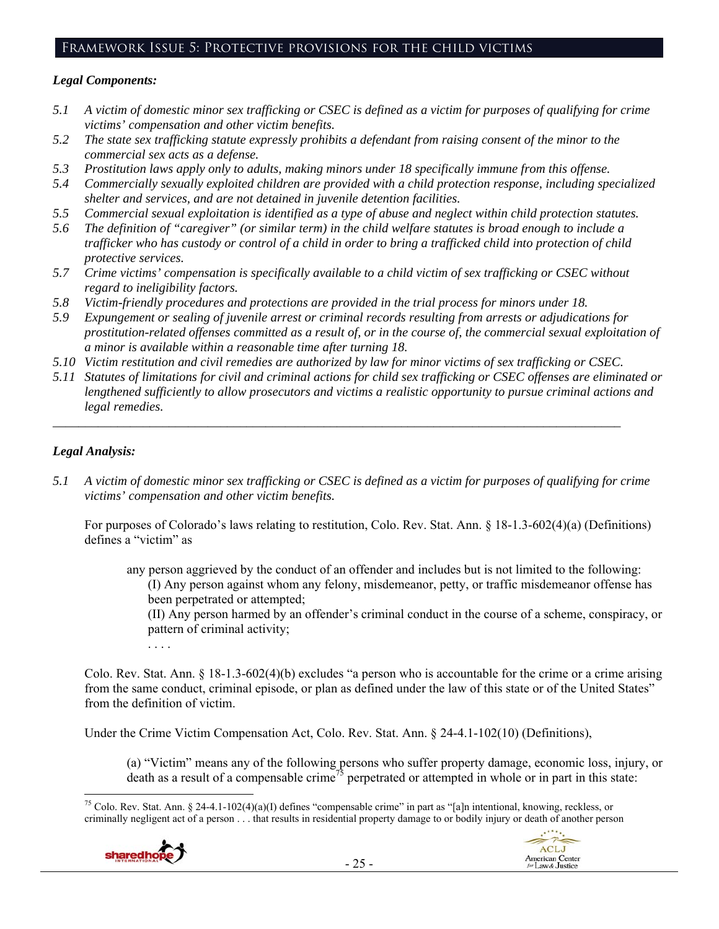## Framework Issue 5: Protective provisions for the child victims

#### *Legal Components:*

- *5.1 A victim of domestic minor sex trafficking or CSEC is defined as a victim for purposes of qualifying for crime victims' compensation and other victim benefits.*
- *5.2 The state sex trafficking statute expressly prohibits a defendant from raising consent of the minor to the commercial sex acts as a defense.*
- *5.3 Prostitution laws apply only to adults, making minors under 18 specifically immune from this offense.*
- *5.4 Commercially sexually exploited children are provided with a child protection response, including specialized shelter and services, and are not detained in juvenile detention facilities.*
- *5.5 Commercial sexual exploitation is identified as a type of abuse and neglect within child protection statutes.*
- *5.6 The definition of "caregiver" (or similar term) in the child welfare statutes is broad enough to include a trafficker who has custody or control of a child in order to bring a trafficked child into protection of child protective services.*
- *5.7 Crime victims' compensation is specifically available to a child victim of sex trafficking or CSEC without regard to ineligibility factors.*
- *5.8 Victim-friendly procedures and protections are provided in the trial process for minors under 18.*
- *5.9 Expungement or sealing of juvenile arrest or criminal records resulting from arrests or adjudications for prostitution-related offenses committed as a result of, or in the course of, the commercial sexual exploitation of a minor is available within a reasonable time after turning 18.*
- *5.10 Victim restitution and civil remedies are authorized by law for minor victims of sex trafficking or CSEC.*

*\_\_\_\_\_\_\_\_\_\_\_\_\_\_\_\_\_\_\_\_\_\_\_\_\_\_\_\_\_\_\_\_\_\_\_\_\_\_\_\_\_\_\_\_\_\_\_\_\_\_\_\_\_\_\_\_\_\_\_\_\_\_\_\_\_\_\_\_\_\_\_\_\_\_\_\_\_\_\_\_\_\_\_\_\_\_\_\_* 

*5.11 Statutes of limitations for civil and criminal actions for child sex trafficking or CSEC offenses are eliminated or lengthened sufficiently to allow prosecutors and victims a realistic opportunity to pursue criminal actions and legal remedies.* 

## *Legal Analysis:*

*5.1 A victim of domestic minor sex trafficking or CSEC is defined as a victim for purposes of qualifying for crime victims' compensation and other victim benefits.* 

For purposes of Colorado's laws relating to restitution, Colo. Rev. Stat. Ann. § 18-1.3-602(4)(a) (Definitions) defines a "victim" as

any person aggrieved by the conduct of an offender and includes but is not limited to the following: (I) Any person against whom any felony, misdemeanor, petty, or traffic misdemeanor offense has been perpetrated or attempted;

(II) Any person harmed by an offender's criminal conduct in the course of a scheme, conspiracy, or pattern of criminal activity;

. . . .

Colo. Rev. Stat. Ann. § 18-1.3-602(4)(b) excludes "a person who is accountable for the crime or a crime arising from the same conduct, criminal episode, or plan as defined under the law of this state or of the United States" from the definition of victim.

Under the Crime Victim Compensation Act, Colo. Rev. Stat. Ann. § 24-4.1-102(10) (Definitions),

(a) "Victim" means any of the following persons who suffer property damage, economic loss, injury, or death as a result of a compensable crime<sup>75</sup> perpetrated or attempted in whole or in part in this state:

 <sup>75</sup> Colo. Rev. Stat. Ann. § 24-4.1-102(4)(a)(I) defines "compensable crime" in part as "[a]n intentional, knowing, reckless, or criminally negligent act of a person . . . that results in residential property damage to or bodily injury or death of another person



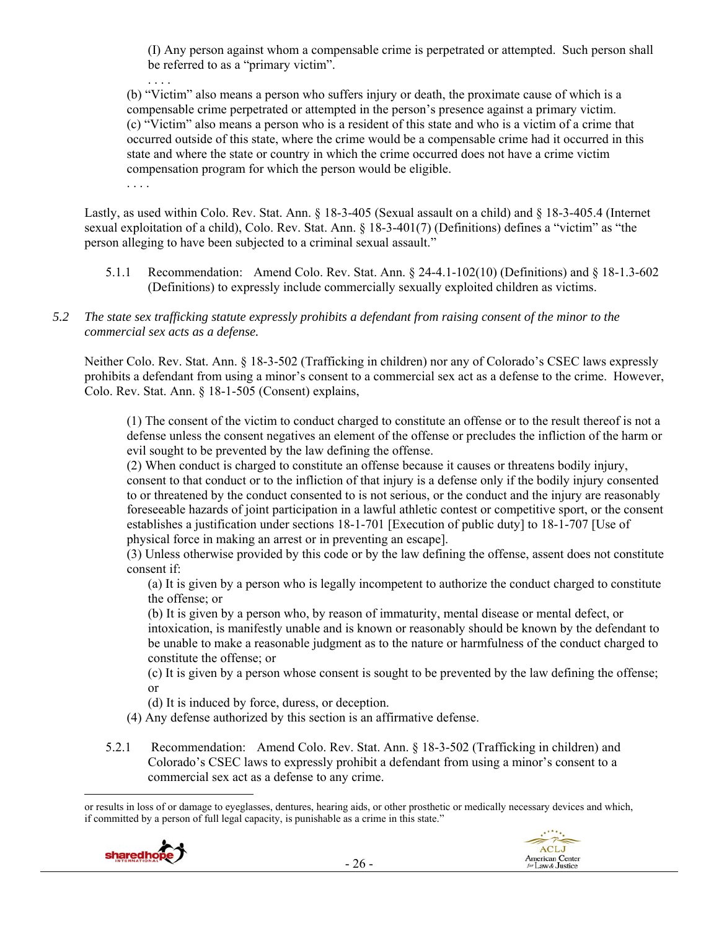(I) Any person against whom a compensable crime is perpetrated or attempted. Such person shall be referred to as a "primary victim".

(b) "Victim" also means a person who suffers injury or death, the proximate cause of which is a compensable crime perpetrated or attempted in the person's presence against a primary victim. (c) "Victim" also means a person who is a resident of this state and who is a victim of a crime that occurred outside of this state, where the crime would be a compensable crime had it occurred in this state and where the state or country in which the crime occurred does not have a crime victim compensation program for which the person would be eligible.

Lastly, as used within Colo. Rev. Stat. Ann. § 18-3-405 (Sexual assault on a child) and § 18-3-405.4 (Internet sexual exploitation of a child), Colo. Rev. Stat. Ann. § 18-3-401(7) (Definitions) defines a "victim" as "the person alleging to have been subjected to a criminal sexual assault."

- 5.1.1 Recommendation: Amend Colo. Rev. Stat. Ann. § 24-4.1-102(10) (Definitions) and § 18-1.3-602 (Definitions) to expressly include commercially sexually exploited children as victims.
- *5.2 The state sex trafficking statute expressly prohibits a defendant from raising consent of the minor to the commercial sex acts as a defense.*

Neither Colo. Rev. Stat. Ann. § 18-3-502 (Trafficking in children) nor any of Colorado's CSEC laws expressly prohibits a defendant from using a minor's consent to a commercial sex act as a defense to the crime. However, Colo. Rev. Stat. Ann. § 18-1-505 (Consent) explains,

(1) The consent of the victim to conduct charged to constitute an offense or to the result thereof is not a defense unless the consent negatives an element of the offense or precludes the infliction of the harm or evil sought to be prevented by the law defining the offense.

(2) When conduct is charged to constitute an offense because it causes or threatens bodily injury, consent to that conduct or to the infliction of that injury is a defense only if the bodily injury consented to or threatened by the conduct consented to is not serious, or the conduct and the injury are reasonably foreseeable hazards of joint participation in a lawful athletic contest or competitive sport, or the consent establishes a justification under sections 18-1-701 [Execution of public duty] to 18-1-707 [Use of physical force in making an arrest or in preventing an escape].

(3) Unless otherwise provided by this code or by the law defining the offense, assent does not constitute consent if:

(a) It is given by a person who is legally incompetent to authorize the conduct charged to constitute the offense; or

(b) It is given by a person who, by reason of immaturity, mental disease or mental defect, or intoxication, is manifestly unable and is known or reasonably should be known by the defendant to be unable to make a reasonable judgment as to the nature or harmfulness of the conduct charged to constitute the offense; or

(c) It is given by a person whose consent is sought to be prevented by the law defining the offense; or

(d) It is induced by force, duress, or deception.

- (4) Any defense authorized by this section is an affirmative defense.
- 5.2.1 Recommendation: Amend Colo. Rev. Stat. Ann. § 18-3-502 (Trafficking in children) and Colorado's CSEC laws to expressly prohibit a defendant from using a minor's consent to a commercial sex act as a defense to any crime.

 or results in loss of or damage to eyeglasses, dentures, hearing aids, or other prosthetic or medically necessary devices and which, if committed by a person of full legal capacity, is punishable as a crime in this state."



. . . .

. . . .

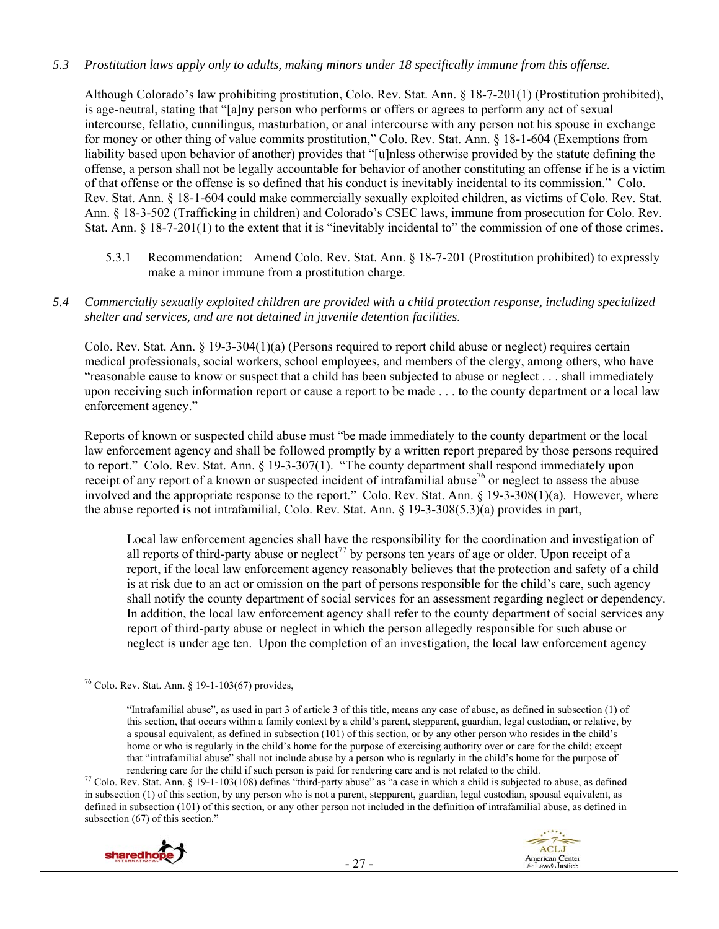## *5.3 Prostitution laws apply only to adults, making minors under 18 specifically immune from this offense.*

Although Colorado's law prohibiting prostitution, Colo. Rev. Stat. Ann. § 18-7-201(1) (Prostitution prohibited), is age-neutral, stating that "[a]ny person who performs or offers or agrees to perform any act of sexual intercourse, fellatio, cunnilingus, masturbation, or anal intercourse with any person not his spouse in exchange for money or other thing of value commits prostitution," Colo. Rev. Stat. Ann. § 18-1-604 (Exemptions from liability based upon behavior of another) provides that "[u]nless otherwise provided by the statute defining the offense, a person shall not be legally accountable for behavior of another constituting an offense if he is a victim of that offense or the offense is so defined that his conduct is inevitably incidental to its commission." Colo. Rev. Stat. Ann. § 18-1-604 could make commercially sexually exploited children, as victims of Colo. Rev. Stat. Ann. § 18-3-502 (Trafficking in children) and Colorado's CSEC laws, immune from prosecution for Colo. Rev. Stat. Ann. § 18-7-201(1) to the extent that it is "inevitably incidental to" the commission of one of those crimes.

5.3.1 Recommendation: Amend Colo. Rev. Stat. Ann. § 18-7-201 (Prostitution prohibited) to expressly make a minor immune from a prostitution charge.

#### *5.4 Commercially sexually exploited children are provided with a child protection response, including specialized shelter and services, and are not detained in juvenile detention facilities.*

Colo. Rev. Stat. Ann. § 19-3-304(1)(a) (Persons required to report child abuse or neglect) requires certain medical professionals, social workers, school employees, and members of the clergy, among others, who have "reasonable cause to know or suspect that a child has been subjected to abuse or neglect . . . shall immediately upon receiving such information report or cause a report to be made . . . to the county department or a local law enforcement agency."

Reports of known or suspected child abuse must "be made immediately to the county department or the local law enforcement agency and shall be followed promptly by a written report prepared by those persons required to report." Colo. Rev. Stat. Ann. § 19-3-307(1). "The county department shall respond immediately upon receipt of any report of a known or suspected incident of intrafamilial abuse<sup>76</sup> or neglect to assess the abuse involved and the appropriate response to the report." Colo. Rev. Stat. Ann. § 19-3-308(1)(a). However, where the abuse reported is not intrafamilial, Colo. Rev. Stat. Ann. § 19-3-308(5.3)(a) provides in part,

Local law enforcement agencies shall have the responsibility for the coordination and investigation of all reports of third-party abuse or neglect<sup>77</sup> by persons ten years of age or older. Upon receipt of a report, if the local law enforcement agency reasonably believes that the protection and safety of a child is at risk due to an act or omission on the part of persons responsible for the child's care, such agency shall notify the county department of social services for an assessment regarding neglect or dependency. In addition, the local law enforcement agency shall refer to the county department of social services any report of third-party abuse or neglect in which the person allegedly responsible for such abuse or neglect is under age ten. Upon the completion of an investigation, the local law enforcement agency

rendering care for the child if such person is paid for rendering care and is not related to the child.<br><sup>77</sup> Colo. Rev. Stat. Ann. § 19-1-103(108) defines "third-party abuse" as "a case in which a child is subjected to abu in subsection (1) of this section, by any person who is not a parent, stepparent, guardian, legal custodian, spousal equivalent, as defined in subsection (101) of this section, or any other person not included in the definition of intrafamilial abuse, as defined in subsection (67) of this section."





  $^{76}$  Colo. Rev. Stat. Ann. § 19-1-103(67) provides,

<sup>&</sup>quot;Intrafamilial abuse", as used in part 3 of article 3 of this title, means any case of abuse, as defined in subsection (1) of this section, that occurs within a family context by a child's parent, stepparent, guardian, legal custodian, or relative, by a spousal equivalent, as defined in subsection (101) of this section, or by any other person who resides in the child's home or who is regularly in the child's home for the purpose of exercising authority over or care for the child; except that "intrafamilial abuse" shall not include abuse by a person who is regularly in the child's home for the purpose of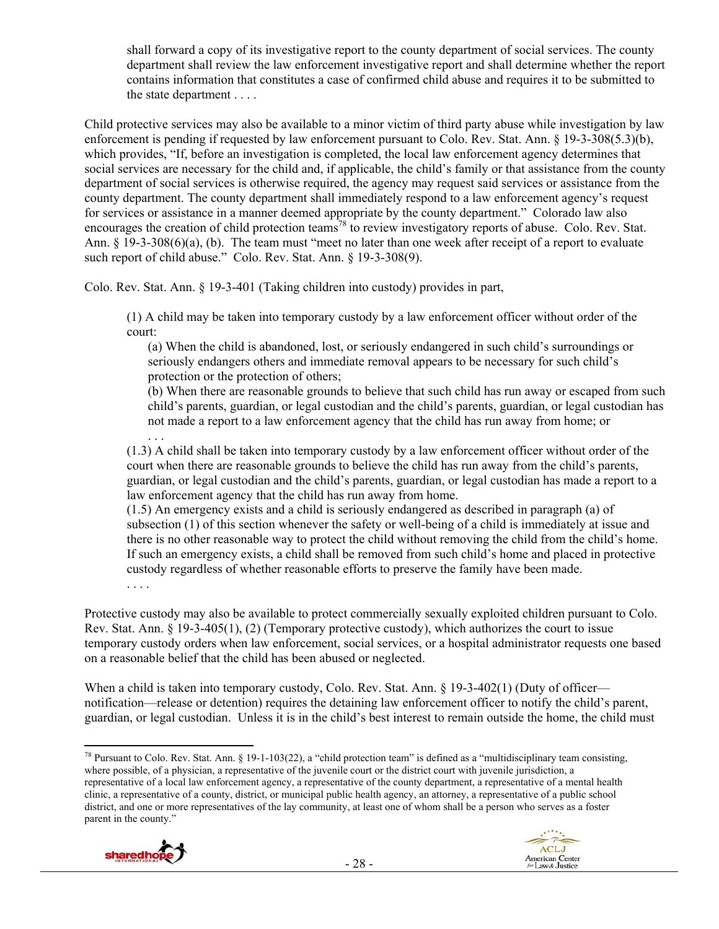shall forward a copy of its investigative report to the county department of social services. The county department shall review the law enforcement investigative report and shall determine whether the report contains information that constitutes a case of confirmed child abuse and requires it to be submitted to the state department . . . .

Child protective services may also be available to a minor victim of third party abuse while investigation by law enforcement is pending if requested by law enforcement pursuant to Colo. Rev. Stat. Ann. § 19-3-308(5.3)(b), which provides, "If, before an investigation is completed, the local law enforcement agency determines that social services are necessary for the child and, if applicable, the child's family or that assistance from the county department of social services is otherwise required, the agency may request said services or assistance from the county department. The county department shall immediately respond to a law enforcement agency's request for services or assistance in a manner deemed appropriate by the county department." Colorado law also encourages the creation of child protection teams<sup>78</sup> to review investigatory reports of abuse. Colo. Rev. Stat. Ann. § 19-3-308(6)(a), (b). The team must "meet no later than one week after receipt of a report to evaluate such report of child abuse." Colo. Rev. Stat. Ann. § 19-3-308(9).

Colo. Rev. Stat. Ann. § 19-3-401 (Taking children into custody) provides in part,

(1) A child may be taken into temporary custody by a law enforcement officer without order of the court:

(a) When the child is abandoned, lost, or seriously endangered in such child's surroundings or seriously endangers others and immediate removal appears to be necessary for such child's protection or the protection of others;

(b) When there are reasonable grounds to believe that such child has run away or escaped from such child's parents, guardian, or legal custodian and the child's parents, guardian, or legal custodian has not made a report to a law enforcement agency that the child has run away from home; or

. . . (1.3) A child shall be taken into temporary custody by a law enforcement officer without order of the court when there are reasonable grounds to believe the child has run away from the child's parents, guardian, or legal custodian and the child's parents, guardian, or legal custodian has made a report to a law enforcement agency that the child has run away from home.

(1.5) An emergency exists and a child is seriously endangered as described in paragraph (a) of subsection (1) of this section whenever the safety or well-being of a child is immediately at issue and there is no other reasonable way to protect the child without removing the child from the child's home. If such an emergency exists, a child shall be removed from such child's home and placed in protective custody regardless of whether reasonable efforts to preserve the family have been made.

. . . .

Protective custody may also be available to protect commercially sexually exploited children pursuant to Colo. Rev. Stat. Ann. § 19-3-405(1), (2) (Temporary protective custody), which authorizes the court to issue temporary custody orders when law enforcement, social services, or a hospital administrator requests one based on a reasonable belief that the child has been abused or neglected.

When a child is taken into temporary custody, Colo. Rev. Stat. Ann. § 19-3-402(1) (Duty of officer notification—release or detention) requires the detaining law enforcement officer to notify the child's parent, guardian, or legal custodian. Unless it is in the child's best interest to remain outside the home, the child must

 <sup>78</sup> Pursuant to Colo. Rev. Stat. Ann. § 19-1-103(22), a "child protection team" is defined as a "multidisciplinary team consisting, where possible, of a physician, a representative of the juvenile court or the district court with juvenile jurisdiction, a representative of a local law enforcement agency, a representative of the county department, a representative of a mental health clinic, a representative of a county, district, or municipal public health agency, an attorney, a representative of a public school district, and one or more representatives of the lay community, at least one of whom shall be a person who serves as a foster parent in the county."



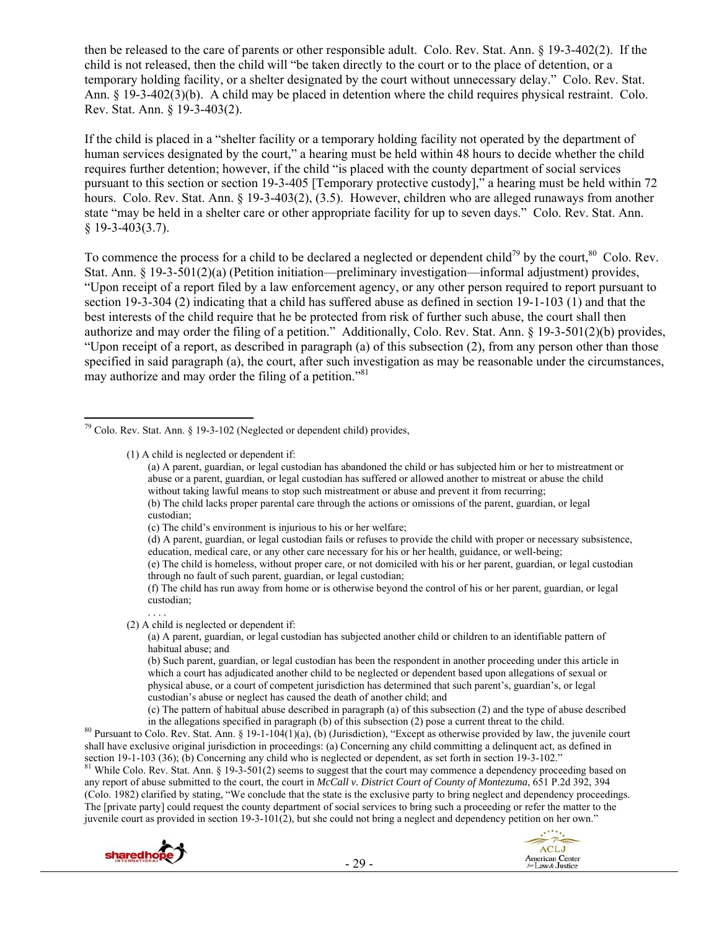then be released to the care of parents or other responsible adult. Colo. Rev. Stat. Ann. § 19-3-402(2). If the child is not released, then the child will "be taken directly to the court or to the place of detention, or a temporary holding facility, or a shelter designated by the court without unnecessary delay." Colo. Rev. Stat. Ann. § 19-3-402(3)(b). A child may be placed in detention where the child requires physical restraint. Colo. Rev. Stat. Ann. § 19-3-403(2).

If the child is placed in a "shelter facility or a temporary holding facility not operated by the department of human services designated by the court," a hearing must be held within 48 hours to decide whether the child requires further detention; however, if the child "is placed with the county department of social services pursuant to this section or section 19-3-405 [Temporary protective custody]," a hearing must be held within 72 hours. Colo. Rev. Stat. Ann. § 19-3-403(2), (3.5). However, children who are alleged runaways from another state "may be held in a shelter care or other appropriate facility for up to seven days." Colo. Rev. Stat. Ann. § 19-3-403(3.7).

To commence the process for a child to be declared a neglected or dependent child<sup>79</sup> by the court,<sup>80</sup> Colo. Rev. Stat. Ann. § 19-3-501(2)(a) (Petition initiation—preliminary investigation—informal adjustment) provides, "Upon receipt of a report filed by a law enforcement agency, or any other person required to report pursuant to section 19-3-304 (2) indicating that a child has suffered abuse as defined in section 19-1-103 (1) and that the best interests of the child require that he be protected from risk of further such abuse, the court shall then authorize and may order the filing of a petition." Additionally, Colo. Rev. Stat. Ann. § 19-3-501(2)(b) provides, "Upon receipt of a report, as described in paragraph (a) of this subsection (2), from any person other than those specified in said paragraph (a), the court, after such investigation as may be reasonable under the circumstances, may authorize and may order the filing of a petition."<sup>81</sup>

(1) A child is neglected or dependent if:

(c) The child's environment is injurious to his or her welfare;

. . . . (2) A child is neglected or dependent if:

(a) A parent, guardian, or legal custodian has subjected another child or children to an identifiable pattern of habitual abuse; and

(b) Such parent, guardian, or legal custodian has been the respondent in another proceeding under this article in which a court has adjudicated another child to be neglected or dependent based upon allegations of sexual or physical abuse, or a court of competent jurisdiction has determined that such parent's, guardian's, or legal custodian's abuse or neglect has caused the death of another child; and

(c) The pattern of habitual abuse described in paragraph (a) of this subsection (2) and the type of abuse described

in the allegations specified in paragraph (b) of this subsection (2) pose a current threat to the child.<br><sup>80</sup> Pursuant to Colo. Rev. Stat. Ann. § 19-1-104(1)(a), (b) (Jurisdiction), "Except as otherwise provided by law, th shall have exclusive original jurisdiction in proceedings: (a) Concerning any child committing a delinquent act, as defined in section 19-1-103 (36); (b) Concerning any child who is neglected or dependent, as set forth in section 19-3-102."<br><sup>81</sup> While Colo. Rev. Stat. Ann. § 19-3-501(2) seems to suggest that the court may commence a dependency pro

any report of abuse submitted to the court, the court in *McCall v. District Court of County of Montezuma*, 651 P.2d 392, 394 (Colo. 1982) clarified by stating, "We conclude that the state is the exclusive party to bring neglect and dependency proceedings. The [private party] could request the county department of social services to bring such a proceeding or refer the matter to the juvenile court as provided in section 19-3-101(2), but she could not bring a neglect and dependency petition on her own."





  $79$  Colo. Rev. Stat. Ann. § 19-3-102 (Neglected or dependent child) provides,

<sup>(</sup>a) A parent, guardian, or legal custodian has abandoned the child or has subjected him or her to mistreatment or abuse or a parent, guardian, or legal custodian has suffered or allowed another to mistreat or abuse the child without taking lawful means to stop such mistreatment or abuse and prevent it from recurring; (b) The child lacks proper parental care through the actions or omissions of the parent, guardian, or legal custodian;

<sup>(</sup>d) A parent, guardian, or legal custodian fails or refuses to provide the child with proper or necessary subsistence, education, medical care, or any other care necessary for his or her health, guidance, or well-being;

<sup>(</sup>e) The child is homeless, without proper care, or not domiciled with his or her parent, guardian, or legal custodian through no fault of such parent, guardian, or legal custodian;

<sup>(</sup>f) The child has run away from home or is otherwise beyond the control of his or her parent, guardian, or legal custodian;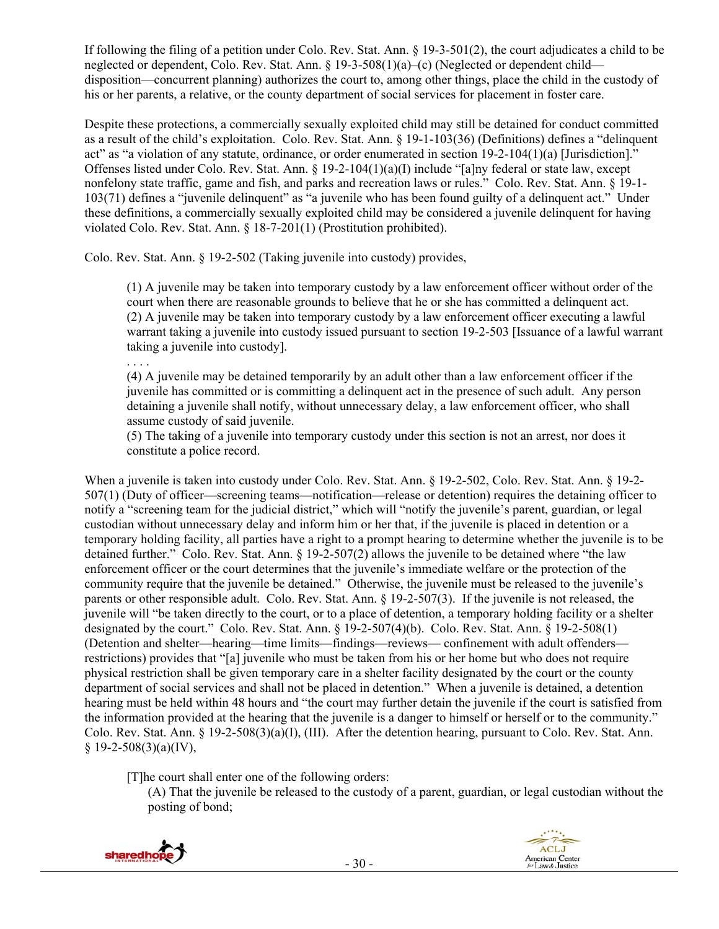If following the filing of a petition under Colo. Rev. Stat. Ann. § 19-3-501(2), the court adjudicates a child to be neglected or dependent, Colo. Rev. Stat. Ann. § 19-3-508(1)(a)–(c) (Neglected or dependent child disposition—concurrent planning) authorizes the court to, among other things, place the child in the custody of his or her parents, a relative, or the county department of social services for placement in foster care.

Despite these protections, a commercially sexually exploited child may still be detained for conduct committed as a result of the child's exploitation. Colo. Rev. Stat. Ann. § 19-1-103(36) (Definitions) defines a "delinquent act" as "a violation of any statute, ordinance, or order enumerated in section 19-2-104(1)(a) [Jurisdiction]." Offenses listed under Colo. Rev. Stat. Ann. § 19-2-104(1)(a)(I) include "[a]ny federal or state law, except nonfelony state traffic, game and fish, and parks and recreation laws or rules." Colo. Rev. Stat. Ann. § 19-1- 103(71) defines a "juvenile delinquent" as "a juvenile who has been found guilty of a delinquent act." Under these definitions, a commercially sexually exploited child may be considered a juvenile delinquent for having violated Colo. Rev. Stat. Ann. § 18-7-201(1) (Prostitution prohibited).

Colo. Rev. Stat. Ann. § 19-2-502 (Taking juvenile into custody) provides,

(1) A juvenile may be taken into temporary custody by a law enforcement officer without order of the court when there are reasonable grounds to believe that he or she has committed a delinquent act. (2) A juvenile may be taken into temporary custody by a law enforcement officer executing a lawful warrant taking a juvenile into custody issued pursuant to section 19-2-503 [Issuance of a lawful warrant taking a juvenile into custody].

(4) A juvenile may be detained temporarily by an adult other than a law enforcement officer if the juvenile has committed or is committing a delinquent act in the presence of such adult. Any person detaining a juvenile shall notify, without unnecessary delay, a law enforcement officer, who shall assume custody of said juvenile.

(5) The taking of a juvenile into temporary custody under this section is not an arrest, nor does it constitute a police record.

When a juvenile is taken into custody under Colo. Rev. Stat. Ann. § 19-2-502, Colo. Rev. Stat. Ann. § 19-2- 507(1) (Duty of officer—screening teams—notification—release or detention) requires the detaining officer to notify a "screening team for the judicial district," which will "notify the juvenile's parent, guardian, or legal custodian without unnecessary delay and inform him or her that, if the juvenile is placed in detention or a temporary holding facility, all parties have a right to a prompt hearing to determine whether the juvenile is to be detained further." Colo. Rev. Stat. Ann. § 19-2-507(2) allows the juvenile to be detained where "the law enforcement officer or the court determines that the juvenile's immediate welfare or the protection of the community require that the juvenile be detained." Otherwise, the juvenile must be released to the juvenile's parents or other responsible adult. Colo. Rev. Stat. Ann. § 19-2-507(3). If the juvenile is not released, the juvenile will "be taken directly to the court, or to a place of detention, a temporary holding facility or a shelter designated by the court." Colo. Rev. Stat. Ann. § 19-2-507(4)(b). Colo. Rev. Stat. Ann. § 19-2-508(1) (Detention and shelter—hearing—time limits—findings—reviews— confinement with adult offenders restrictions) provides that "[a] juvenile who must be taken from his or her home but who does not require physical restriction shall be given temporary care in a shelter facility designated by the court or the county department of social services and shall not be placed in detention." When a juvenile is detained, a detention hearing must be held within 48 hours and "the court may further detain the juvenile if the court is satisfied from the information provided at the hearing that the juvenile is a danger to himself or herself or to the community." Colo. Rev. Stat. Ann. § 19-2-508(3)(a)(I), (III). After the detention hearing, pursuant to Colo. Rev. Stat. Ann.  $§$  19-2-508(3)(a)(IV),

[T]he court shall enter one of the following orders:

(A) That the juvenile be released to the custody of a parent, guardian, or legal custodian without the posting of bond;



. . . .

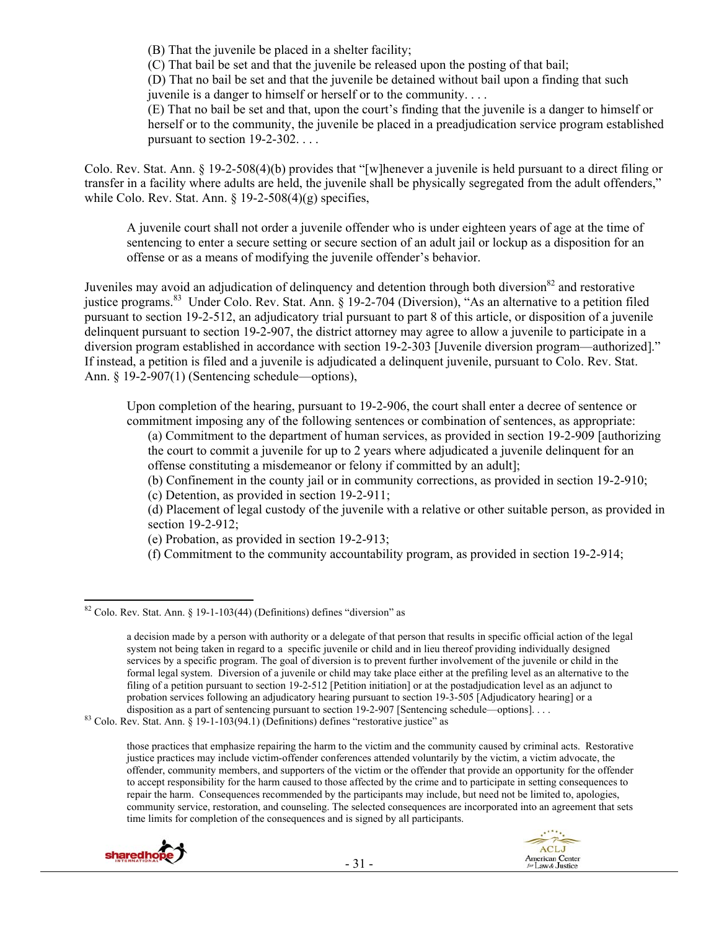(B) That the juvenile be placed in a shelter facility;

(C) That bail be set and that the juvenile be released upon the posting of that bail;

(D) That no bail be set and that the juvenile be detained without bail upon a finding that such juvenile is a danger to himself or herself or to the community. . . .

(E) That no bail be set and that, upon the court's finding that the juvenile is a danger to himself or herself or to the community, the juvenile be placed in a preadjudication service program established pursuant to section 19-2-302. . . .

Colo. Rev. Stat. Ann. § 19-2-508(4)(b) provides that "[w]henever a juvenile is held pursuant to a direct filing or transfer in a facility where adults are held, the juvenile shall be physically segregated from the adult offenders," while Colo. Rev. Stat. Ann. § 19-2-508(4)(g) specifies,

A juvenile court shall not order a juvenile offender who is under eighteen years of age at the time of sentencing to enter a secure setting or secure section of an adult jail or lockup as a disposition for an offense or as a means of modifying the juvenile offender's behavior.

Juveniles may avoid an adjudication of delinquency and detention through both diversion<sup>82</sup> and restorative justice programs.<sup>83</sup> Under Colo. Rev. Stat. Ann. § 19-2-704 (Diversion), "As an alternative to a petition filed pursuant to section 19-2-512, an adjudicatory trial pursuant to part 8 of this article, or disposition of a juvenile delinquent pursuant to section 19-2-907, the district attorney may agree to allow a juvenile to participate in a diversion program established in accordance with section 19-2-303 [Juvenile diversion program—authorized]." If instead, a petition is filed and a juvenile is adjudicated a delinquent juvenile, pursuant to Colo. Rev. Stat. Ann. § 19-2-907(1) (Sentencing schedule—options),

Upon completion of the hearing, pursuant to 19-2-906, the court shall enter a decree of sentence or commitment imposing any of the following sentences or combination of sentences, as appropriate:

(a) Commitment to the department of human services, as provided in section 19-2-909 [authorizing the court to commit a juvenile for up to 2 years where adjudicated a juvenile delinquent for an offense constituting a misdemeanor or felony if committed by an adult];

- (b) Confinement in the county jail or in community corrections, as provided in section 19-2-910;
- (c) Detention, as provided in section 19-2-911;

(d) Placement of legal custody of the juvenile with a relative or other suitable person, as provided in section 19-2-912;

(e) Probation, as provided in section 19-2-913;

(f) Commitment to the community accountability program, as provided in section 19-2-914;

those practices that emphasize repairing the harm to the victim and the community caused by criminal acts. Restorative justice practices may include victim-offender conferences attended voluntarily by the victim, a victim advocate, the offender, community members, and supporters of the victim or the offender that provide an opportunity for the offender to accept responsibility for the harm caused to those affected by the crime and to participate in setting consequences to repair the harm. Consequences recommended by the participants may include, but need not be limited to, apologies, community service, restoration, and counseling. The selected consequences are incorporated into an agreement that sets time limits for completion of the consequences and is signed by all participants.





  $82$  Colo. Rev. Stat. Ann. § 19-1-103(44) (Definitions) defines "diversion" as

a decision made by a person with authority or a delegate of that person that results in specific official action of the legal system not being taken in regard to a specific juvenile or child and in lieu thereof providing individually designed services by a specific program. The goal of diversion is to prevent further involvement of the juvenile or child in the formal legal system. Diversion of a juvenile or child may take place either at the prefiling level as an alternative to the filing of a petition pursuant to section 19-2-512 [Petition initiation] or at the postadjudication level as an adjunct to probation services following an adjudicatory hearing pursuant to section 19-3-505 [Adjudicatory hearing] or a disposition as a part of sentencing pursuant to section 19-2-907 [Sentencing schedule—options]....

 $83$  Colo. Rev. Stat. Ann. § 19-1-103(94.1) (Definitions) defines "restorative justice" as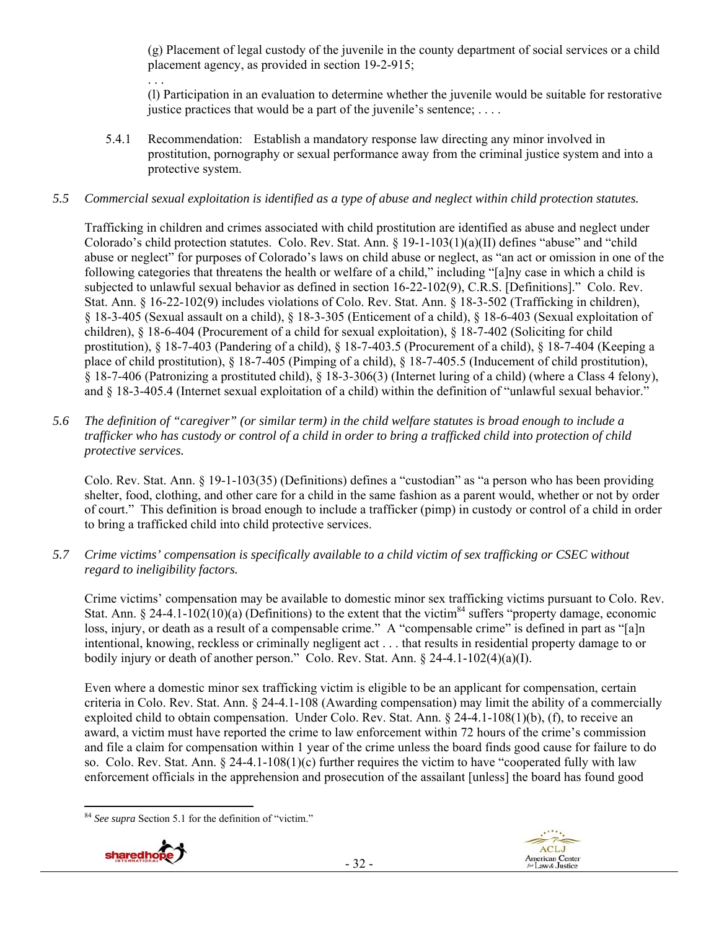(g) Placement of legal custody of the juvenile in the county department of social services or a child placement agency, as provided in section 19-2-915;

(l) Participation in an evaluation to determine whether the juvenile would be suitable for restorative justice practices that would be a part of the juvenile's sentence; ....

5.4.1 Recommendation: Establish a mandatory response law directing any minor involved in prostitution, pornography or sexual performance away from the criminal justice system and into a protective system.

## *5.5 Commercial sexual exploitation is identified as a type of abuse and neglect within child protection statutes.*

Trafficking in children and crimes associated with child prostitution are identified as abuse and neglect under Colorado's child protection statutes. Colo. Rev. Stat. Ann. § 19-1-103(1)(a)(II) defines "abuse" and "child abuse or neglect" for purposes of Colorado's laws on child abuse or neglect, as "an act or omission in one of the following categories that threatens the health or welfare of a child," including "[a]ny case in which a child is subjected to unlawful sexual behavior as defined in section 16-22-102(9), C.R.S. [Definitions]." Colo. Rev. Stat. Ann. § 16-22-102(9) includes violations of Colo. Rev. Stat. Ann. § 18-3-502 (Trafficking in children), § 18-3-405 (Sexual assault on a child), § 18-3-305 (Enticement of a child), § 18-6-403 (Sexual exploitation of children), § 18-6-404 (Procurement of a child for sexual exploitation), § 18-7-402 (Soliciting for child prostitution), § 18-7-403 (Pandering of a child), § 18-7-403.5 (Procurement of a child), § 18-7-404 (Keeping a place of child prostitution), § 18-7-405 (Pimping of a child), § 18-7-405.5 (Inducement of child prostitution), § 18-7-406 (Patronizing a prostituted child), § 18-3-306(3) (Internet luring of a child) (where a Class 4 felony), and § 18-3-405.4 (Internet sexual exploitation of a child) within the definition of "unlawful sexual behavior."

*5.6 The definition of "caregiver" (or similar term) in the child welfare statutes is broad enough to include a trafficker who has custody or control of a child in order to bring a trafficked child into protection of child protective services.* 

Colo. Rev. Stat. Ann. § 19-1-103(35) (Definitions) defines a "custodian" as "a person who has been providing shelter, food, clothing, and other care for a child in the same fashion as a parent would, whether or not by order of court." This definition is broad enough to include a trafficker (pimp) in custody or control of a child in order to bring a trafficked child into child protective services.

*5.7 Crime victims' compensation is specifically available to a child victim of sex trafficking or CSEC without regard to ineligibility factors.* 

Crime victims' compensation may be available to domestic minor sex trafficking victims pursuant to Colo. Rev. Stat. Ann. § 24-4.1-102(10)(a) (Definitions) to the extent that the victim<sup>84</sup> suffers "property damage, economic loss, injury, or death as a result of a compensable crime." A "compensable crime" is defined in part as "[a]n intentional, knowing, reckless or criminally negligent act . . . that results in residential property damage to or bodily injury or death of another person." Colo. Rev. Stat. Ann. § 24-4.1-102(4)(a)(I).

Even where a domestic minor sex trafficking victim is eligible to be an applicant for compensation, certain criteria in Colo. Rev. Stat. Ann. § 24-4.1-108 (Awarding compensation) may limit the ability of a commercially exploited child to obtain compensation. Under Colo. Rev. Stat. Ann. § 24-4.1-108(1)(b), (f), to receive an award, a victim must have reported the crime to law enforcement within 72 hours of the crime's commission and file a claim for compensation within 1 year of the crime unless the board finds good cause for failure to do so. Colo. Rev. Stat. Ann.  $\S 24-4.1-108(1)(c)$  further requires the victim to have "cooperated fully with law enforcement officials in the apprehension and prosecution of the assailant [unless] the board has found good

 <sup>84</sup> *See supra* Section 5.1 for the definition of "victim."



. . .

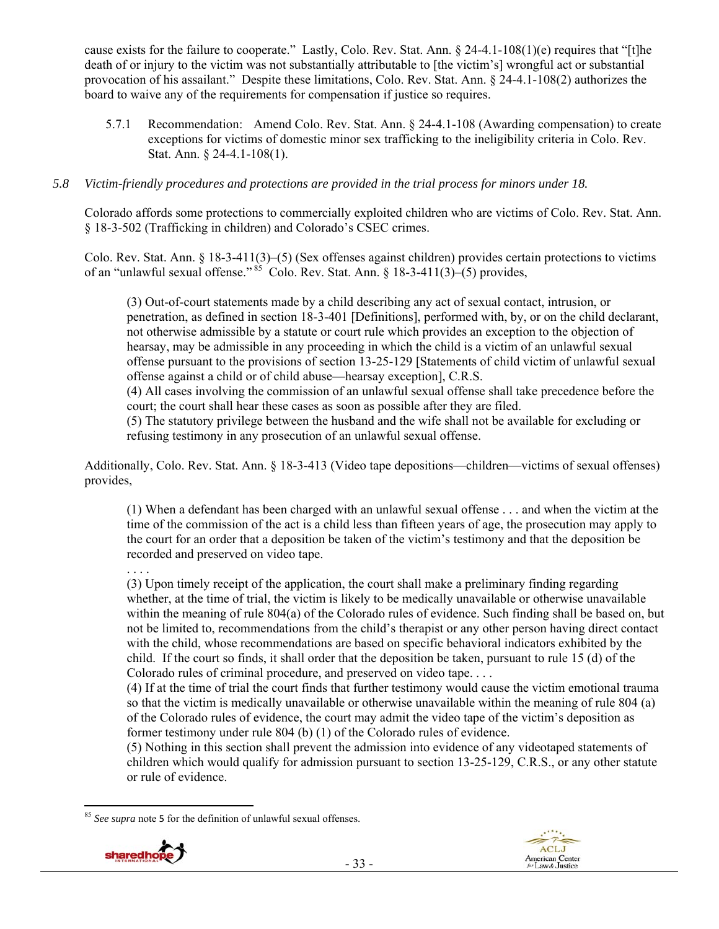cause exists for the failure to cooperate." Lastly, Colo. Rev. Stat. Ann. § 24-4.1-108(1)(e) requires that "[t]he death of or injury to the victim was not substantially attributable to [the victim's] wrongful act or substantial provocation of his assailant." Despite these limitations, Colo. Rev. Stat. Ann. § 24-4.1-108(2) authorizes the board to waive any of the requirements for compensation if justice so requires.

5.7.1 Recommendation: Amend Colo. Rev. Stat. Ann. § 24-4.1-108 (Awarding compensation) to create exceptions for victims of domestic minor sex trafficking to the ineligibility criteria in Colo. Rev. Stat. Ann. § 24-4.1-108(1).

#### *5.8 Victim-friendly procedures and protections are provided in the trial process for minors under 18.*

Colorado affords some protections to commercially exploited children who are victims of Colo. Rev. Stat. Ann. § 18-3-502 (Trafficking in children) and Colorado's CSEC crimes.

Colo. Rev. Stat. Ann. § 18-3-411(3)–(5) (Sex offenses against children) provides certain protections to victims of an "unlawful sexual offense."  $85 \text{ }^\circ$ Colo. Rev. Stat. Ann. § 18-3-411(3)–(5) provides,

(3) Out-of-court statements made by a child describing any act of sexual contact, intrusion, or penetration, as defined in section 18-3-401 [Definitions], performed with, by, or on the child declarant, not otherwise admissible by a statute or court rule which provides an exception to the objection of hearsay, may be admissible in any proceeding in which the child is a victim of an unlawful sexual offense pursuant to the provisions of section 13-25-129 [Statements of child victim of unlawful sexual offense against a child or of child abuse—hearsay exception], C.R.S.

(4) All cases involving the commission of an unlawful sexual offense shall take precedence before the court; the court shall hear these cases as soon as possible after they are filed.

(5) The statutory privilege between the husband and the wife shall not be available for excluding or refusing testimony in any prosecution of an unlawful sexual offense.

Additionally, Colo. Rev. Stat. Ann. § 18-3-413 (Video tape depositions—children—victims of sexual offenses) provides,

(1) When a defendant has been charged with an unlawful sexual offense . . . and when the victim at the time of the commission of the act is a child less than fifteen years of age, the prosecution may apply to the court for an order that a deposition be taken of the victim's testimony and that the deposition be recorded and preserved on video tape.

(3) Upon timely receipt of the application, the court shall make a preliminary finding regarding whether, at the time of trial, the victim is likely to be medically unavailable or otherwise unavailable within the meaning of rule 804(a) of the Colorado rules of evidence. Such finding shall be based on, but not be limited to, recommendations from the child's therapist or any other person having direct contact with the child, whose recommendations are based on specific behavioral indicators exhibited by the child. If the court so finds, it shall order that the deposition be taken, pursuant to rule 15 (d) of the Colorado rules of criminal procedure, and preserved on video tape. . . .

(4) If at the time of trial the court finds that further testimony would cause the victim emotional trauma so that the victim is medically unavailable or otherwise unavailable within the meaning of rule 804 (a) of the Colorado rules of evidence, the court may admit the video tape of the victim's deposition as former testimony under rule 804 (b) (1) of the Colorado rules of evidence.

(5) Nothing in this section shall prevent the admission into evidence of any videotaped statements of children which would qualify for admission pursuant to section 13-25-129, C.R.S., or any other statute or rule of evidence.

 <sup>85</sup> *See supra* note 5 for the definition of unlawful sexual offenses.



. . . .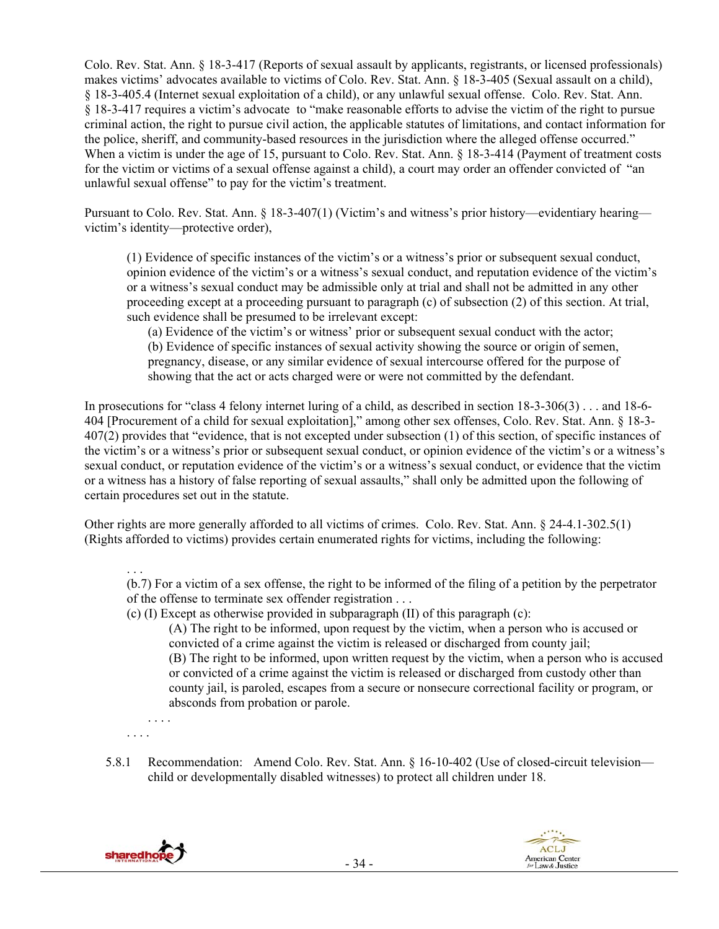Colo. Rev. Stat. Ann. § 18-3-417 (Reports of sexual assault by applicants, registrants, or licensed professionals) makes victims' advocates available to victims of Colo. Rev. Stat. Ann. § 18-3-405 (Sexual assault on a child), § 18-3-405.4 (Internet sexual exploitation of a child), or any unlawful sexual offense. Colo. Rev. Stat. Ann. § 18-3-417 requires a victim's advocate to "make reasonable efforts to advise the victim of the right to pursue criminal action, the right to pursue civil action, the applicable statutes of limitations, and contact information for the police, sheriff, and community-based resources in the jurisdiction where the alleged offense occurred." When a victim is under the age of 15, pursuant to Colo. Rev. Stat. Ann. § 18-3-414 (Payment of treatment costs for the victim or victims of a sexual offense against a child), a court may order an offender convicted of "an unlawful sexual offense" to pay for the victim's treatment.

Pursuant to Colo. Rev. Stat. Ann. § 18-3-407(1) (Victim's and witness's prior history—evidentiary hearing victim's identity—protective order),

(1) Evidence of specific instances of the victim's or a witness's prior or subsequent sexual conduct, opinion evidence of the victim's or a witness's sexual conduct, and reputation evidence of the victim's or a witness's sexual conduct may be admissible only at trial and shall not be admitted in any other proceeding except at a proceeding pursuant to paragraph (c) of subsection (2) of this section. At trial, such evidence shall be presumed to be irrelevant except:

(a) Evidence of the victim's or witness' prior or subsequent sexual conduct with the actor; (b) Evidence of specific instances of sexual activity showing the source or origin of semen, pregnancy, disease, or any similar evidence of sexual intercourse offered for the purpose of showing that the act or acts charged were or were not committed by the defendant.

In prosecutions for "class 4 felony internet luring of a child, as described in section 18-3-306(3) . . . and 18-6- 404 [Procurement of a child for sexual exploitation]," among other sex offenses, Colo. Rev. Stat. Ann. § 18-3- 407(2) provides that "evidence, that is not excepted under subsection (1) of this section, of specific instances of the victim's or a witness's prior or subsequent sexual conduct, or opinion evidence of the victim's or a witness's sexual conduct, or reputation evidence of the victim's or a witness's sexual conduct, or evidence that the victim or a witness has a history of false reporting of sexual assaults," shall only be admitted upon the following of certain procedures set out in the statute.

Other rights are more generally afforded to all victims of crimes. Colo. Rev. Stat. Ann. § 24-4.1-302.5(1) (Rights afforded to victims) provides certain enumerated rights for victims, including the following:

 . . . (b.7) For a victim of a sex offense, the right to be informed of the filing of a petition by the perpetrator of the offense to terminate sex offender registration . . .

(c) (I) Except as otherwise provided in subparagraph (II) of this paragraph (c):

(A) The right to be informed, upon request by the victim, when a person who is accused or convicted of a crime against the victim is released or discharged from county jail; (B) The right to be informed, upon written request by the victim, when a person who is accused or convicted of a crime against the victim is released or discharged from custody other than county jail, is paroled, escapes from a secure or nonsecure correctional facility or program, or absconds from probation or parole.

. . . .

. . . .

5.8.1 Recommendation: Amend Colo. Rev. Stat. Ann. § 16-10-402 (Use of closed-circuit television child or developmentally disabled witnesses) to protect all children under 18.



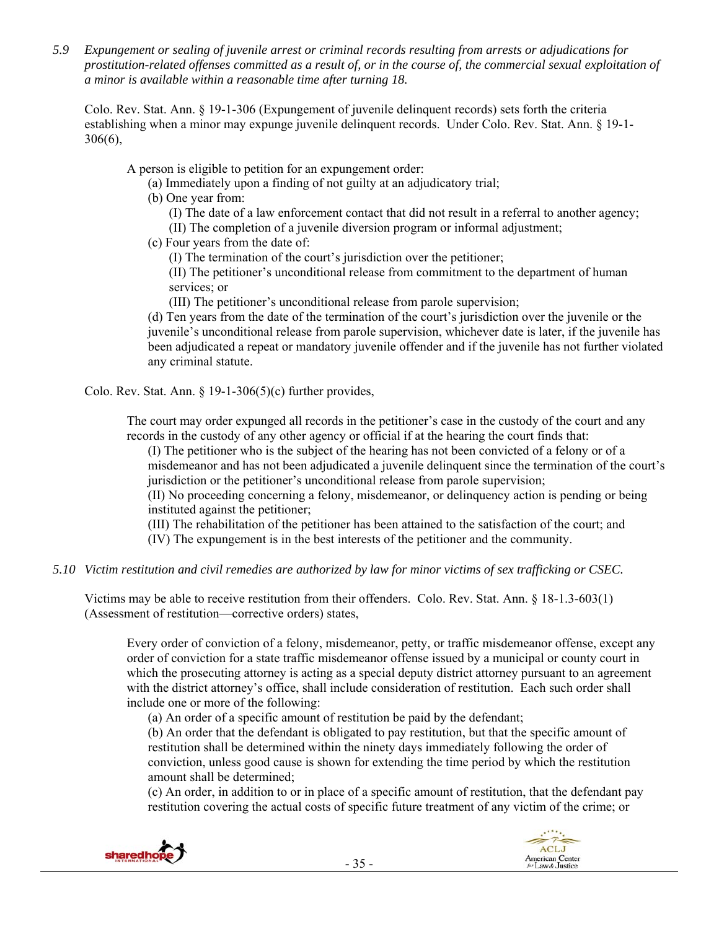*5.9 Expungement or sealing of juvenile arrest or criminal records resulting from arrests or adjudications for prostitution-related offenses committed as a result of, or in the course of, the commercial sexual exploitation of a minor is available within a reasonable time after turning 18.* 

Colo. Rev. Stat. Ann. § 19-1-306 (Expungement of juvenile delinquent records) sets forth the criteria establishing when a minor may expunge juvenile delinquent records. Under Colo. Rev. Stat. Ann. § 19-1- 306(6),

A person is eligible to petition for an expungement order:

- (a) Immediately upon a finding of not guilty at an adjudicatory trial;
- (b) One year from:
	- (I) The date of a law enforcement contact that did not result in a referral to another agency;
	- (II) The completion of a juvenile diversion program or informal adjustment;
- (c) Four years from the date of:
	- (I) The termination of the court's jurisdiction over the petitioner;

(II) The petitioner's unconditional release from commitment to the department of human services; or

(III) The petitioner's unconditional release from parole supervision;

(d) Ten years from the date of the termination of the court's jurisdiction over the juvenile or the juvenile's unconditional release from parole supervision, whichever date is later, if the juvenile has been adjudicated a repeat or mandatory juvenile offender and if the juvenile has not further violated any criminal statute.

Colo. Rev. Stat. Ann.  $\S$  19-1-306(5)(c) further provides,

The court may order expunged all records in the petitioner's case in the custody of the court and any records in the custody of any other agency or official if at the hearing the court finds that:

(I) The petitioner who is the subject of the hearing has not been convicted of a felony or of a misdemeanor and has not been adjudicated a juvenile delinquent since the termination of the court's jurisdiction or the petitioner's unconditional release from parole supervision;

(II) No proceeding concerning a felony, misdemeanor, or delinquency action is pending or being instituted against the petitioner;

(III) The rehabilitation of the petitioner has been attained to the satisfaction of the court; and

(IV) The expungement is in the best interests of the petitioner and the community.

## *5.10 Victim restitution and civil remedies are authorized by law for minor victims of sex trafficking or CSEC.*

Victims may be able to receive restitution from their offenders. Colo. Rev. Stat. Ann. § 18-1.3-603(1) (Assessment of restitution—corrective orders) states,

Every order of conviction of a felony, misdemeanor, petty, or traffic misdemeanor offense, except any order of conviction for a state traffic misdemeanor offense issued by a municipal or county court in which the prosecuting attorney is acting as a special deputy district attorney pursuant to an agreement with the district attorney's office, shall include consideration of restitution. Each such order shall include one or more of the following:

(a) An order of a specific amount of restitution be paid by the defendant;

(b) An order that the defendant is obligated to pay restitution, but that the specific amount of restitution shall be determined within the ninety days immediately following the order of conviction, unless good cause is shown for extending the time period by which the restitution amount shall be determined;

(c) An order, in addition to or in place of a specific amount of restitution, that the defendant pay restitution covering the actual costs of specific future treatment of any victim of the crime; or

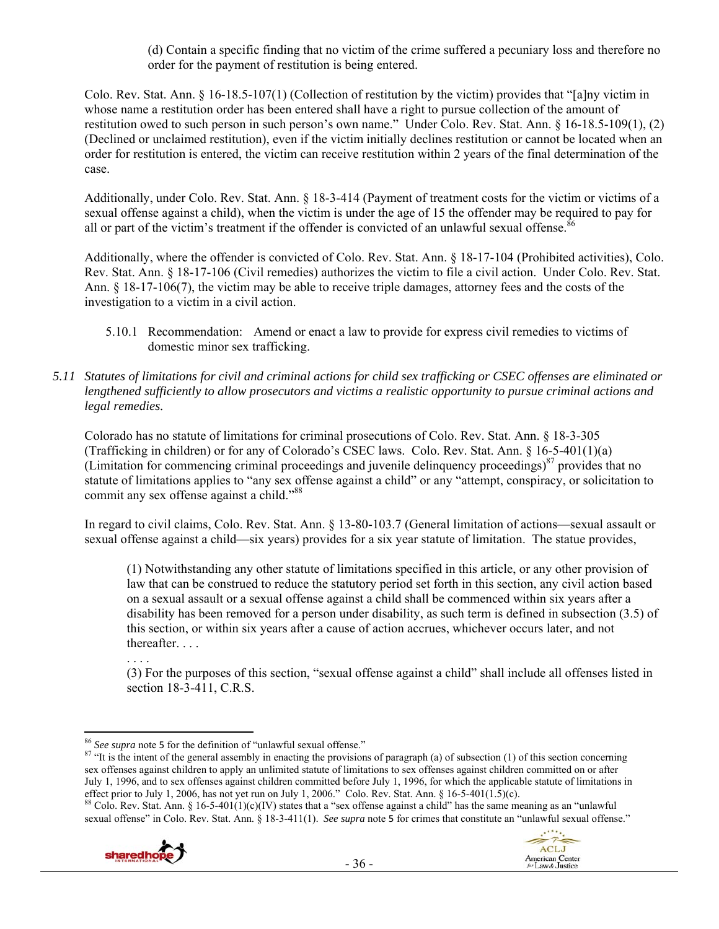(d) Contain a specific finding that no victim of the crime suffered a pecuniary loss and therefore no order for the payment of restitution is being entered.

Colo. Rev. Stat. Ann. § 16-18.5-107(1) (Collection of restitution by the victim) provides that "[a]ny victim in whose name a restitution order has been entered shall have a right to pursue collection of the amount of restitution owed to such person in such person's own name." Under Colo. Rev. Stat. Ann. § 16-18.5-109(1), (2) (Declined or unclaimed restitution), even if the victim initially declines restitution or cannot be located when an order for restitution is entered, the victim can receive restitution within 2 years of the final determination of the case.

Additionally, under Colo. Rev. Stat. Ann. § 18-3-414 (Payment of treatment costs for the victim or victims of a sexual offense against a child), when the victim is under the age of 15 the offender may be required to pay for all or part of the victim's treatment if the offender is convicted of an unlawful sexual offense.<sup>86</sup>

Additionally, where the offender is convicted of Colo. Rev. Stat. Ann. § 18-17-104 (Prohibited activities), Colo. Rev. Stat. Ann. § 18-17-106 (Civil remedies) authorizes the victim to file a civil action. Under Colo. Rev. Stat. Ann. § 18-17-106(7), the victim may be able to receive triple damages, attorney fees and the costs of the investigation to a victim in a civil action.

- 5.10.1 Recommendation: Amend or enact a law to provide for express civil remedies to victims of domestic minor sex trafficking.
- *5.11 Statutes of limitations for civil and criminal actions for child sex trafficking or CSEC offenses are eliminated or lengthened sufficiently to allow prosecutors and victims a realistic opportunity to pursue criminal actions and legal remedies.*

Colorado has no statute of limitations for criminal prosecutions of Colo. Rev. Stat. Ann. § 18-3-305 (Trafficking in children) or for any of Colorado's CSEC laws. Colo. Rev. Stat. Ann. § 16-5-401(1)(a) (Limitation for commencing criminal proceedings and juvenile delinquency proceedings) $87$  provides that no statute of limitations applies to "any sex offense against a child" or any "attempt, conspiracy, or solicitation to commit any sex offense against a child."<sup>88</sup>

In regard to civil claims, Colo. Rev. Stat. Ann. § 13-80-103.7 (General limitation of actions—sexual assault or sexual offense against a child—six years) provides for a six year statute of limitation. The statue provides,

(1) Notwithstanding any other statute of limitations specified in this article, or any other provision of law that can be construed to reduce the statutory period set forth in this section, any civil action based on a sexual assault or a sexual offense against a child shall be commenced within six years after a disability has been removed for a person under disability, as such term is defined in subsection (3.5) of this section, or within six years after a cause of action accrues, whichever occurs later, and not thereafter. . . .

. . . .

(3) For the purposes of this section, "sexual offense against a child" shall include all offenses listed in section 18-3-411, C.R.S.

<sup>&</sup>lt;sup>88</sup> Colo. Rev. Stat. Ann. § 16-5-401(1)(c)(IV) states that a "sex offense against a child" has the same meaning as an "unlawful" sexual offense" in Colo. Rev. Stat. Ann. § 18-3-411(1). *See supra* note 5 for crimes that constitute an "unlawful sexual offense."





<sup>&</sup>lt;sup>86</sup> See supra note 5 for the definition of "unlawful sexual offense."

<sup>&</sup>lt;sup>87</sup> "It is the intent of the general assembly in enacting the provisions of paragraph (a) of subsection (1) of this section concerning sex offenses against children to apply an unlimited statute of limitations to sex offenses against children committed on or after July 1, 1996, and to sex offenses against children committed before July 1, 1996, for which the applicable statute of limitations in effect prior to July 1, 2006, has not yet run on July 1, 2006." Colo. Rev. Stat. Ann. § 1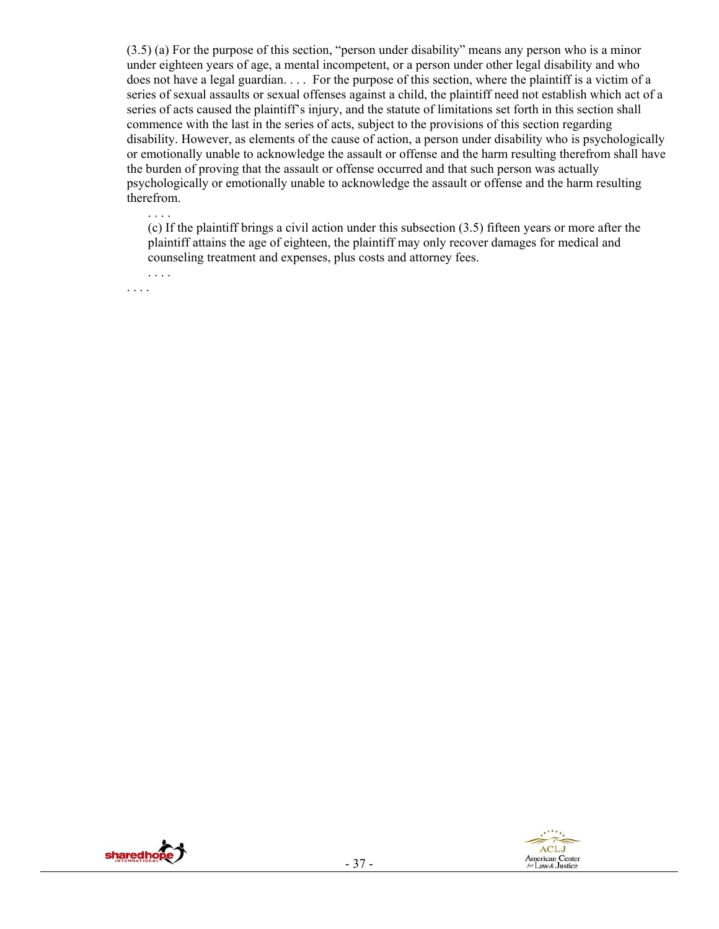(3.5) (a) For the purpose of this section, "person under disability" means any person who is a minor under eighteen years of age, a mental incompetent, or a person under other legal disability and who does not have a legal guardian. . . . For the purpose of this section, where the plaintiff is a victim of a series of sexual assaults or sexual offenses against a child, the plaintiff need not establish which act of a series of acts caused the plaintiff's injury, and the statute of limitations set forth in this section shall commence with the last in the series of acts, subject to the provisions of this section regarding disability. However, as elements of the cause of action, a person under disability who is psychologically or emotionally unable to acknowledge the assault or offense and the harm resulting therefrom shall have the burden of proving that the assault or offense occurred and that such person was actually psychologically or emotionally unable to acknowledge the assault or offense and the harm resulting therefrom.

(c) If the plaintiff brings a civil action under this subsection (3.5) fifteen years or more after the plaintiff attains the age of eighteen, the plaintiff may only recover damages for medical and counseling treatment and expenses, plus costs and attorney fees.

. . . . . . . .

. . . .



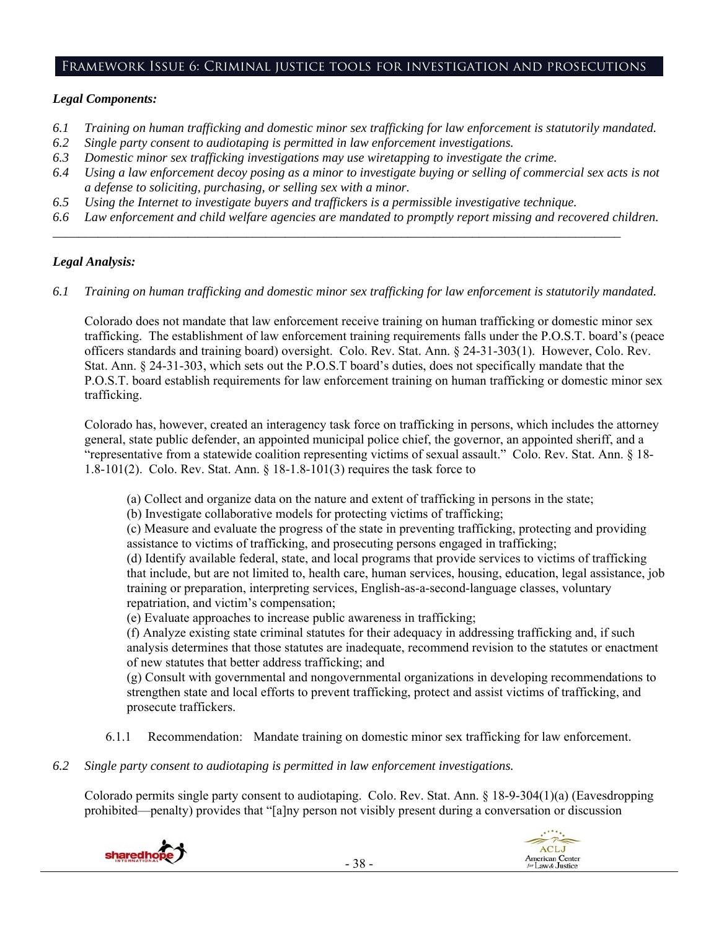#### Framework Issue 6: Criminal justice tools for investigation and prosecutions

#### *Legal Components:*

- *6.1 Training on human trafficking and domestic minor sex trafficking for law enforcement is statutorily mandated.*
- *6.2 Single party consent to audiotaping is permitted in law enforcement investigations.*
- *6.3 Domestic minor sex trafficking investigations may use wiretapping to investigate the crime.*
- *6.4 Using a law enforcement decoy posing as a minor to investigate buying or selling of commercial sex acts is not a defense to soliciting, purchasing, or selling sex with a minor.*
- *6.5 Using the Internet to investigate buyers and traffickers is a permissible investigative technique.*
- *6.6 Law enforcement and child welfare agencies are mandated to promptly report missing and recovered children.*

*\_\_\_\_\_\_\_\_\_\_\_\_\_\_\_\_\_\_\_\_\_\_\_\_\_\_\_\_\_\_\_\_\_\_\_\_\_\_\_\_\_\_\_\_\_\_\_\_\_\_\_\_\_\_\_\_\_\_\_\_\_\_\_\_\_\_\_\_\_\_\_\_\_\_\_\_\_\_\_\_\_\_\_\_\_\_\_\_* 

## *Legal Analysis:*

*6.1 Training on human trafficking and domestic minor sex trafficking for law enforcement is statutorily mandated.* 

Colorado does not mandate that law enforcement receive training on human trafficking or domestic minor sex trafficking. The establishment of law enforcement training requirements falls under the P.O.S.T. board's (peace officers standards and training board) oversight. Colo. Rev. Stat. Ann. § 24-31-303(1). However, Colo. Rev. Stat. Ann. § 24-31-303, which sets out the P.O.S.T board's duties, does not specifically mandate that the P.O.S.T. board establish requirements for law enforcement training on human trafficking or domestic minor sex trafficking.

Colorado has, however, created an interagency task force on trafficking in persons, which includes the attorney general, state public defender, an appointed municipal police chief, the governor, an appointed sheriff, and a "representative from a statewide coalition representing victims of sexual assault." Colo. Rev. Stat. Ann. § 18- 1.8-101(2). Colo. Rev. Stat. Ann. § 18-1.8-101(3) requires the task force to

(a) Collect and organize data on the nature and extent of trafficking in persons in the state;

(b) Investigate collaborative models for protecting victims of trafficking;

(c) Measure and evaluate the progress of the state in preventing trafficking, protecting and providing assistance to victims of trafficking, and prosecuting persons engaged in trafficking;

(d) Identify available federal, state, and local programs that provide services to victims of trafficking that include, but are not limited to, health care, human services, housing, education, legal assistance, job training or preparation, interpreting services, English-as-a-second-language classes, voluntary repatriation, and victim's compensation;

(e) Evaluate approaches to increase public awareness in trafficking;

(f) Analyze existing state criminal statutes for their adequacy in addressing trafficking and, if such analysis determines that those statutes are inadequate, recommend revision to the statutes or enactment of new statutes that better address trafficking; and

(g) Consult with governmental and nongovernmental organizations in developing recommendations to strengthen state and local efforts to prevent trafficking, protect and assist victims of trafficking, and prosecute traffickers.

- 6.1.1 Recommendation: Mandate training on domestic minor sex trafficking for law enforcement.
- *6.2 Single party consent to audiotaping is permitted in law enforcement investigations.*

Colorado permits single party consent to audiotaping. Colo. Rev. Stat. Ann. § 18-9-304(1)(a) (Eavesdropping prohibited—penalty) provides that "[a]ny person not visibly present during a conversation or discussion



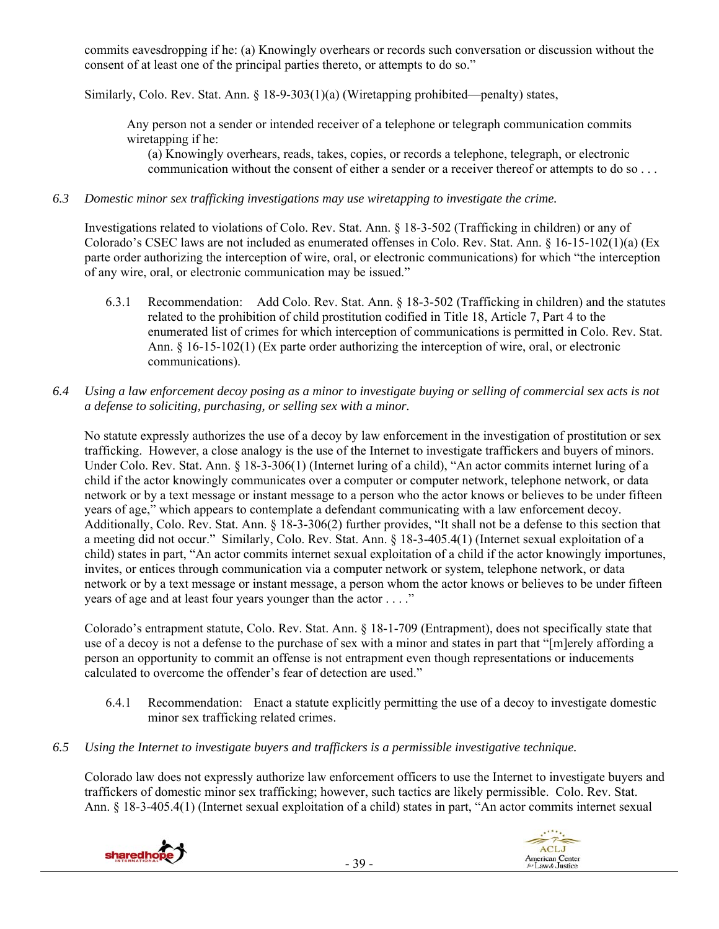commits eavesdropping if he: (a) Knowingly overhears or records such conversation or discussion without the consent of at least one of the principal parties thereto, or attempts to do so."

Similarly, Colo. Rev. Stat. Ann. § 18-9-303(1)(a) (Wiretapping prohibited—penalty) states,

Any person not a sender or intended receiver of a telephone or telegraph communication commits wiretapping if he:

(a) Knowingly overhears, reads, takes, copies, or records a telephone, telegraph, or electronic communication without the consent of either a sender or a receiver thereof or attempts to do so . . .

#### *6.3 Domestic minor sex trafficking investigations may use wiretapping to investigate the crime.*

Investigations related to violations of Colo. Rev. Stat. Ann. § 18-3-502 (Trafficking in children) or any of Colorado's CSEC laws are not included as enumerated offenses in Colo. Rev. Stat. Ann. § 16-15-102(1)(a) (Ex parte order authorizing the interception of wire, oral, or electronic communications) for which "the interception of any wire, oral, or electronic communication may be issued."

- 6.3.1 Recommendation: Add Colo. Rev. Stat. Ann. § 18-3-502 (Trafficking in children) and the statutes related to the prohibition of child prostitution codified in Title 18, Article 7, Part 4 to the enumerated list of crimes for which interception of communications is permitted in Colo. Rev. Stat. Ann. § 16-15-102(1) (Ex parte order authorizing the interception of wire, oral, or electronic communications).
- *6.4 Using a law enforcement decoy posing as a minor to investigate buying or selling of commercial sex acts is not a defense to soliciting, purchasing, or selling sex with a minor.*

No statute expressly authorizes the use of a decoy by law enforcement in the investigation of prostitution or sex trafficking. However, a close analogy is the use of the Internet to investigate traffickers and buyers of minors. Under Colo. Rev. Stat. Ann. § 18-3-306(1) (Internet luring of a child), "An actor commits internet luring of a child if the actor knowingly communicates over a computer or computer network, telephone network, or data network or by a text message or instant message to a person who the actor knows or believes to be under fifteen years of age," which appears to contemplate a defendant communicating with a law enforcement decoy. Additionally, Colo. Rev. Stat. Ann. § 18-3-306(2) further provides, "It shall not be a defense to this section that a meeting did not occur." Similarly, Colo. Rev. Stat. Ann. § 18-3-405.4(1) (Internet sexual exploitation of a child) states in part, "An actor commits internet sexual exploitation of a child if the actor knowingly importunes, invites, or entices through communication via a computer network or system, telephone network, or data network or by a text message or instant message, a person whom the actor knows or believes to be under fifteen years of age and at least four years younger than the actor . . . ."

Colorado's entrapment statute, Colo. Rev. Stat. Ann. § 18-1-709 (Entrapment), does not specifically state that use of a decoy is not a defense to the purchase of sex with a minor and states in part that "[m]erely affording a person an opportunity to commit an offense is not entrapment even though representations or inducements calculated to overcome the offender's fear of detection are used."

- 6.4.1 Recommendation: Enact a statute explicitly permitting the use of a decoy to investigate domestic minor sex trafficking related crimes.
- *6.5 Using the Internet to investigate buyers and traffickers is a permissible investigative technique.*

Colorado law does not expressly authorize law enforcement officers to use the Internet to investigate buyers and traffickers of domestic minor sex trafficking; however, such tactics are likely permissible. Colo. Rev. Stat. Ann. § 18-3-405.4(1) (Internet sexual exploitation of a child) states in part, "An actor commits internet sexual

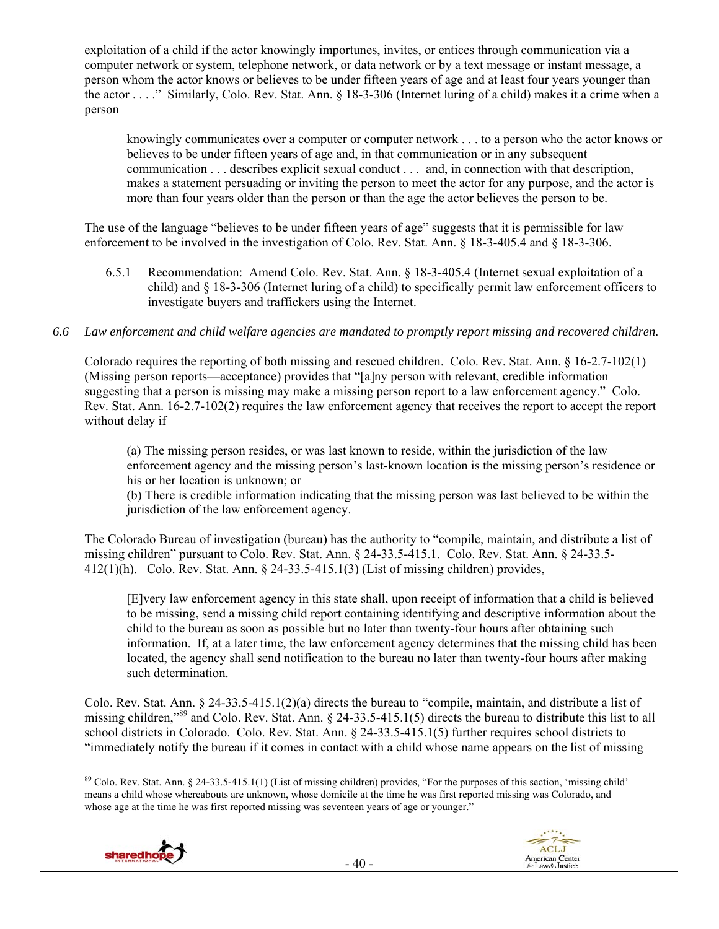exploitation of a child if the actor knowingly importunes, invites, or entices through communication via a computer network or system, telephone network, or data network or by a text message or instant message, a person whom the actor knows or believes to be under fifteen years of age and at least four years younger than the actor . . . ." Similarly, Colo. Rev. Stat. Ann. § 18-3-306 (Internet luring of a child) makes it a crime when a person

knowingly communicates over a computer or computer network . . . to a person who the actor knows or believes to be under fifteen years of age and, in that communication or in any subsequent communication . . . describes explicit sexual conduct . . . and, in connection with that description, makes a statement persuading or inviting the person to meet the actor for any purpose, and the actor is more than four years older than the person or than the age the actor believes the person to be.

The use of the language "believes to be under fifteen years of age" suggests that it is permissible for law enforcement to be involved in the investigation of Colo. Rev. Stat. Ann. § 18-3-405.4 and § 18-3-306.

6.5.1 Recommendation: Amend Colo. Rev. Stat. Ann. § 18-3-405.4 (Internet sexual exploitation of a child) and § 18-3-306 (Internet luring of a child) to specifically permit law enforcement officers to investigate buyers and traffickers using the Internet.

## *6.6 Law enforcement and child welfare agencies are mandated to promptly report missing and recovered children.*

Colorado requires the reporting of both missing and rescued children. Colo. Rev. Stat. Ann. § 16-2.7-102(1) (Missing person reports—acceptance) provides that "[a]ny person with relevant, credible information suggesting that a person is missing may make a missing person report to a law enforcement agency." Colo. Rev. Stat. Ann. 16-2.7-102(2) requires the law enforcement agency that receives the report to accept the report without delay if

(a) The missing person resides, or was last known to reside, within the jurisdiction of the law enforcement agency and the missing person's last-known location is the missing person's residence or his or her location is unknown; or

(b) There is credible information indicating that the missing person was last believed to be within the jurisdiction of the law enforcement agency.

The Colorado Bureau of investigation (bureau) has the authority to "compile, maintain, and distribute a list of missing children" pursuant to Colo. Rev. Stat. Ann. § 24-33.5-415.1. Colo. Rev. Stat. Ann. § 24-33.5- 412(1)(h). Colo. Rev. Stat. Ann. § 24-33.5-415.1(3) (List of missing children) provides,

[E]very law enforcement agency in this state shall, upon receipt of information that a child is believed to be missing, send a missing child report containing identifying and descriptive information about the child to the bureau as soon as possible but no later than twenty-four hours after obtaining such information. If, at a later time, the law enforcement agency determines that the missing child has been located, the agency shall send notification to the bureau no later than twenty-four hours after making such determination.

Colo. Rev. Stat. Ann. § 24-33.5-415.1(2)(a) directs the bureau to "compile, maintain, and distribute a list of missing children,"89 and Colo. Rev. Stat. Ann. § 24-33.5-415.1(5) directs the bureau to distribute this list to all school districts in Colorado. Colo. Rev. Stat. Ann. § 24-33.5-415.1(5) further requires school districts to "immediately notify the bureau if it comes in contact with a child whose name appears on the list of missing

  $89$  Colo. Rev. Stat. Ann. § 24-33.5-415.1(1) (List of missing children) provides, "For the purposes of this section, 'missing child' means a child whose whereabouts are unknown, whose domicile at the time he was first reported missing was Colorado, and whose age at the time he was first reported missing was seventeen years of age or younger."